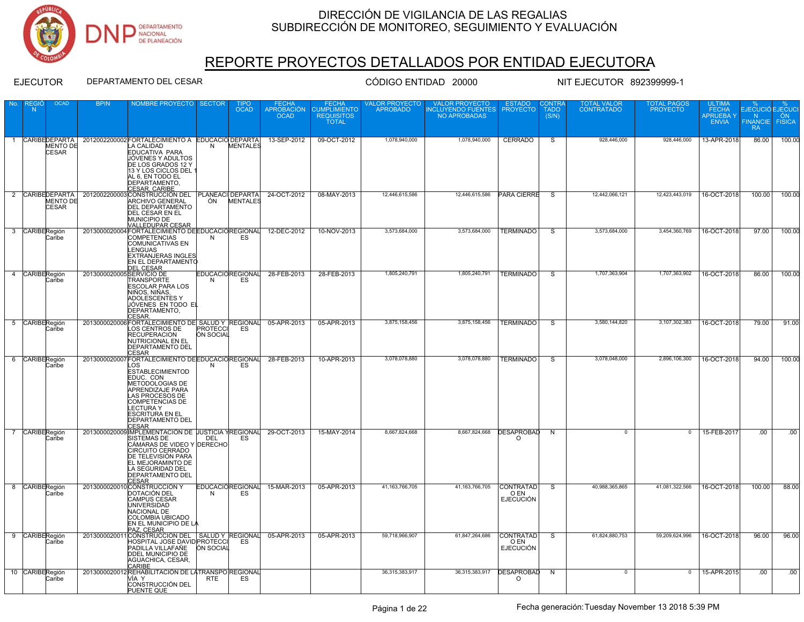

# REPORTE PROYECTOS DETALLADOS POR ENTIDAD EJECUTORA

| No.            | N               | <b>OCAD</b>              |                          | NOMBRE PROYECTO SECTOR                                                                                                                                                                                                                                                                |                              | <b>OCAD</b>                   | <b>APROBACIÓN</b><br><b>OCAD</b> | <b>CUMPLIMIENTO</b><br><b>REQUISITOS</b><br><b>TOTAL</b> | LOR PROYECTO<br>APROBADO | VALOR PROYECTO<br><b>INCLUYENDO FUENTES</b><br><b>NO APROBADAS</b> | <b>PROYECTO</b>                              | <b>TADO</b><br>(S/N) | <b>CONTRATADO</b> | <b>PROYECTO</b> | <b>FECHA</b><br><b>APRUEBAY</b><br><b>ENVIA</b> | EJECUCIÓ EJECUCI<br>- N-<br><b>FINANCIE FISICA</b><br><b>RA</b> | ON 5             |
|----------------|-----------------|--------------------------|--------------------------|---------------------------------------------------------------------------------------------------------------------------------------------------------------------------------------------------------------------------------------------------------------------------------------|------------------------------|-------------------------------|----------------------------------|----------------------------------------------------------|--------------------------|--------------------------------------------------------------------|----------------------------------------------|----------------------|-------------------|-----------------|-------------------------------------------------|-----------------------------------------------------------------|------------------|
|                |                 | MENTO DE<br><b>CESAR</b> |                          | CARIBEDEPARTA   2012002200002 FORTALECIMIENTO A EDUCACIÓ DEPARTA  <br>LA CALIDAD<br><b>EDUCATIVA PARA</b><br>UÓVENES Y ADULTOS<br>DE LOS GRADOS 12 Y<br>13 Y LOS CICLOS DEL 1<br>AL 6, EN TODO EL<br>DEPARTAMENTO,<br>CESAR, CARIBE                                                   | N.                           | MENTALES                      | 13-SEP-2012                      | 09-OCT-2012                                              | 1,078,940,000            | 1,078,940,000                                                      | <b>CERRADO</b>                               | <sub>S</sub>         | 928,446,000       | 928,446,000     | 13-APR-2018                                     | 86.00                                                           | 100.00           |
| $\overline{2}$ |                 | MENTO DE<br><b>CESAR</b> |                          | CARIBE DEPARTA   2012002200003 CONSTRUCCIÓN DEL   PLANEACI DEPARTA  <br><b>ARCHIVO GENERAL</b><br>DEL DEPARTAMENTO<br>DEL CESAR EN EL<br>MUNICIPIO DE<br>VALLEDUPAR CESAR                                                                                                             | ÓN                           | <b>MENTALES</b>               | 24-OCT-2012                      | 08-MAY-2013                                              | 12,446,615,586           | 12,446,615,586                                                     | <b>PARA CIERRE</b>                           | $\overline{s}$       | 12,442,066,121    | 12,423,443,019  | 16-OCT-2018                                     | 100.00                                                          | 100.00           |
| $\overline{3}$ | CARIBERegión    | Caribe                   |                          | 2013000020004 FORTALECIMIENTO DE EDUCACIÓ REGIONAL<br><b>COMPETENCIAS</b><br><b>COMUNICATIVAS EN</b><br><b>LENGUAS</b><br><b>EXTRANJERAS INGLES</b><br>EN EL DEPARTAMENTO<br><b>DEL CESAR</b>                                                                                         | N                            | ES                            | 12-DEC-2012                      | 10-NOV-2013                                              | 3,573,684,000            | 3,573,684,000                                                      | <b>TERMINADO</b>                             | $\overline{s}$       | 3,573,684,000     | 3,454,360,769   | 16-OCT-2018                                     | 97.00                                                           | 100.00           |
|                | 4 CARIBERegión  | Caribe                   | 2013000020005SERVICIO DE | <b>TRANSPORTE</b><br><b>ESCOLAR PARA LOS</b><br>NIÑOS, NIÑAS,<br><b>ADOLESCENTES Y</b><br>UÓVENES EN TODO EL<br>DEPARTAMENTO,<br>CESAR.                                                                                                                                               | N                            | <b>EDUCACIÓREGIONAL</b><br>ES | 28-FEB-2013                      | 28-FEB-2013                                              | 1.805.240.791            | 1.805.240.791                                                      | <b>TERMINADO</b>                             | $\overline{s}$       | 1.707.363.904     | 1.707.363.902   | 16-OCT-2018                                     | 86.00                                                           | 100.00           |
| 5              | CARIBERegión    | Caribe                   |                          | 2013000020006 FORTALECIMIENTO DE SALUD Y REGIONAL<br>LOS CENTROS DE<br><b>RECUPERACION</b><br>NUTRICIONAL EN EL<br>DEPARTAMENTO DEL<br><b>CESAR</b>                                                                                                                                   | PROTECCI<br><b>ÓN SOCIAL</b> | ES                            | 05-APR-2013                      | 05-APR-2013                                              | 3,875,158,456            | 3,875,158,456                                                      | <b>TERMINADO</b>                             | S                    | 3,580,144,820     | 3,107,302,383   | 16-OCT-2018                                     | 79.00                                                           | 91.00            |
|                | 6 CARIBERegión  | Caribe                   |                          | 2013000020007 FORTALECIMIENTO DE EDUCACIÓ REGIONAL<br>LOS<br><b>ESTABLECIMIENTOD</b><br>EDUC. CON<br><b>METODOLOGIAS DE</b><br><b>APRENDIZAJE PARA</b><br>LAS PROCESOS DE<br><b>COMPETENCIAS DE</b><br><b>LECTURA Y</b><br><b>ESCRITURA EN EL</b><br><b>DEPARTAMENTO DEL</b><br>CESAR | N                            | ES                            | 28-FEB-2013                      | 10-APR-2013                                              | 3,078,078,880            | 3,078,078,880                                                      | <b>TERMINADO</b>                             | S.                   | 3,078,048,000     | 2,896,106,300   | 16-OCT-2018                                     | 94.00                                                           | 100.00           |
|                | 7 CARIBERegión  | Caribe                   |                          | 2013000020009 MPLEMENTACIÓN DE UUSTICIA YREGIONAL<br>SISTEMAS DE<br>CÁMARAS DE VIDEO Y DERECHO<br>CIRCUITO CERRADO<br>DE TELEVISIÓN PARA<br>EL MEJORAMINTO DE<br>LA SEGURIDAD DEL<br><b>DEPARTAMENTO DEL</b><br>CESAR                                                                 | DEL                          | ES                            | 29-OCT-2013                      | 15-MAY-2014                                              | 8,667,824,668            | 8,667,824,668                                                      | <b>DESAPROBAD</b><br>$\circ$                 | $\overline{N}$       | $\Omega$          | $\overline{0}$  | 15-FEB-2017                                     | $\overline{.00}$                                                | $\overline{.00}$ |
| 8              | CARIBERegión    | Caribe                   |                          | 2013000020010 CONSTRUCCIÓN Y<br>DOTACIÓN DEL<br><b>CAMPUS CESAR</b><br>UNIVERSIDAD<br>NACIONAL DE<br>COLOMBIA UBICADO<br>EN EL MUNICIPIO DE LA<br>PAZ, CESAR                                                                                                                          | N                            | <b>EDUCACIÓREGIONAL</b><br>ES | 15-MAR-2013                      | 05-APR-2013                                              | 41, 163, 766, 705        | 41, 163, 766, 705                                                  | <b>CONTRATAD</b><br>O EN<br><b>EJECUCIÓN</b> | $\overline{s}$       | 40,988,365,865    | 41,081,322,566  | 16-OCT-2018                                     | 100.00                                                          | 88.00            |
| 9              | CARIBERegión    | Caribe                   |                          | 2013000020011 CONSTRUCCIÓN DEL   SALUD Y REGIONAL<br>HOSPITAL JOSE DAVID PROTECCI<br>PADILLA VILLAFAÑE   ÓN SOCIAL<br>DDEL MUNICIPIO DE<br>AGUACHICA, CESAR,<br>CARIBE                                                                                                                |                              | ES                            | 05-APR-2013                      | 05-APR-2013                                              | 59,718,966,907           | 61,847,264,686                                                     | <b>CONTRATAD</b><br>O EN<br><b>EJECUCIÓN</b> | -S                   | 61,824,880,753    | 59,209,624,996  | 16-OCT-2018                                     | 96.00                                                           | 96.00            |
|                | 10 CARIBERegión | Caribe                   |                          | 2013000020012 REHABILITACIÓN DE LATRANSPO REGIONAL<br>VIA Y<br>CONSTRUCCIÓN DEL<br>PUENTE QUE                                                                                                                                                                                         | RTE                          | ES                            |                                  |                                                          | 36,315,383,917           | 36,315,383,917                                                     | <b>DESAPROBAD</b><br>$\Omega$                | N                    | $^{\circ}$        | $^{\circ}$      | 15-APR-2015                                     | .00                                                             | .00              |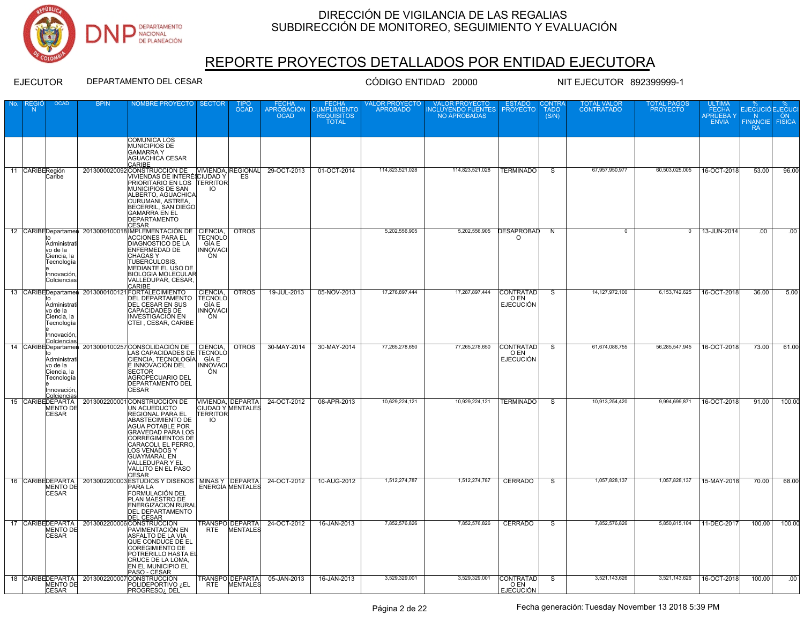

## REPORTE PROYECTOS DETALLADOS POR ENTIDAD EJECUTORA

| No. | <b>REGIO</b><br>N | <b>OCAD</b>                                                                         | <b>BPIN</b> | NOMBRE PROYECTO   SECTOR                                                                                                                                                                                                                                                                                                                  |                                                  | TIPO<br>OCAD                              | FECHA<br>APROBACIÓN<br><b>OCAD</b> | FECHA<br>CUMPLIMIENTO<br><b>REQUISITOS</b><br><b>TOTAL</b> | VALOR PROYECTO<br>APROBADO | VALOR PROYECTO<br>NCLUYENDO FUENTES<br>NO APROBADAS | <b>ESTADO</b><br><b>PROYECTO</b>             | CONTRA<br><b>TADO</b><br>(S/N) | <b>TOTAL VALOR</b><br><b>CONTRATADO</b> | TOTAL PAGOS<br><b>PROYECTO</b> | ULTIMA<br><b>FECHA</b><br><b>APRUEBAY</b><br><b>ENVIA</b> | EJECUCIÓ EJECUCI<br>N ÓN<br>FINANCIE FISICA<br><b>RA</b> |        |
|-----|-------------------|-------------------------------------------------------------------------------------|-------------|-------------------------------------------------------------------------------------------------------------------------------------------------------------------------------------------------------------------------------------------------------------------------------------------------------------------------------------------|--------------------------------------------------|-------------------------------------------|------------------------------------|------------------------------------------------------------|----------------------------|-----------------------------------------------------|----------------------------------------------|--------------------------------|-----------------------------------------|--------------------------------|-----------------------------------------------------------|----------------------------------------------------------|--------|
|     |                   |                                                                                     |             | <b>COMUNICA LOS</b><br>MUNICIPIOS DE<br><b>GAMARRAY</b><br><b>AGUACHICA CESAR</b><br>CARIBE                                                                                                                                                                                                                                               |                                                  |                                           |                                    |                                                            |                            |                                                     |                                              |                                |                                         |                                |                                                           |                                                          |        |
|     | 11 CARIBERegión   | Caribe                                                                              |             | 2013000020092CONSTRUCCIÓN DE VIVIENDA, REGIONAL 29-OCT-2013<br>VIVIENDAS DE INTERÉ\$CIUDAD Y ES<br>PRIORITARIO EN LOS TERRITOR<br>MUNICIPIOS DE SAN<br>ALBERTO, AGUACHICA<br>CURUMANI, ASTREA,<br>BECERRIL, SAN DIEGO<br><b>GAMARRA EN EL</b><br><b>DEPARTAMENTO</b><br>CESAR                                                             | IO.                                              |                                           |                                    | 01-OCT-2014                                                | 114,823,521,028            | 114,823,521,028                                     | <b>TERMINADO</b>                             | -S                             | 67,957,950,977                          | 60,503,025,005                 | 16-OCT-2018                                               | 53.00                                                    | 96.00  |
|     |                   | Administrati<br>vo de la<br>Ciencia, la<br>Tecnología<br>Innovación,<br>Colciencias |             | 12 CARIBEDepartamen 2013000100018 IMPLEMENTACIÓN DE CIENCIA, OTROS<br><b>ACCIONES PARA EL</b><br><b>DIAGNOSTICO DE LA</b><br><b>ENFERMEDAD DE</b><br><b>CHAGASY</b><br><b>TUBERCULOSIS</b><br>MEDIANTE EL USO DE<br><b>BIOLOGIA MOLECULAR</b><br>VALLEDUPAR, CESAR,<br><b>CARIBE</b>                                                      | <b>TECNOLO</b><br>GÍA E<br><b>INNOVACI</b><br>ON |                                           |                                    |                                                            | 5,202,556,905              | 5,202,556,905                                       | <b>DESAPROBAD</b><br>$\Omega$                | $\overline{N}$                 | $^{\circ}$                              | $^{\circ}$                     | 13-JUN-2014                                               | .00                                                      | .00    |
|     |                   | Administrati<br>vo de la<br>Ciencia, la<br>Tecnología<br>Innovación,<br>Colciencias |             | 13 CARIBEDepartamen 2013000100121 FORTALECIMIENTO<br>DEL DEPARTAMENTO   TECNOLO<br>DEL CESAR EN SUS<br>CAPACIDADES DE<br>INVESTIGACIÓN EN<br>CTEI, CESAR, CARIBE                                                                                                                                                                          | CIENCIA,<br>GÍA E<br><b>INNOVACI</b><br>ON       | <b>OTROS</b>                              | 19-JUL-2013                        | 05-NOV-2013                                                | 17,276,897,444             | 17,287,897,444                                      | CONTRATAD<br>O EN<br><b>EJECUCIÓN</b>        | -S                             | 14,127,972,100                          | 6,153,742,625                  | 16-OCT-2018                                               | 36.00                                                    | 5.00   |
|     |                   | Administrat<br>vo de la<br>Ciencia, la<br>Tecnología<br>Innovación,<br>Colciencias  |             | 14 CARIBEDepartamen 2013000100257 CONSOLIDACIÓN DE CIENCIA, OTROS<br>LAS CAPACIDADES DE TECNOLO<br>CIENCIA, TECNOLOGÍA GÍA E<br>E INNOVACIÓN DEL<br><b>SECTOR</b><br>AGROPECUARIO DEL<br><b>DEPARTAMENTO DEL</b><br><b>CESAR</b>                                                                                                          | <b>INNOVACI</b><br>ON.                           |                                           | 30-MAY-2014                        | 30-MAY-2014                                                | 77,265,278,650             | 77,265,278,650                                      | <b>CONTRATAD</b><br>O EN<br><b>EJECUCIÓN</b> | -S                             | 61,674,086,755                          | 56,285,547,945                 | 16-OCT-2018                                               | 73.00                                                    | 61.00  |
|     |                   | <b>CESAR</b>                                                                        |             | 15 CARIBEDEPARTA 2013002200001 CONSTRUCCIÓN DE<br>MENTO DE UN ACUEDUCTO<br><b>REGIONAL PARA EL</b><br>ABASTECIMIENTO DE<br>AGUA POTABLE POR<br><b>GRAVEDAD PARA LOS</b><br><b>CORREGIMIENTOS DE</b><br>CARACOLI, EL PERRO,<br><b>LOS VENADOS Y</b><br><b>GUAYMARAL EN</b><br>VALLEDUPAR Y EL<br><b>VALLITO EN EL PASO</b><br><b>CESAR</b> | <b>TERRITOR</b><br>$\overline{10}$               | CIUDAD Y MENTALES                         | VIVIENDA. DEPARTA 24-OCT-2012      | 08-APR-2013                                                | 10,629,224,121             | 10,929,224,121                                      | <b>TERMINADO</b>                             | s.                             | 10,913,254,420                          | 9,994,699,871                  | 16-OCT-2018                                               | 91.00                                                    | 100.00 |
|     |                   | MENTO DE<br><b>CESAR</b>                                                            |             | 16 CARIBEDEPARTA 2013002200003 ESTUDIOS Y DISEÑOS   MINAS Y DEPARTA 24-OCT-2012<br><b>PARA LA</b><br>FORMULACIÓN DEL<br>PLAN MAESTRO DE<br>ENERGIZACIÓN RURAL<br><b>DEL CESAR</b>                                                                                                                                                         |                                                  | <b>ENERGÍA MENTALES</b>                   |                                    | 10-AUG-2012                                                | 1,512,274,787              | 1,512,274,787                                       | CERRADO                                      | $\overline{s}$                 | 1,057,828,137                           | 1,057,828,137                  | 15-MAY-2018                                               | 70.00                                                    | 68.00  |
|     |                   | <b>MENTO DE</b><br><b>CESAR</b>                                                     |             | 17 CARIBEDEPARTA 2013002200006 CONSTRUCCIÓN<br>PAVIMENTACIÓN EN<br>ASFALTO DE LA VIA<br>QUE CONDUCE DE EL<br>COREGIMIENTO DE<br>POTRERILLO HASTA EL<br>CRUCE DE LA LOMA,<br>EN EL MUNICIPIO EL<br>PASO - CESAR                                                                                                                            | RTE                                              | <b>TRANSPO DEPARTA</b><br><b>MENTALES</b> | 24-OCT-2012                        | 16-JAN-2013                                                | 7,852,576,826              | 7,852,576,826                                       | <b>CERRADO</b>                               | $\overline{s}$                 | 7,852,576,826                           | 5,850,815,104                  | 11-DEC-2017                                               | 100.00                                                   | 100.00 |
|     |                   | MENTO DE<br>CESAR                                                                   |             | 18 CARIBEDEPARTA   2013002200007 CONSTRUCCIÓN<br>POLIDEPORTIVO ¿EL<br>PROGRESO <sub>i</sub> DEL                                                                                                                                                                                                                                           |                                                  | TRANSPO DEPARTA<br>RTE MENTALES           | 05-JAN-2013                        | 16-JAN-2013                                                | 3,529,329,001              | 3,529,329,001                                       | <b>CONTRATAD</b><br>O EN<br><b>EJECUCIÓN</b> | $\overline{s}$                 | 3,521,143,626                           | 3,521,143,626                  | 16-OCT-2018                                               | 100.00                                                   | .00    |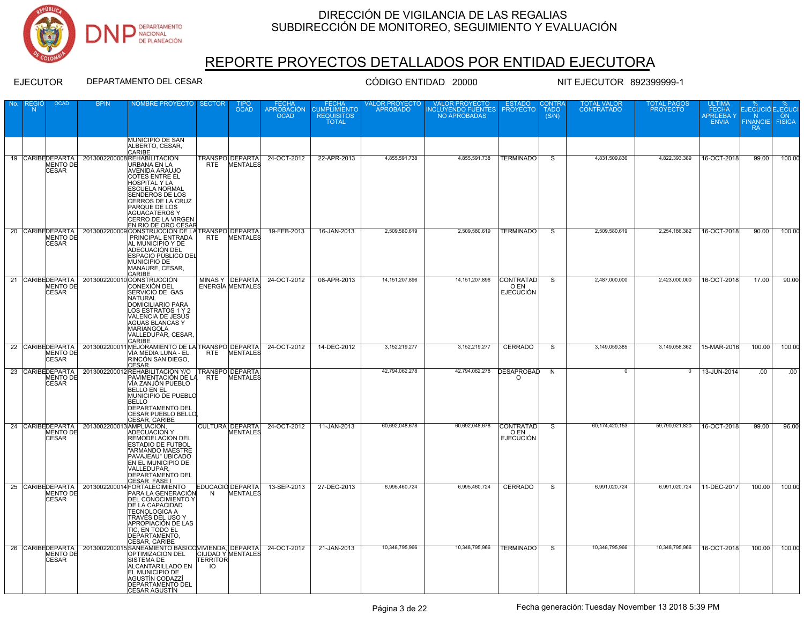

# REPORTE PROYECTOS DETALLADOS POR ENTIDAD EJECUTORA

| No.             | N | <b>OCAD</b>                     |                                            | NOMBRE PROYECTO SECTOR                                                                                                                                                                                                                                                                                                                 |                       | <b>OCAD</b>                                | FECHA<br>APROBACIÓN<br><b>OCAD</b> | <b>CUMPLIMIENTO</b><br><b>REQUISITOS</b><br><b>TOTAL</b> | VALOR PROYECTO<br><b>APROBADO</b> | <b>VALOR PROYECTO</b><br>INCLUYENDO FUENTES PROYECTO<br>NO APROBADAS |                                              | <b>TADO</b><br>(S/N) | <b>CONTRATADO</b>  | <b>PROYECTO</b> | <b>FECHA</b><br><b>APRUEBAY</b><br><b>ENVIA</b> | EJECUCIÓ EJECUCI<br>N<br>FINANCIE FISICA<br><b>RA</b> | ON 5             |
|-----------------|---|---------------------------------|--------------------------------------------|----------------------------------------------------------------------------------------------------------------------------------------------------------------------------------------------------------------------------------------------------------------------------------------------------------------------------------------|-----------------------|--------------------------------------------|------------------------------------|----------------------------------------------------------|-----------------------------------|----------------------------------------------------------------------|----------------------------------------------|----------------------|--------------------|-----------------|-------------------------------------------------|-------------------------------------------------------|------------------|
|                 |   |                                 |                                            | MUNICIPIO DE SAN<br>ALBERTO, CESAR,<br><b>CARIBE</b>                                                                                                                                                                                                                                                                                   |                       |                                            |                                    |                                                          |                                   |                                                                      |                                              |                      |                    |                 |                                                 |                                                       |                  |
|                 |   | MENTO DE<br><b>CESAR</b>        |                                            | 19 CARIBEDEPARTA   2013002200008 REHABILITACIÓN<br>URBANA EN LA<br>AVENIDA ARAUJO<br><b>COTES ENTRE EL</b><br><b>HOSPITAL Y LA</b><br><b>ESCUELA NORMAL</b><br>SENDEROS DE LOS<br>CERROS DE LA CRUZ<br>PARQUE DE LOS<br><b>AGUACATEROS Y</b><br>CERRO DE LA VIRGEN<br>20 CARIBEDEPARTA 2013002200009CONSTRUCCIÓN DE LA TRANSPO DEPARTA | RTE                   | TRANSPOI DEPARTAI<br>MENTALES              | 24-OCT-2012                        | 22-APR-2013                                              | 4,855,591,738                     | 4,855,591,738                                                        | <b>TERMINADO</b>                             | $\overline{s}$       | 4,831,509,836      | 4,822,393,389   | 16-OCT-2018                                     | 99.00                                                 | 100.00           |
|                 |   | <b>MENTO DE</b><br>CESAR        |                                            | PRINCIPAL ENTRADA<br>AL MUNICIPIO Y DE<br>ADECUACIÓN DEL<br><b>ESPACIO PÚBLICO DEL</b><br><b>MUNICIPIO DE</b><br>MANAURE, CESAR,<br>CARIBE                                                                                                                                                                                             | RTE                   | <b>MENTALES</b>                            | 19-FEB-2013                        | 16-JAN-2013                                              | 2,509,580,619                     | 2,509,580,619                                                        | <b>TERMINADO</b>                             | $\overline{s}$       | 2,509,580,619      | 2,254,186,382   | 16-OCT-2018                                     | 90.00                                                 | 100.00           |
|                 |   | <b>CESAR</b>                    |                                            | 21 CARIBEDEPARTA 2013002200010 CONSTRUCCIÓN<br>MENTO DE CONEXIÓN DEL<br>SERVICIO DE GAS<br><b>NATURAL</b><br>DOMICILIARIO PARA<br>LOS ESTRATOS 1 Y 2<br>VALENCIA DE JESÚS<br>AGUAS BLANCAS Y<br>MARIANGOLA<br>VALLEDUPAR, CESAR,<br>CARIBE                                                                                             |                       | MINAS Y DEPARTA<br><b>ENERGIA MENTALES</b> | 24-OCT-2012                        | 08-APR-2013                                              | 14, 151, 207, 896                 | 14, 151, 207, 896                                                    | CONTRATAD<br>O EN<br><b>EJECUCIÓN</b>        | -S                   | 2,487,000,000      | 2,423,000,000   | 16-OCT-2018                                     | 17.00                                                 | 90.00            |
|                 |   | MENTO DE<br><b>CESAR</b>        |                                            | 22 CARIBEDEPARTA 2013002200011MEJORAMIENTO DE LA TRANSPO DEPARTA 24-OCT-2012<br>VÍA MEDIA LUNA - EL<br>RINCÓN SAN DIEGO,<br>CESAR                                                                                                                                                                                                      |                       | RTE MENTALES                               |                                    | 14-DEC-2012                                              | 3,152,219,277                     | 3,152,219,277                                                        | CERRADO                                      | $\overline{s}$       | 3,149,059,385      | 3,149,058,362   | 15-MAR-2016                                     | 100.00                                                | 100.00           |
|                 |   |                                 |                                            | 23 CARIBEDEPARTA 2013002200012REHABILITACIÓN Y/O TRANSPO DEPARTA<br>MENTO DE MENTALES<br>CESAR VÍA ZANJÓN PUEBLO<br><b>BELLO EN EL</b><br>MUNICIPIO DE PUEBLO<br><b>BELLO</b><br><b>DEPARTAMENTO DEL</b><br>CESAR PUEBLO BELLO<br>CESAR, CARIBE                                                                                        |                       | MENTALES                                   |                                    |                                                          | 42,794,062,278                    | 42,794,062,278 DESAPROBAD                                            | $\Omega$                                     | N                    | $\overline{\circ}$ | $\overline{0}$  | 13-JUN-2014                                     | $\overline{.00}$                                      | $\overline{.00}$ |
|                 |   | <b>MENTO DE</b><br><b>CESAR</b> | 24 CARIBEDEPARTA 2013002200013 AMPLIACIÓN, | <b>ADECUACION Y</b><br>REMODELACION DEL<br><b>ESTADIO DE FUTBOL</b><br>"ARMANDO MAESTRE<br>PAVAJEAU" UBICADO<br>EN EL MUNICIPIO DE<br>VALLEDUPAR,<br><b>DEPARTAMENTO DEL</b>                                                                                                                                                           |                       | <b>MENTALES</b>                            | CULTURA DEPARTA 24-OCT-2012        | 11-JAN-2013                                              | 60,692,048,678                    | 60,692,048,678                                                       | <b>CONTRATAD</b><br>O EN<br><b>EJECUCIÓN</b> | s.                   | 60,174,420,153     | 59,790,921,820  | 16-OCT-2018                                     | 99.00                                                 | 96.00            |
|                 |   | MENTO DE<br><b>CESAR</b>        |                                            | 25 CARIBEDEPARTA 2013002200014 FORTALECIMIENTO<br>PARA LA GENERACIÓN EDUCACIÓ DEPARTA -<br>PARA LA GENERACIÓN NA ENFRITA -<br>DEL CONOCIMIENTA VI<br><b>DE LA CAPACIDAD</b><br><b>TECNOLOGICA A</b><br>TRAVÉS DEL USO Y<br>APROPIACIÓN DE LAS<br>itic, en todo el<br>DEPARTAMENTO,<br><b>CESAR, CARIBE</b>                             |                       |                                            | 13-SEP-2013                        | 27-DEC-2013                                              | 6,995,460,724                     | 6,995,460,724                                                        | <b>CERRADO</b>                               | $\overline{s}$       | 6,991,020,724      | 6,991,020,724   | 11-DEC-2017                                     | 100.00                                                | 100.00           |
| $\overline{26}$ |   | <b>CESAR</b>                    |                                            | CARIBEDEPARTA 2013002200015SANEAMENTO BASICOVIVIENDA, DEPARTA 24-OCT-2012<br>MENTO DE OPTIMIZACION DEL CIUDAD Y MENTALES<br>SISTEMA DE<br>ALCANTARILLADO EN<br>EL MUNICIPIO DE<br>AGUSTÍN CODAZZÍ<br>DEPARTAMENTO DEL<br><b>CESAR AGUSTÍN</b>                                                                                          | <b>TERRITOR</b><br>IO |                                            |                                    | 21-JAN-2013                                              | 10,348,795,966                    | 10,348,795,966                                                       | <b>TERMINADO</b>                             | $\overline{s}$       | 10,348,795,966     | 10,348,795,966  | 16-OCT-2018                                     | 100.00                                                | 100.00           |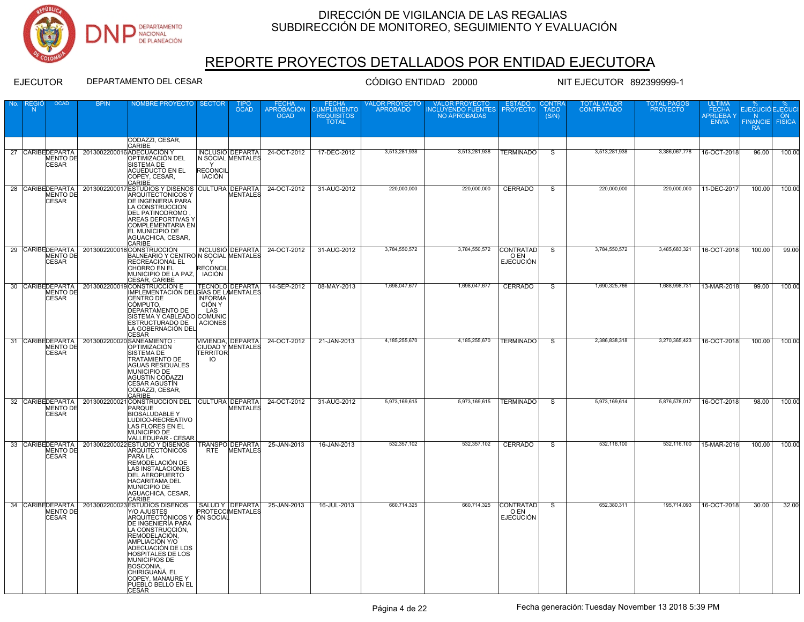

# REPORTE PROYECTOS DETALLADOS POR ENTIDAD EJECUTORA

| No.             | - N | <b>OCAD</b>                                         | <b>BPIN</b>                      | NOMBRE PROYECTO SECTOR                                                                                                                                                                                                                                                                                                      |                                  | <b>OCAD</b>                                | <b>APROBACIÓN</b><br><b>OCAD</b> | <b>CUMPLIMIENTO</b><br><b>REQUISITOS</b><br><b>TOTAL</b> | LOR PROYECTO<br><b>APROBADO</b> | <b>VALOR PROYECTO</b><br><b>INCLUYENDO FUENTES</b><br><b>NO APROBADAS</b> | <b>PROYECTO</b>                              | <b>TADO</b><br>(S/N) | <b>CONTRATADO</b> | <b>PROYECTO</b> | <b>FECHA</b><br><b>APRUEBAY</b><br><b>ENVIA</b> | EJECUCIÓ EJECUCI<br>N<br><b>FINANCIE FISICA</b><br>-RA | ON .   |
|-----------------|-----|-----------------------------------------------------|----------------------------------|-----------------------------------------------------------------------------------------------------------------------------------------------------------------------------------------------------------------------------------------------------------------------------------------------------------------------------|----------------------------------|--------------------------------------------|----------------------------------|----------------------------------------------------------|---------------------------------|---------------------------------------------------------------------------|----------------------------------------------|----------------------|-------------------|-----------------|-------------------------------------------------|--------------------------------------------------------|--------|
|                 |     |                                                     |                                  | CODAZZI, CESAR,                                                                                                                                                                                                                                                                                                             |                                  |                                            |                                  |                                                          |                                 |                                                                           |                                              |                      |                   |                 |                                                 |                                                        |        |
| 27              |     | MENTO DE<br>CESAR                                   |                                  | CARIBE<br>CARIBEDEPARTA   2013002200016 ADECUACIÓN Y<br>OPTIMIZACIÓN DEL<br>SISTEMA DE<br><b>ACUEDUCTO EN EL</b><br>COPEY, CESAR,                                                                                                                                                                                           | <b>RECONCIL</b><br><b>IACIÓN</b> | INCLUSIÓ DEPARTA<br>N SOCIAL MENTALES      | 24-OCT-2012                      | 17-DEC-2012                                              | 3,513,281,938                   | 3,513,281,938                                                             | <b>TERMINADO</b>                             | $\overline{s}$       | 3,513,281,938     | 3,386,067,778   | 16-OCT-2018                                     | 96.00                                                  | 100.00 |
|                 |     | MENTO DE<br><b>CESAR</b>                            |                                  | CARIBE<br>28 CARIBEDEPARTA   2013002200017 ESTUDIOS Y DISEÑOS CULTURA DEPARTA<br><b>ARQUITECTONICOS Y</b><br><b>DE INGENIERIA PARA</b><br>LA CONSTRUCCION<br><b>DEL PATINODROMO</b><br><b>AREAS DEPORTIVAS Y</b><br><b>COMPLEMENTARIA EN</b><br>EL MUNICIPIO DE<br>AGUACHICA, CESAR,<br>CARIBE                              |                                  | <b>MENTALES</b>                            | 24-OCT-2012                      | 31-AUG-2012                                              | 220,000,000                     | 220,000,000                                                               | CERRADO                                      | $\overline{s}$       | 220,000,000       | 220,000,000     | 11-DEC-2017                                     | 100.00                                                 | 100.00 |
|                 |     | MENTO DE<br><b>CESAR</b>                            |                                  | 29 CARIBEDEPARTA   2013002200018 CONSTRUCCIÓN<br>BALNEARIO Y CENTRON SOCIAL MENTALES<br><b>RECREACIONAL EL</b><br>CHORRO EN EL<br>MUNICIPIO DE LA PAZ,<br>CESAR, CARIBE                                                                                                                                                     | <b>RECONCIL</b><br><b>IACIÓN</b> |                                            | INCLUSIO DEPARTA 24-OCT-2012     | 31-AUG-2012                                              | 3,784,550,572                   | 3,784,550,572                                                             | CONTRATAD<br>O EN<br><b>EJECUCIÓN</b>        | -S                   | 3,784,550,572     | 3,485,683,321   | 16-OCT-2018                                     | 100.00                                                 | 99.00  |
|                 |     | MENTO DE<br><b>CESAR</b>                            |                                  | 30 CARIBEDEPARTA 2013002200019 CONSTRUCCIÓN E<br>IMPLEMENTACIÓN DELGÍAS DE LAMENTALES<br>CENTRO DE<br>CÓMPUTO.<br>DEPARTAMENTO DE<br>SISTEMA Y CABLEADO COMUNIC<br>ESTRUCTURADO DE   ACIONES<br>LA GOBERNACIÓN DEL<br>CESAR                                                                                                 | <b>INFORMA</b><br>CIÓN Y<br>LAS  | <b>TECNOLO DEPARTA</b>                     | 14-SEP-2012                      | 08-MAY-2013                                              | 1,698,047,677                   | 1,698,047,677                                                             | CERRADO                                      | S                    | 1,690,325,766     | 1,688,998,731   | 13-MAR-2018                                     | 99.00                                                  | 100.00 |
|                 |     | 31 CARIBEDEPARTA<br>MENTO DE<br><b>CESAR</b>        |                                  | 2013002200020 SANEAMIENTO:<br>OPTIMIZACIÓN<br>SISTEMA DE<br><b>TRATAMIENTO DE</b><br><b>AGUAS RESIDUALES</b><br>MUNICIPIO DE<br><b>AGUSTIN CODAZZI</b><br><b>CESAR AGUSTÍN</b><br>CODAZZI, CESAR,<br>CARIBE                                                                                                                 | <b>TERRITOR</b><br>IO            | VIVIENDA, DEPARTA<br>CIUDAD Y MENTALES     | 24-OCT-2012                      | 21-JAN-2013                                              | 4,185,255,670                   | 4,185,255,670                                                             | <b>TERMINADO</b>                             | <sub>S</sub>         | 2,386,838,318     | 3,270,365,423   | 16-OCT-2018                                     | 100.00                                                 | 100.00 |
|                 |     | MENTO DE<br><b>CESAR</b>                            | 32 CARIBEDEPARTA   2013002200021 | 1CONSTRUCCIÓN DEL CULTURA DEPARTA<br><b>PARQUE</b><br><b>BIOSALUDABLE Y</b><br>LUDICO-RECREATIVO<br>LAS FLORES EN EL<br>MUNICIPIO DE<br>VALLEDUPAR - CESAR                                                                                                                                                                  |                                  | <b>MENTALES</b>                            | 24-OCT-2012                      | 31-AUG-2012                                              | 5,973,169,615                   | 5,973,169,615                                                             | <b>TERMINADO</b>                             | s.                   | 5,973,169,614     | 5,876,578,017   | 16-OCT-2018                                     | 98.00                                                  | 100.00 |
| $\overline{33}$ |     | CARIBEDEPARTA<br>MENTO DE<br><b>CESAR</b>           |                                  | 2013002200022 ESTUDIO Y DISEÑOS<br><b>ARQUITECTÓNICOS</b><br><b>PARA LA</b><br>REMODELACIÓN DE<br><b>LAS INSTALACIONES</b><br><b>DEL AEROPUERTO</b><br><b>HACARITAMA DEL</b><br>MUNICIPIO DE<br>AGUACHICA, CESAR,<br>CARIBE                                                                                                 | RTE                              | <b>TRANSPO DEPARTA</b><br><b>MENTALES</b>  | 25-JAN-2013                      | 16-JAN-2013                                              | 532,357,102                     | 532,357,102                                                               | <b>CERRADO</b>                               | S                    | 532,116,100       | 532,116,100     | 15-MAR-2016                                     | 100.00                                                 | 100.00 |
|                 |     | 34 CARIBEDEPARTA<br><b>MENTO DE</b><br><b>CESAR</b> |                                  | 2013002200023 ESTUDIOS DISEÑOS<br><b>Y/O AJUSTES</b><br>ARQUITECTÓNICOS Y ÓN SOCIAL<br>DE INGENIERÍA PARA<br>LA CONSTRUCCIÓN,<br>REMODELACIÓN,<br>AMPLIACIÓN Y/O<br>ADECUACIÓN DE LOS<br><b>HOSPITALES DE LOS</b><br>MUNICIPIOS DE<br>BOSCONIA.<br>CHIRIGUANÁ, EL<br>COPEY, MANAURE Y<br>PUEBLO BELLO EN EL<br><b>CESAR</b> |                                  | SALUD Y DEPARTA<br><b>PROTECCIMENTALES</b> | 25-JAN-2013                      | 16-JUL-2013                                              | 660,714,325                     | 660,714,325                                                               | <b>CONTRATAD</b><br>O EN<br><b>EJECUCIÓN</b> | $\overline{s}$       | 652,380,311       | 195,714,093     | 16-OCT-2018                                     | 30.00                                                  | 32.00  |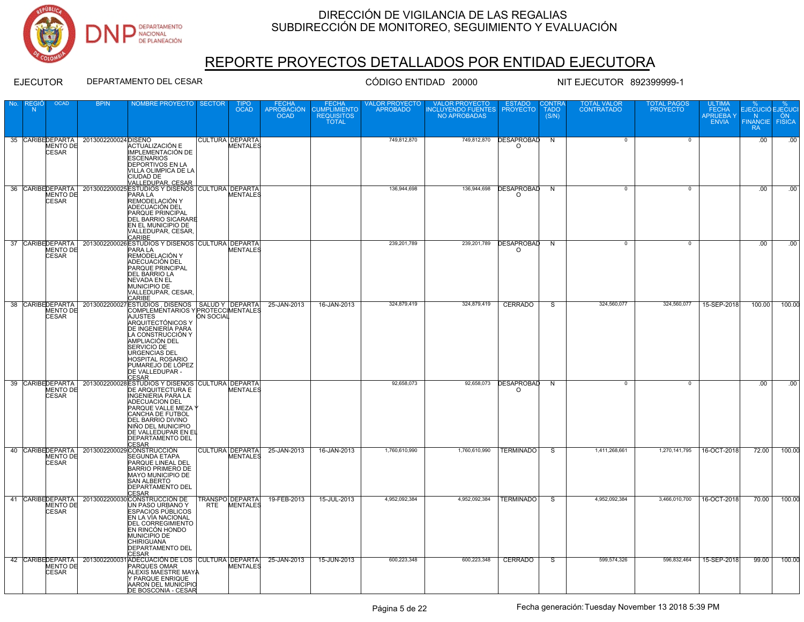

# REPORTE PROYECTOS DETALLADOS POR ENTIDAD EJECUTORA

| No. | N | <b>OCAD</b>              | <b>BPIN</b>                          | NOMBRE PROYECTO SECTOR                                                                                                                                                                                                                                                                                           |           | TIPO<br><b>OCAD</b>                | FECHA<br>APROBACIÓN<br><b>OCAD</b> | FECHA<br><b>CUMPLIMIENTO</b><br><b>REQUISITOS</b><br><b>TOTAL</b> | <b>VALOR PROYECTO</b><br><b>APROBADO</b> | <b>VALOR PROYECTO</b><br><b>INCLUYENDO FUENTES</b><br>NO APROBADAS | <b>ESTADO</b><br><b>PROYECTO</b>   | ONTR/<br><b>TADO</b><br>(S/N) | TOTAL VALOR<br><b>CONTRATADO</b> | <b>TOTAL PAGOS</b><br><b>PROYECTO</b> | <b>ULTIMA</b><br><b>FECHA</b><br><b>APRUEBA</b> Y<br><b>ENVIA</b> | EJECUCIÓ EJECUCI<br>- N-<br><b>FINANCIE FISICA</b><br><b>RA</b> | ÓN               |
|-----|---|--------------------------|--------------------------------------|------------------------------------------------------------------------------------------------------------------------------------------------------------------------------------------------------------------------------------------------------------------------------------------------------------------|-----------|------------------------------------|------------------------------------|-------------------------------------------------------------------|------------------------------------------|--------------------------------------------------------------------|------------------------------------|-------------------------------|----------------------------------|---------------------------------------|-------------------------------------------------------------------|-----------------------------------------------------------------|------------------|
| 35  |   | MENTO DE<br><b>CESAR</b> | CARIBEDEPARTA   2013002200024 DISEÑO | ACTUALIZACIÓN E<br>IMPLEMENTACIÓN DE<br><b>ESCENARIOS</b><br><b>DEPORTIVOS EN LA</b><br>VILLA OLIMPICA DE LA<br><b>CIUDAD DE</b><br>VALLEDUPAR, CESAR                                                                                                                                                            |           | <b>CULTURA DEPARTA</b><br>MENTALES |                                    |                                                                   | 749,812,870                              |                                                                    | 749,812,870 DESAPROBAD<br>$\Omega$ | N                             |                                  | 0                                     |                                                                   | .00.                                                            | .00              |
|     |   | MENTO DE<br><b>CESAR</b> |                                      | 36 CARIBEDEPARTA 2013002200025 ESTUDIOS Y DISEÑOS CULTURA DEPARTA<br>PARA LA<br>REMODELACIÓN Y<br>ADECUACIÓN DEL<br><b>PARQUE PRINCIPAL</b><br><b>DEL BARRIO SICARARE</b><br>EN EL MUNICIPIO DE<br>VALLEDUPAR, CESAR,<br>CARIBE                                                                                  |           | <b>MENTALES</b>                    |                                    |                                                                   | 136,944,698                              | 136,944,698                                                        | <b>DESAPROBAD</b><br>$\Omega$      | N                             | $\overline{0}$                   | $\Omega$                              |                                                                   | $\overline{.00}$                                                | $\overline{.00}$ |
| 37  |   | MENTO DE<br><b>CESAR</b> |                                      | CARIBEDEPARTA   2013002200026 ESTUDIOS Y DISEÑOS CULTURA DEPARTA<br>PARA LA<br>REMODELACIÓN Y<br>ADECUACIÓN DEL<br><b>PARQUE PRINCIPAL</b><br><b>DEL BARRIO LA</b><br><b>NEVADA EN EL</b><br><b>MUNICIPIO DE</b><br>VALLEDUPAR, CESAR,<br>CARIBE                                                                 |           | <b>MENTALES</b>                    |                                    |                                                                   | 239,201,789                              | 239,201,789                                                        | <b>DESAPROBAD</b><br>$\circ$       | N                             | $\overline{0}$                   | $\overline{0}$                        |                                                                   | .00                                                             | .00              |
| 38  |   | CESAR                    |                                      | CARIBEDEPARTA 2013002200027 ESTUDIOS , DISEÑOS SALUD Y DEPARTA<br>AJUSTES<br><b>ARQUITECTÓNICOS Y</b><br>DE INGENIERÍA PARA<br>LA CONSTRUCCIÓN Y<br>AMPLIACIÓN DEL<br><b>SERVICIO DE</b><br><b>URGENCIAS DEL</b><br><b>HOSPITAL ROSARIO</b><br>PUMAREJO DE LÓPEZ<br>DE VALLEDUPAR -<br><b>CESAR</b>              | ÓN SOCIAL |                                    | 25-JAN-2013                        | 16-JAN-2013                                                       | 324,879,419                              | 324,879,419                                                        | <b>CERRADO</b>                     | S.                            | 324,560,077                      | 324,560,077                           | 15-SEP-2018                                                       | 100.00                                                          | 100.00           |
| 39  |   | <b>CESAR</b>             |                                      | CARIBEDEPARTA 2013002200028ESTUDIOS Y DISEÑOS CULTURA DEPARTA<br>MENTO DE DE ARQUITECTURA E<br><b>INGENIERIA PARA LA</b><br><b>ADECUACION DEL</b><br>PARQUE VALLE MEZA Y<br>CANCHA DE FUTBOL<br><b>DEL BARRIO DIVINO</b><br>NIÑO DEL MUNICIPIO<br>DE VALLEDUPAR EN EL<br><b>DEPARTAMENTO DEL</b><br><b>CESAR</b> |           |                                    |                                    |                                                                   | 92,658,073                               | 92,658,073                                                         | <b>DESAPROBAD</b><br>$\circ$       | N                             | $\overline{0}$                   | $\circ$                               |                                                                   | .00                                                             | .00              |
|     |   | MENTO DE<br><b>CESAR</b> |                                      | 40 CARIBEDEPARTA 2013002200029 CONSTRUCCIÓN<br><b>SEGUNDA ETAPA</b><br>PAROUE LINEAL DEL<br><b>BARRIO PRIMERO DE</b><br>MAYO MUNICIPIO DE<br><b>SAN ALBERTO</b><br><b>DEPARTAMENTO DEL</b><br>CESAR                                                                                                              |           | CULTURA DEPARTA<br>MENTALES        | 25-JAN-2013                        | 16-JAN-2013                                                       | 1,760,610,990                            | 1,760,610,990                                                      | <b>TERMINADO</b>                   | S.                            | 1,411,268,661                    | 1,270,141,795                         | 16-OCT-2018                                                       | 72.00                                                           | 100.00           |
|     |   | MENTO DE<br><b>CESAR</b> |                                      | 41 CARIBEDEPARTA 2013002200030 CONSTRUCCIÓN DE<br>UN PASO URBANO Y<br><b>ESPACIOS PÚBLICOS</b><br>EN LA VÍA NACIONAL<br><b>DEL CORREGIMIENTO</b><br>EN RINCÓN HONDO<br>MUNICIPIO DE<br><b>CHIRIGUANA</b><br><b>DEPARTAMENTO DEL</b><br><b>CESAR</b>                                                              | RTE       | TRANSPO DEPARTA<br><b>MENTALES</b> | 19-FEB-2013                        | 15-JUL-2013                                                       | 4.952.092.384                            | 4.952.092.384                                                      | <b>TERMINADO</b>                   | S.                            | 4.952.092.384                    | 3.466.010.700                         | 16-OCT-2018                                                       | 70.00                                                           | 100.00           |
|     |   | MENTO DE<br><b>CESAR</b> |                                      | 42 CARIBEDEPARTA   2013002200031 ADECUACIÓN DE LOS CULTURA   DEPARTA  <br><b>PARQUES OMAR</b><br>ALEXIS MAESTRE MAYA<br>Y PARQUE ENRIQUE<br><b>AARON DEL MUNICIPIO</b><br><b>DE BOSCONIA - CESAR</b>                                                                                                             |           | <b>MENTALES</b>                    | 25-JAN-2013                        | 15-JUN-2013                                                       | 600.223.348                              | 600.223.348                                                        | CERRADO                            | S                             | 599.574.326                      | 596.832.464                           | 15-SEP-2018                                                       | 99.00                                                           | 100.00           |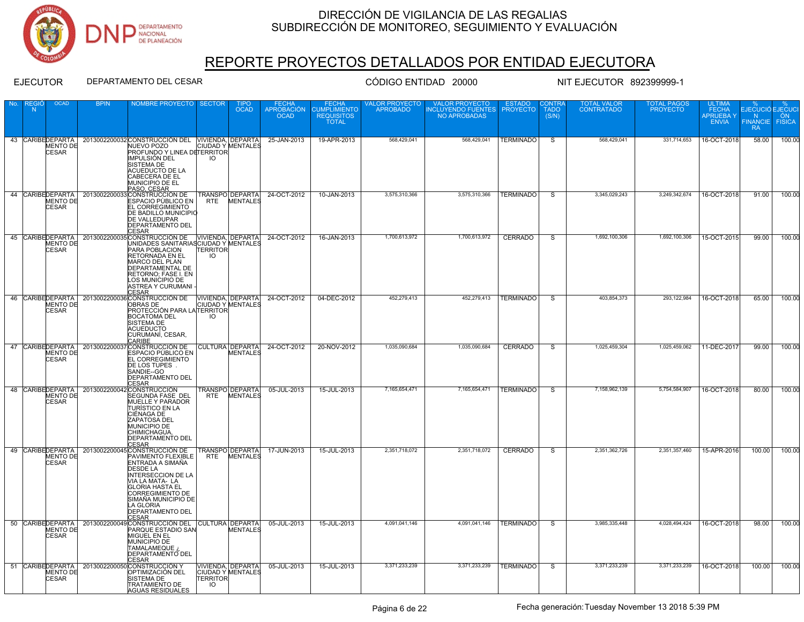

# REPORTE PROYECTOS DETALLADOS POR ENTIDAD EJECUTORA

| No. | N |                          | <b>NOMBRE PROYECTO SECTOR</b>                                                                                                                                                                                                                                                                                    |                       | <b>OCAD</b>                                   | <b>APROBACIÓN</b><br><b>OCAD</b> | <b>CUMPLIMIENTO</b><br><b>REQUISITOS</b><br><b>TOTAL</b> | ROYECTO<br><b>APROBADO</b> | <b>INCLUYENDO FUENTES</b><br><b>NO APROBADAS</b> | <b>PROYECTO</b>  | <b>TADO</b><br>(S/N) | <b>CONTRATADO</b> | <b>PROYECTO</b> | <b>FECHA</b><br><b>APRUEBAY</b><br><b>ENVIA</b> | EJECUCIÓ EJECUCI<br><b>N</b><br><b>FINANCIE FISICA</b><br><b>RA</b> | ON .   |
|-----|---|--------------------------|------------------------------------------------------------------------------------------------------------------------------------------------------------------------------------------------------------------------------------------------------------------------------------------------------------------|-----------------------|-----------------------------------------------|----------------------------------|----------------------------------------------------------|----------------------------|--------------------------------------------------|------------------|----------------------|-------------------|-----------------|-------------------------------------------------|---------------------------------------------------------------------|--------|
|     |   | MENTO DE<br><b>CESAR</b> | 43 CARIBEDEPARTA   2013002200032 CONSTRUCCIÓN DEL VIVIENDA, DEPARTA<br>NUEVO POZO<br><b>PROFUNDO Y LINEA DETERRITOR</b><br><b>IMPULSIÓN DEL</b><br>SISTEMA DE<br><b>ACUEDUCTO DE LA</b><br>CABECERA DE EL<br>MUNICIPIO DE EL<br>PASO, CESAR                                                                      | IO                    | <b>CIUDAD Y MENTALES</b>                      | 25-JAN-2013                      | 19-APR-2013                                              | 568,429,041                | 568,429,041                                      | <b>TERMINADO</b> | -S                   | 568,429,041       | 331,714,653     | 16-OCT-2018                                     | 58.00                                                               | 100.00 |
|     |   | MENTO DE<br><b>CESAR</b> | 44 CARIBEDEPARTA   2013002200033 CONSTRUCCIÓN DE<br>ESPACIO PÙBLICO EN<br><b>EL CORREGIMIENTO</b><br><b>DE BADILLO MUNICIPIO</b><br><b>DE VALLEDUPAR</b><br><b>DEPARTAMENTO DEL</b><br><b>CESAR</b>                                                                                                              | RTE                   | <b>TRANSPO DEPARTAL</b><br><b>MENTALES</b>    | 24-OCT-2012                      | 10-JAN-2013                                              | 3,575,310,366              | 3,575,310,366                                    | <b>TERMINADO</b> | $\overline{s}$       | 3,345,029,243     | 3,249,342,674   | 16-OCT-2018                                     | 91.00                                                               | 100.00 |
| 45  |   | MENTO DE<br><b>CESAR</b> | CARIBE DEPARTA   2013002200035 CONSTRUCCIÓN DE   VIVIENDA, DEPARTA  <br>UNIDADES SANITARIASCIUDAD Y MENTALES<br>PARA POBLACION<br><b>RETORNADA EN EL</b><br>MARCO DEL PLAN<br><b>DEPARTAMENTAL DE</b><br>RETORNO; FASE I. EN<br>LOS MUNICIPIO DE<br>ASTREA Y CURUMANI<br><b>CESAR</b>                            | <b>TERRITOR</b><br>IO |                                               | 24-OCT-2012                      | 16-JAN-2013                                              | 1,700,613,972              | 1,700,613,972                                    | <b>CERRADO</b>   | $\overline{s}$       | 1,692,100,306     | 1,692,100,306   | 15-OCT-2015                                     | 99.00                                                               | 100.00 |
|     |   | MENTO DE<br>CESAR        | 46 CARIBEDEPARTA   2013002200036 CONSTRUCCIÓN DE<br><b>OBRAS DE</b><br>PROTECCIÓN PARA LA TERRITOR<br><b>BOCATOMA DEL</b><br>SISTEMA DE<br><b>ACUEDUCTO</b><br>CURUMANÍ, CESAR,<br>CARIBE                                                                                                                        | IO                    | VIVIENDA, DEPARTA<br><b>CIUDAD Y MENTALES</b> | 24-OCT-2012                      | 04-DEC-2012                                              | 452,279,413                | 452,279,413                                      | <b>TERMINADO</b> | $\mathbf{s}$         | 403,854,373       | 293,122,984     | 16-OCT-2018                                     | 65.00                                                               | 100.00 |
|     |   | MENTO DE<br><b>CESAR</b> | 47 CARIBEDEPARTA 2013002200037 CONSTRUCCIÓN DE<br>ESPACIO PÙBLICO EN<br><b>EL CORREGIMIENTO</b><br>DE LOS TUPES.<br>SANDIE--GO<br><b>DEPARTAMENTO DEL</b><br><b>CESAR</b>                                                                                                                                        |                       | CULTURA DEPARTA<br><b>MENTALES</b>            | 24-OCT-2012                      | 20-NOV-2012                                              | 1,035,090,684              | 1,035,090,684                                    | <b>CERRADO</b>   | $\overline{s}$       | 1,025,459,304     | 1,025,459,062   | 11-DEC-2017                                     | 99.00                                                               | 100.00 |
|     |   | MENTO DE<br><b>CESAR</b> | 48 CARIBEDEPARTA 2013002200042 CONSTRUCCIÓN<br><b>SEGUNDA FASE DEL</b><br><b>MUELLE Y PARADOR</b><br><b>TURÍSTICO EN LA</b><br>CIÉNAGA DE<br>ZAPATOSA DEL<br>MUNICIPIO DE<br>CHIMICHAGUA,<br>DEPARTAMENTO DEL<br><b>CESAR</b>                                                                                    | <b>RTE</b>            | TRANSPO DEPARTA<br>MENTALES                   | 05-JUL-2013                      | 15-JUL-2013                                              | 7.165.654.471              | 7.165.654.471                                    | <b>TERMINADO</b> | -S                   | 7.158.962.139     | 5,754,584,907   | 16-OCT-2018                                     | 80.00                                                               | 100.00 |
|     |   | MENTO DE<br><b>CESAR</b> | 49 CARIBEDEPARTA   2013002200045 CONSTRUCCIÓN DE TRANSPO DEPARTA<br>PAVIMENTO FLEXIBLE<br>ENTRADA A SIMAÑA<br><b>DESDE LA</b><br><b>INTERSECCION DE LA</b><br>VIA LA MATA-LA<br><b>GLORIA HASTA EL</b><br><b>CORREGIMIENTO DE</b><br>SIMAÑA MUNICIPIO DE<br>LA GLORIA<br><b>DEPARTAMENTO DEL</b><br><b>CESAR</b> | RTE                   | MENTALES                                      | 17-JUN-2013                      | 15-JUL-2013                                              | 2,351,718,072              | 2,351,718,072                                    | <b>CERRADO</b>   | -S                   | 2,351,362,726     | 2,351,357,460   | 15-APR-2016                                     | 100.00                                                              | 100.00 |
|     |   | MENTO DE<br><b>CESAR</b> | 50 CARIBEDEPARTA   2013002200049 CONSTRUCCIÓN DEL CULTURA DEPARTA<br>PARQUE ESTADIO SAN<br>MIGUEL EN EL<br>MUNICIPIO DE<br>TAMALAMEQUE ;<br><b>DEPARTAMENTO DEL</b><br><b>CESAR</b>                                                                                                                              |                       | <b>MENTALES</b>                               | 05-JUL-2013                      | 15-JUL-2013                                              | 4,091,041,146              | 4,091,041,146                                    | <b>TERMINADO</b> | $\overline{s}$       | 3,985,335,448     | 4,028,494,424   | 16-OCT-2018                                     | 98.00                                                               | 100.00 |
| 51  |   | MENTO DE<br><b>CESAR</b> | CARIBEDEPARTA   2013002200050 CONSTRUCCIÓN Y<br>OPTIMIZACIÓN DEL<br>SISTEMA DE<br><b>TRATAMIENTO DE</b><br>AGUAS RESIDUALES                                                                                                                                                                                      | <b>TERRITOR</b><br>IO | VIVIENDA, DEPARTA<br><b>CIUDAD Y MENTALES</b> | 05-JUL-2013                      | 15-JUL-2013                                              | 3,371,233,239              | 3,371,233,239                                    | <b>TERMINADO</b> | -S                   | 3,371,233,239     | 3,371,233,239   | 16-OCT-2018                                     | 100.00                                                              | 100.00 |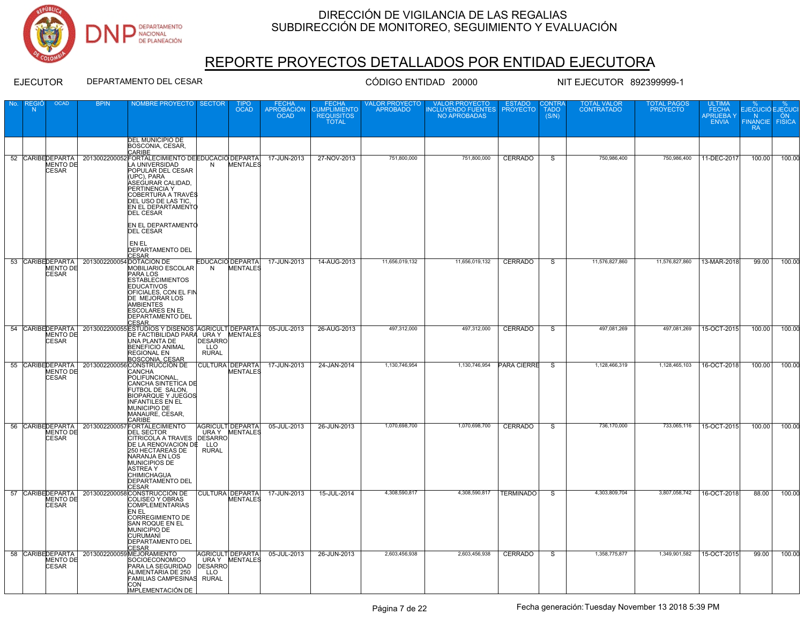

# REPORTE PROYECTOS DETALLADOS POR ENTIDAD EJECUTORA

| No. | <b>REGIÓ</b><br>N | <b>OCAD</b>                     | <b>BPIN</b>                                  | NOMBRE PROYECTO   SECTOR                                                                                                                                                                                                                                                      |                                       | TIPO<br><b>OCAD</b>                       | FECHA<br>APROBACIÓN<br><b>OCAD</b> | FECHA<br><b>CUMPLIMIENTO</b><br><b>REQUISITOS</b><br><b>TOTAL</b> | <b>VALOR PROYECTO</b><br><b>APROBADO</b> | <b>VALOR PROYECTO</b><br>INCLUYENDO FUENTES PROYECTO<br>NO APROBADAS | <b>ESTADO</b>      | CONTRA<br><b>TADO</b><br>(S/N) | <b>TOTAL VALOR</b><br><b>CONTRATADO</b> | <b>TOTAL PAGOS</b><br><b>PROYECTO</b> | <b>ULTIMA</b><br>FECHA<br>APRUEBA Y<br><b>ENVIA</b> | <b>EJECUCIÓ EJECUCI</b><br>N ÓN<br>FINANCIE FISICA<br><b>RA</b> |        |
|-----|-------------------|---------------------------------|----------------------------------------------|-------------------------------------------------------------------------------------------------------------------------------------------------------------------------------------------------------------------------------------------------------------------------------|---------------------------------------|-------------------------------------------|------------------------------------|-------------------------------------------------------------------|------------------------------------------|----------------------------------------------------------------------|--------------------|--------------------------------|-----------------------------------------|---------------------------------------|-----------------------------------------------------|-----------------------------------------------------------------|--------|
|     |                   |                                 |                                              | <b>DEL MUNICIPIO DE</b><br>BOSCONIA, CESAR,<br><b>CARIBE</b>                                                                                                                                                                                                                  |                                       |                                           |                                    |                                                                   |                                          |                                                                      |                    |                                |                                         |                                       |                                                     |                                                                 |        |
|     |                   | <b>MENTO DE</b><br><b>CESAR</b> |                                              | 52 CARIBEDEPARTA   2013002200052 FORTALECIMIENTO DE EDUCACIÓ DEPARTA<br>LA UNIVERSIDAD<br>POPULAR DEL CESAR<br>(UPC), PARA<br>ÀSEGURAR CALIDAD.<br>PERTINENCIA Y<br>COBERTURA A TRAVÉS<br>DEL USO DE LAS TIC,<br>EN EL DEPARTAMENTO<br><b>DEL CESAR</b><br>EN EL DEPARTAMENTO | N                                     | <b>MENTALES</b>                           | 17-JUN-2013                        | 27-NOV-2013                                                       | 751,800,000                              | 751,800,000                                                          | <b>CERRADO</b>     | $\overline{s}$                 | 750,986,400                             | 750,986,400                           | 11-DEC-2017                                         | 100.00                                                          | 100.00 |
|     |                   |                                 |                                              | DEL CESAR<br>EN EL<br><b>DEPARTAMENTO DEL</b>                                                                                                                                                                                                                                 |                                       |                                           |                                    |                                                                   |                                          |                                                                      |                    |                                |                                         |                                       |                                                     |                                                                 |        |
|     |                   | <b>MENTO DE</b><br><b>CESAR</b> | 53 CARIBEDEPARTA   2013002200054 DOTACIÓN DE | CESAR<br>MOBILIARIO ESCOLAR<br>PARA LOS<br><b>ESTABLECIMIENTOS</b><br><b>EDUCATIVOS</b><br><b>OFICIALES, CON EL FIN</b><br>DE MEJORAR LOS<br>AMBIENTES<br><b>ESCOLARES EN EL</b><br><b>DEPARTAMENTO DEL</b><br>CESAR.                                                         | N                                     | EDUCACIÓ DEPARTA<br>MENTALES              | 17-JUN-2013                        | 14-AUG-2013                                                       | 11,656,019,132                           | 11,656,019,132                                                       | <b>CERRADO</b>     | $\overline{s}$                 | 11,576,827,860                          | 11,576,827,860                        | 13-MAR-2018                                         | 99.00                                                           | 100.00 |
|     |                   | <b>MENTO DE</b><br><b>CESAR</b> |                                              | 54 CARIBEDEPARTA 2013002200055 ESTUDIOS Y DISEÑOS AGRICULT DEPARTA<br>DE FACTIBILIDAD PARA URA Y MENTALES<br>UNA PLANTA DE<br><b>BENEFICIO ANIMAL</b><br><b>REGIONAL EN</b><br><b>BOSCONIA, CESAR</b>                                                                         | <b>DESARRO</b><br>LLO<br><b>RURAL</b> |                                           | 05-JUL-2013                        | 26-AUG-2013                                                       | 497,312,000                              | 497,312,000                                                          | <b>CERRADO</b>     | S.                             | 497,081,269                             | 497,081,269                           | 15-OCT-2015                                         | 100.00                                                          | 100.00 |
|     |                   | MENTO DE<br><b>CESAR</b>        |                                              | 55 CARIBEDEPARTA   2013002200056 CONSTRUCCIÓN DE<br>CANCHA<br>POLIFUNCIONAL,<br>CANCHA SINTETICA DE<br>FUTBOL DE SALON.<br><b>BIOPARQUE Y JUEGOS</b><br><b>INFANTILES EN EL</b><br>MUNICIPIO DE<br>MANAURE, CESAR,<br>CARIBE                                                  |                                       | CULTURA DEPARTA<br>MENTALES               | 17-JUN-2013                        | 24-JAN-2014                                                       | 1,130,746,954                            | 1,130,746,954                                                        | <b>PARA CIERRE</b> | S                              | 1,128,466,319                           | 1,128,465,103                         | 16-OCT-2018                                         | 100.00                                                          | 100.00 |
|     |                   | <b>MENTO DE</b><br><b>CESAR</b> |                                              | 56 CARIBEDEPARTA 2013002200057 FORTALECIMIENTO<br><b>DEL SECTOR</b><br><b>CITRICOLA A TRAVES</b><br>DE LA RENOVACION DE LLO<br>250 HECTAREAS DE<br>NARANJA EN LOS<br>MUNICIPIOS DE<br><b>ASTREA Y</b><br><b>CHIMICHAGUA</b><br><b>DEPARTAMENTO DEL</b><br>CESAR               | DESARRO<br><b>RURAL</b>               | <b>AGRICULT DEPARTA</b><br>URA Y MENTALES | 05-JUL-2013                        | 26-JUN-2013                                                       | 1,070,698,700                            | 1,070,698,700                                                        | <b>CERRADO</b>     | s                              | 736,170,000                             | 733,065,116                           | 15-OCT-2015                                         | 100.00                                                          | 100.00 |
|     |                   | <b>MENTO DE</b><br><b>CESAR</b> |                                              | 57 CARIBEDEPARTA 2013002200058 CONSTRUCCIÓN DE<br>COLISEO Y OBRAS<br>COMPLEMENTARIAS<br>EN EL<br>CORREGIMIENTO DE<br>SAN ROQUE EN EL<br>MUNICIPIO DE<br>CURUMANÍ<br><b>DEPARTAMENTO DEL</b><br><b>CESAR</b>                                                                   |                                       | MENTALES                                  | CULTURA DEPARTA 17-JUN-2013        | 15-JUL-2014                                                       | 4.308.590.817                            | 4.308.590.817                                                        | <b>TERMINADO</b>   | $\overline{\mathbf{s}}$        | 4.303.809.704                           | 3,807,058,742                         | 16-OCT-2018                                         | 88.00                                                           | 100.00 |
|     |                   | MENTO DE<br><b>CESAR</b>        |                                              | 58 CARIBEDEPARTA 2013002200059MEJORAMIENTO<br>SOCIOECONOMICO<br>PARA LA SEGURIDAD<br>ALIMENTARIA DE 250<br>FAMILIAS CAMPESINAS RURAL<br>CON<br>IMPLEMENTACIÓN DE                                                                                                              | <b>DESARRO</b><br>LLO                 | <b>AGRICULT DEPARTA</b><br>URA Y MENTALES | 05-JUL-2013                        | 26-JUN-2013                                                       | 2,603,456,938                            | 2,603,456,938                                                        | <b>CERRADO</b>     | $\overline{s}$                 | 1,358,775,877                           | 1,349,901,582                         | 15-OCT-2015                                         | 99.00                                                           | 100.00 |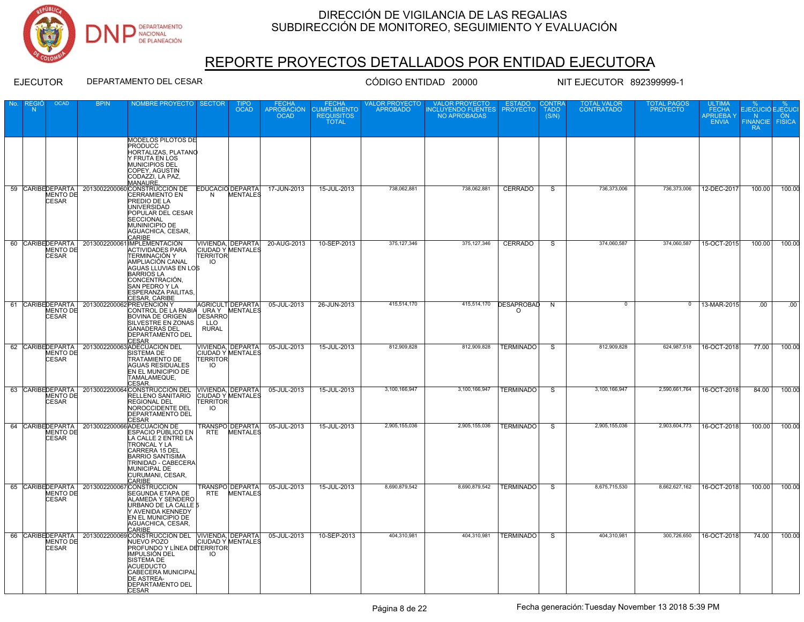

# REPORTE PROYECTOS DETALLADOS POR ENTIDAD EJECUTORA

| No. | REGIO<br>-N | <b>OCAD</b>                     | <b>BPIN</b> | NOMBRE PROYECTO   SECTOR                                                                                                                                                                                                                      |                                       | <b>TIPO</b><br><b>OCAD</b>             | FECHA<br>APROBACIÓN<br><b>OCAD</b> | FECHA<br>CUMPLIMIENTO<br>REQUISITOS<br><b>TOTAL</b> | VALOR PROYECTO<br>APROBADO | VALOR PROYECTO<br>INCLUYENDO FUENTES<br>NO APROBADAS | <b>ESTADO</b><br><b>PROYECTO</b>   | CONTRA<br><b>TADO</b><br>(S/N) | TOTAL VALOR<br><b>CONTRATADO</b> | TOTAL PAGOS<br><b>PROYECTO</b> | <b>ULTIMA</b><br>FECHA<br>APRUEBA Y<br><b>ENVIA</b> | EJECUCIÓ EJECUCI<br>N ÓN<br>FINANCIE FISICA<br><b>RA</b> |        |
|-----|-------------|---------------------------------|-------------|-----------------------------------------------------------------------------------------------------------------------------------------------------------------------------------------------------------------------------------------------|---------------------------------------|----------------------------------------|------------------------------------|-----------------------------------------------------|----------------------------|------------------------------------------------------|------------------------------------|--------------------------------|----------------------------------|--------------------------------|-----------------------------------------------------|----------------------------------------------------------|--------|
|     |             |                                 |             | <b>MODELOS PILOTOS DE</b><br>PRODUCC<br>HORTALIZAS, PLATANO<br>Y FRUTA EN LOS<br>MUNICIPIOS DEL<br>COPEY, AGUSTIN<br>CODAZZI, LA PAZ,<br><u>MANAURÉ,</u>                                                                                      |                                       |                                        |                                    |                                                     |                            |                                                      |                                    |                                |                                  |                                |                                                     |                                                          |        |
|     |             | <b>CESAR</b>                    |             | 59 CARIBEDEPARTA 2013002200060 CONSTRUCCIÓN DE<br>MENTO DE CERRAMIENTO EN<br>PREDIO DE LA<br><b>UNIVERSIDAD</b><br>POPULAR DEL CESAR<br><b>SECCIONAL</b><br>MUNINICIPIO DE<br>AGUACHICA, CESAR,<br>CARIBE                                     | N                                     | EDUCACIÓ DEPARTA<br><b>MENTALES</b>    | 17-JUN-2013                        | 15-JUL-2013                                         | 738,062,881                | 738,062,881                                          | CERRADO                            | $\overline{s}$                 | 736,373,006                      | 736,373,006                    | 12-DEC-2017                                         | 100.00                                                   | 100.00 |
|     |             | MENTO DE<br><b>CESAR</b>        |             | 60 CARIBEDEPARTA 2013002200061 IMPLEMENTACIÓN<br><b>ACTIVIDADES PARA</b><br>TERMINACIÓN Y<br>AMPLIACIÓN CANAL<br>AGUAS LLUVIAS EN LOS<br><b>BARRIOS LA</b><br>CONCENTRACIÓN,<br>SAN PEDRO Y LA<br><b>ESPERANZA PAILITAS.</b><br>CESAR, CARIBE | <b>TERRITOR</b><br>$\overline{10}$    | <b>CIUDAD Y MENTALES</b>               | VIVIENDA, DEPARTA 20-AUG-2013      | 10-SEP-2013                                         | 375.127.346                | 375, 127, 346                                        | CERRADO                            | $\overline{s}$                 | 374.060.587                      | 374,060,587                    | 15-OCT-2015                                         | 100.00                                                   | 100.00 |
| 61  |             | <b>MENTO DE</b><br>CESAR        |             | CARIBEDEPARTA   2013002200062 PREVENCIÓN Y<br>CONTROL DE LA RABIA URA Y MENTALES<br><b>BOVINA DE ORIGEN</b><br>SILVESTRE EN ZONAS<br><b>GANADERAS DEL</b><br>DEPARTAMENTO DEL<br>CESAR                                                        | <b>DESARRO</b><br>LLO<br><b>RURAL</b> | AGRICULT DEPARTA                       | 05-JUL-2013                        | 26-JUN-2013                                         | 415.514.170                |                                                      | 415,514,170 DESAPROBAD<br>$\Omega$ | N                              | $^{\circ}$                       | $^{\circ}$                     | 13-MAR-2015                                         | .00                                                      | .00    |
|     |             | <b>MENTO DE</b><br><b>CESAR</b> |             | 62 CARIBEDEPARTA 2013002200063ADECUACIÓN DEL<br>SISTEMA DE<br>TRATAMIENTO DE<br><b>AGUAS RESIDUALES</b><br>EN EL MUNICIPIO DE<br>TAMALAMEQUE,<br>CESAR.                                                                                       | <b>TERRITOR</b><br>ю                  | VIVIENDA, DEPARTA<br>CIUDAD Y MENTALES | 05-JUL-2013                        | 15-JUL-2013                                         | 812,909,828                | 812,909,828                                          | <b>TERMINADO</b>                   | s                              | 812,909,828                      | 624,987,518                    | 16-OCT-2018                                         | 77.00                                                    | 100.00 |
| 63  |             | <b>CESAR</b>                    |             | CARIBEDEPARTA 2013002200064 CONSTRUCCIÓN DEL VIVIENDA, DEPARTA<br>MENTO DE RELLENO SANITARIO CIUDAD Y MENTALES<br><b>REGIONAL DEL</b><br>NOROCCIDENTE DEL<br><b>DEPARTAMENTO DEL</b><br><b>CESAR</b>                                          | <b>TERRITOR</b><br>IO                 |                                        | 05-JUL-2013                        | 15-JUL-2013                                         | 3,100,166,947              | 3,100,166,947                                        | <b>TERMINADO</b>                   | S                              | 3,100,166,947                    | 2,590,661,764                  | 16-OCT-2018                                         | 84.00                                                    | 100.00 |
| 64  |             | <b>CESAR</b>                    |             | CARIBEDEPARTA 2013002200066 ADECUACIÓN DE<br>MENTO DE ESPACIO PÚBLICO<br>ESPACIO PÚBLICO EN<br>LA CALLE 2 ENTRE LA<br><b>TRONCAL Y LA</b><br>CARRERA 15 DEL<br><b>BARRIO SANTISIMA</b><br>TRINIDAD - CABECERA<br>CURUMANI, CESAR,<br>CARIBE   |                                       | <b>TRANSPO DEPARTA</b><br>RTE MENTALES | 05-JUL-2013                        | 15-JUL-2013                                         | 2,905,155,036              | 2,905,155,036                                        | <b>TERMINADO</b>                   | s.                             | 2,905,155,036                    | 2,903,604,773                  | 16-OCT-2018                                         | 100.00                                                   | 100.00 |
|     |             | <b>MENTO DE</b><br><b>CESAR</b> |             | 65 CARIBEDEPARTA 2013002200067 CONSTRUCCIÓN<br>SEGUNDA ETAPA DE<br>ALAMEDA Y SENDERO<br>URBANO DE LA CALLE 5<br>Y AVENIDA KENNEDY<br>EN EL MUNICIPIO DE<br>AGUACHICA, CESAR,<br><b>CARIBE</b>                                                 | RTE                                   | <b>TRANSPO DEPARTA</b><br>MENTALES     | 05-JUL-2013                        | 15-JUL-2013                                         | 8,690,879,542              | 8,690,879,542                                        | <b>TERMINADO</b>                   | S.                             | 8,675,715,530                    | 8,662,627,162                  | 16-OCT-2018                                         | 100.00                                                   | 100.00 |
|     |             | MENTO DE<br><b>CESAR</b>        |             | 66 CARIBEDEPARTA 2013002200069 CONSTRUCCIÓN DEL<br>NUEVO POZO<br><b>PROFUNDO Y LÍNEA DETERRITOR</b><br>IMPULSIÓN DEL<br>SISTEMA DE<br><b>ACUEDUCTO</b><br>CABECERA MUNICIPAL<br>DE ASTREA-<br><b>DEPARTAMENTO DEL</b><br>CESAR                | IO.                                   | VIVIENDA, DEPARTA<br>CIUDAD Y MENTALES | 05-JUL-2013                        | 10-SEP-2013                                         | 404,310,981                | 404,310,981                                          | <b>TERMINADO</b>                   | -S                             | 404,310,981                      | 300,726,650                    | 16-OCT-2018                                         | 74.00                                                    | 100.00 |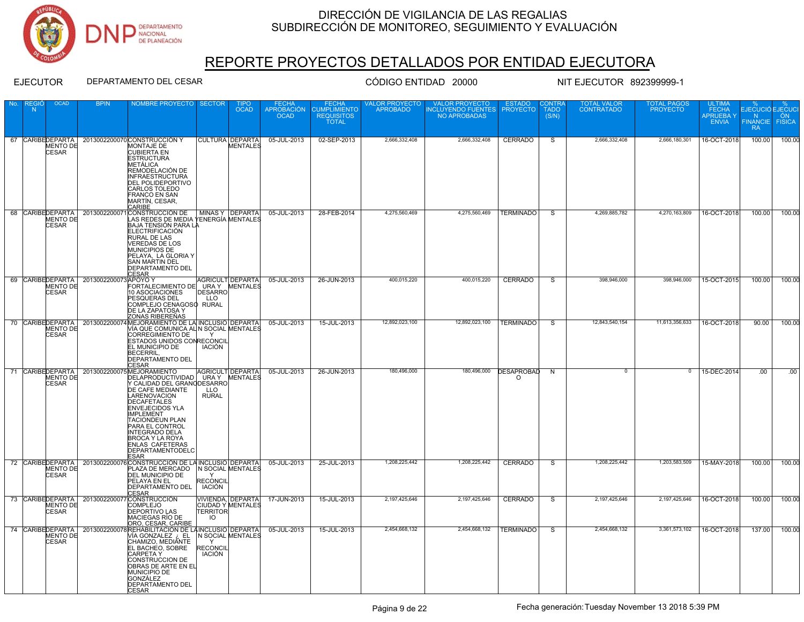

## REPORTE PROYECTOS DETALLADOS POR ENTIDAD EJECUTORA

| No. | N | <b>OCAD</b>              | <b>BPIN</b>                             | NOMBRE PROYECTO SECTOR                                                                                                                                                                                                                                                                                                                                                              |                                                | <b>OCAD</b>       | <b>APROBACIÓN</b><br><b>OCAD</b> | <b>CUMPLIMIENTO</b><br><b>REQUISITOS</b><br><b>TOTAL</b> | ROYECTO<br>APROBADO | <b>VALOR PROYECTO</b><br><b>INCLUYENDO FUENTES</b><br>NO APROBADAS | <b>PROYECTO</b>                    | <b>TADO</b><br>(S/N)    | <b>CONTRATADO</b> | <b>PROYECTO</b>           | <b>FECHA</b><br><b>APRUEBAY</b><br><b>ENVIA</b> | EJECUCIÓ EJECUCI<br>N<br><b>FINANCIE FISICA</b><br>- RA | ON 5   |
|-----|---|--------------------------|-----------------------------------------|-------------------------------------------------------------------------------------------------------------------------------------------------------------------------------------------------------------------------------------------------------------------------------------------------------------------------------------------------------------------------------------|------------------------------------------------|-------------------|----------------------------------|----------------------------------------------------------|---------------------|--------------------------------------------------------------------|------------------------------------|-------------------------|-------------------|---------------------------|-------------------------------------------------|---------------------------------------------------------|--------|
|     |   | MENTO DE<br><b>CESAR</b> |                                         | 67 CARIBEDEPARTA 2013002200070CONSTRUCCIÓN Y<br>MONTAJE DE<br><b>CUBIERTA EN</b><br><b>ESTRUCTURA</b><br>METÁLICA<br>REMODELACIÓN DE<br>INFRAESTRUCTURA<br><b>DEL POLIDEPORTIVO</b><br><b>CARLOS TOLEDO</b><br><b>FRANCO EN SAN</b><br>MARTÍN, CESAR,<br>CARIBE                                                                                                                     | CULTURA DEPARTA                                | <b>MENTALES</b>   | 05-JUL-2013                      | 02-SEP-2013                                              | 2,666,332,408       | 2,666,332,408                                                      | <b>CERRADO</b>                     | -S                      | 2,666,332,408     | 2,666,180,301             | $16-OCT-2018$                                   | 100.00                                                  | 100.00 |
|     |   | <b>CESAR</b>             |                                         | 68 CARIBEDEPARTA 2013002200071 CONSTRUCCIÓN DE MINAS Y DEPARTA<br>MENTO DE LAS REDES DE MEDIA YENERGÍA MENTALES<br>BAJA TENSIÓN PARA LA<br><b>ELECTRIFICACIÓN</b><br>RURAL DE LAS<br><b>VEREDAS DE LOS</b><br><b>MUNICIPIOS DE</b><br>PELAYA, LA GLORIA Y<br><b>SAN MARTIN DEL</b><br><b>DEPARTAMENTO DEL</b><br><b>CESAR</b>                                                       |                                                |                   | 05-JUL-2013                      | 28-FEB-2014                                              | 4,275,560,469       | 4,275,560,469                                                      | <b>TERMINADO</b>                   | $\overline{s}$          | 4,269,885,782     | 4,270,163,809             | 16-OCT-2018                                     | 100.00                                                  | 100.00 |
|     |   | MENTO DE<br><b>CESAR</b> | 69 CARIBEDEPARTA   2013002200073APOYO Y | FORTALECIMIENTO DE URA Y MENTALES<br>10 ASOCIACIONES<br>PESQUERAS DEL<br>COMPLEJO CENAGOSO RURAL<br>DE LA ZAPATOSA Y<br>ZONAS RIBEREÑAS                                                                                                                                                                                                                                             | AGRICULT DEPARTA<br><b>DESARRO</b><br>LLO.     |                   | 05-JUL-2013                      | 26-JUN-2013                                              | 400,015,220         | 400,015,220                                                        | <b>CERRADO</b>                     | <sub>S</sub>            | 398,946,000       | 398,946,000               | 15-OCT-2015                                     | 100.00                                                  | 100.00 |
|     |   | MENTO DE<br><b>CESAR</b> |                                         | 70 CARIBEDEPARTA   2013002200074 MEJORAMIENTO DE LA INCLUSIÓ DEPARTA<br>VÍA QUE COMUNICA AL N SOCIAL MENTALES<br>CORREGIMIENTO DE Y<br>ESTADOS UNIDOS CONRECONCIL<br>EL MUNICIPIO DE<br><b>BECERRIL</b><br><b>DEPARTAMENTO DEL</b><br>CESAR                                                                                                                                         | <b>IACIÓN</b>                                  |                   | 05-JUL-2013                      | 15-JUL-2013                                              | 12,892,023,100      | 12,892,023,100                                                     | <b>TERMINADO</b>                   | <sub>S</sub>            | 12,843,540,154    | 11,613,356,633            | 16-OCT-2018                                     | 90.00                                                   | 100.00 |
|     |   | MENTO DE<br><b>CESAR</b> |                                         | 71 CARIBEDEPARTA 2013002200075MEJORAMIENTO<br>DELAPRODUCTIVIDAD   URA Y MENTALES<br>Y CALIDAD DEL GRANODESARRO<br>DE CAFE MEDIANTE<br>LARENOVACION<br><b>DECAFETALES</b><br><b>ENVEJECIDOS YLA</b><br><b>IMPLEMENT</b><br><b>TACIONDEUN PLAN</b><br>PARA EL CONTROL<br><b>INTEGRADO DELA</b><br><b>BROCA Y LA ROYA</b><br><b>ENLAS CAFETERAS</b><br>DEPARTAMENTODELC<br><b>ESAR</b> | AGRICULT DEPARTA<br>LLO<br><b>RURAL</b>        |                   | 05-JUL-2013                      | 26-JUN-2013                                              | 180.496.000         |                                                                    | 180,496,000 DESAPROBAD<br>$\Omega$ | - N                     | $\overline{0}$    | $\overline{0}$            | 15-DEC-2014                                     | .00                                                     | .00    |
|     |   | <b>CESAR</b>             |                                         | 72 CARIBEDEPARTA 2013002200076 CONSTRUCCIÓN DE LA INCLUSIO DEPARTA<br>MENTO DE PLAZA DE MERCADO N SOCIAL MENTALES<br>DEL MUNICIPIO DE<br>PELAYA EN EL<br><b>DEPARTAMENTO DEL</b><br><b>CESAR</b>                                                                                                                                                                                    | Y<br><b>RECONCIL</b><br>IACIÓN                 |                   | 05-JUL-2013                      | 25-JUL-2013                                              | 1,208,225,442       | 1,208,225,442                                                      | <b>CERRADO</b>                     | $\overline{s}$          | 1,208,225,442     | 1,203,583,509             | 15-MAY-2018                                     | 100.00                                                  | 100.00 |
|     |   | MENTO DE<br><b>CESAR</b> |                                         | 73 CARIBEDEPARTA 2013002200077 CONSTRUCCIÓN<br><b>COMPLEJO</b><br><b>DEPORTIVO LAS</b><br>MACIEGAS RÍO DE<br>ORO, CESAR, CARIBE                                                                                                                                                                                                                                                     | <b>TERRITOR</b><br>IO                          | VIVIENDA, DEPARTA | 17-JUN-2013                      | 15-JUL-2013                                              | 2,197,425,646       | 2,197,425,646                                                      | <b>CERRADO</b>                     | <sub>S</sub>            | 2,197,425,646     | 2,197,425,646             | 16-OCT-2018                                     | 100.00                                                  | 100.00 |
|     |   | MENTO DE<br><b>CESAR</b> |                                         | 74 CARIBEDEPARTA 2013002200078 REHABILITACIÓN DE LAINCLUSIO DEPARTA<br>VÍA GONZALEZ ¿ EL<br>CHAMIZO, MEDIANTE<br>EL BACHEO, SOBRE<br>CARPETA Y<br><b>CONSTRUCCION DE</b><br>OBRAS DE ARTE EN EL<br>MUNICIPIO DE<br><b>GONZÁLEZ</b><br><b>DEPARTAMENTO DEL</b><br><b>CESAR</b>                                                                                                       | N SOCIAL MENTALES<br><b>RECONCIL</b><br>IACIÓN |                   | 05-JUL-2013                      | 15-JUL-2013                                              | 2.454.668.132       | 2.454.668.132                                                      | TERMINADO                          | $\overline{\mathbf{s}}$ | 2,454,668,132     | 3,361,573,102 16-OCT-2018 |                                                 | 137.00                                                  | 100.00 |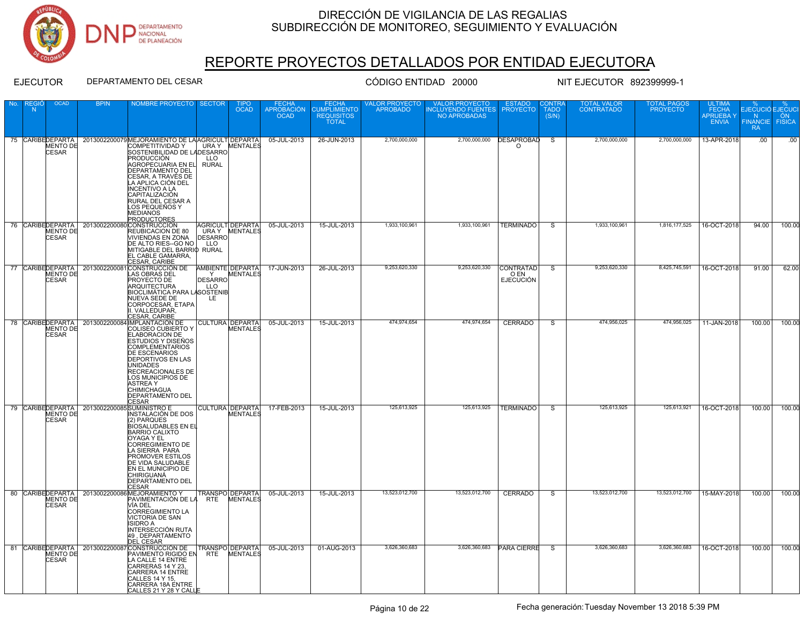

# REPORTE PROYECTOS DETALLADOS POR ENTIDAD EJECUTORA

| No. | N | <b>OCAD</b>              | <b>BPIN</b>                                 | NOMBRE PROYECTO SECTOR                                                                                                                                                                                                                                                                                                                                                                     |                                   | <b>OCAD</b>                               | <b>APROBACIÓN</b><br><b>OCAD</b> | <b>CUMPLIMIENTO</b><br><b>REQUISITOS</b><br><b>TOTAL</b> | ROYECTO<br>APROBADO | <b>VALOR PROYECTO</b><br><b>INCLUYENDO FUENTES</b><br>NO APROBADAS | ESTADO<br><b>PROYECTO</b>                    | <b>TADO</b><br>(S/N)    | <b>CONTRATADO</b> | <b>PROYECTO</b> | <b>FECHA</b><br><b>APRUEBAY</b><br><b>ENVIA</b> | EJECUCIÓ EJECUCI<br>N<br><b>FINANCIE FISICA</b><br><b>RA</b> | ON 5   |
|-----|---|--------------------------|---------------------------------------------|--------------------------------------------------------------------------------------------------------------------------------------------------------------------------------------------------------------------------------------------------------------------------------------------------------------------------------------------------------------------------------------------|-----------------------------------|-------------------------------------------|----------------------------------|----------------------------------------------------------|---------------------|--------------------------------------------------------------------|----------------------------------------------|-------------------------|-------------------|-----------------|-------------------------------------------------|--------------------------------------------------------------|--------|
|     |   | MENTO DE<br><b>CESAR</b> |                                             | 75 CARIBEDEPARTA 2013002200079MEJORAMIENTO DE LA AGRICULT DEPARTA<br>COMPETITIVIDAD Y  <br>SOSTENIBILIDAD DE LADESARRO<br><b>PRODUCCIÓN</b><br>AGROPECUARIA EN EL RURAL<br>DEPARTAMENTO DEL<br><b>CESAR, A TRAVÉS DE</b><br>LA APLICA CIÓN DEL<br><b>INCENTIVO A LA</b><br>CAPITALIZACIÓN<br>RURAL DEL CESAR A<br>LOS PEQUEÑOS Y<br>MEDIANOS<br>T6 CARIBEDEPARTA 2013002200080CONSTRUCCIÓN | LLO                               | URA Y MENTALES                            | 05-JUL-2013                      | 26-JUN-2013                                              | 2,700,000,000       |                                                                    | 2,700,000,000 DESAPROBAD<br>$\Omega$         | - S                     | 2,700,000,000     | 2,700,000,000   | 13-APR-2018                                     | .00                                                          | .00    |
|     |   | MENTO DE<br><b>CESAR</b> |                                             | REUBICACION DE 80<br><b>VIVIENDAS EN ZONA</b><br>DE ALTO RIES--GO NO<br>MITIGABLE DEL BARRIO RURAL<br>EL CABLE GAMARRA,                                                                                                                                                                                                                                                                    | DESARRO<br>LLO                    | AGRICULT DEPARTA<br>URAY MENTALES         | 05-JUL-2013                      | 15-JUL-2013                                              | 1,933,100,961       | 1,933,100,961                                                      | <b>TERMINADO</b>                             | - S                     | 1,933,100,961     | 1,816,177,525   | 16-OCT-2018                                     | 94.00                                                        | 100.00 |
|     |   | MENTO DE<br><b>CESAR</b> |                                             | T7 CARIBEDEPARTA 2013002200081CONSTRUCCIÓN DE<br>LAS OBRAS DEL<br>PROYECTO DE<br><b>ARQUITECTURA</b><br>BIOCLIMÁTICA PARA LASOSTENIB<br>NUEVA SEDE DE<br>CORPOCESAR, ETAPA<br>II. VALLEDUPAR,<br><b>CESAR, CARIBE</b>                                                                                                                                                                      | Y<br><b>DESARRO</b><br>LLO<br>LE. | AMBIENTE DEPARTA<br>MENTALES              | 17-JUN-2013                      | 26-JUL-2013                                              | 9,253,620,330       | 9,253,620,330                                                      | <b>CONTRATAD</b><br>O EN<br><b>EJECUCIÓN</b> | $\overline{\mathbf{s}}$ | 9,253,620,330     | 8,425,745,591   | 16-OCT-2018                                     | 91.00                                                        | 62.00  |
|     |   | MENTO DE<br>CESAR        |                                             | 78 CARIBEDEPARTA   2013002200084 IMPLANTACIÓN DE<br>COLISEO CUBIERTO Y<br>ELABORACION DE<br><b>ESTUDIOS Y DISEÑOS</b><br><b>COMPLEMENTARIOS</b><br><b>DE ESCENARIOS</b><br><b>DEPORTIVOS EN LAS</b><br><b>UNIDADES</b><br>RECREACIONALES DE<br>LOS MUNICIPIOS DE<br><b>ASTREA Y</b><br><b>CHIMICHAGUA</b><br><b>DEPARTAMENTO DEL</b><br><b>CESAR</b>                                       |                                   | CULTURA DEPARTA<br><b>MENTALES</b>        | 05-JUL-2013                      | 15-JUL-2013                                              | 474,974,654         | 474,974,654                                                        | <b>CERRADO</b>                               | <sub>S</sub>            | 474,956,025       | 474,956,025     | $11-JAN-2018$                                   | 100.00                                                       | 100.00 |
|     |   | MENTO DE<br><b>CESAR</b> | 79 CARIBEDEPARTA 2013002200085 SUMINISTRO E | <b>INSTALACIÓN DE DOS</b><br>(2) PARQUES<br><b>BIOSALUDABLES EN EL</b><br><b>BARRIO CALIXTO</b><br><b>OYAGA Y EL</b><br><b>CORREGIMIENTO DE</b><br>LA SIERRA PARA<br>PROMOVER ESTILOS<br>DE VIDA SALUDABLE<br>EN EL MUNICIPIO DE<br>CHIRIGUANÁ<br><b>DEPARTAMENTO DEL</b><br><b>CESAR</b>                                                                                                  |                                   | <b>CULTURA DEPARTA</b><br><b>MENTALES</b> | 17-FEB-2013                      | 15-JUL-2013                                              | 125,613,925         | 125,613,925                                                        | <b>TERMINADO</b>                             | -S                      | 125,613,925       | 125,613,921     | 16-OCT-2018                                     | 100.00                                                       | 100.00 |
|     |   | MENTO DE<br><b>CESAR</b> |                                             | 80 CARIBEDEPARTA 2013002200086MEJORAMIENTO Y<br>PAVIMENTACIÓN DE LA<br>VÍA DEL<br>CORREGIMIENTO LA<br><b>VICTORIA DE SAN</b><br><b>ISIDRO A</b><br><b>INTERSECCIÓN RUTA</b><br>49, DEPARTAMENTO<br>DEL CESAR                                                                                                                                                                               |                                   | <b>TRANSPO DEPARTA</b><br>RTE MENTALES    | 05-JUL-2013                      | 15-JUL-2013                                              | 13.523.012.700      | 13.523.012.700                                                     | <b>CERRADO</b>                               | -S                      | 13.523.012.700    | 13.523.012.700  | 15-MAY-2018                                     | 100.00                                                       | 100.00 |
|     |   | <b>CESAR</b>             |                                             | 81 CARIBEDEPARTA 2013002200087CONSTRUCCIÓN DE TRANSPO DEPARTA<br>LA CALLE 14 ENTRE<br>CARRERAS 14 Y 23,<br>CARRERA 14 ENTRE<br>CALLES 14 Y 15,<br>CARRERA 18A ENTRE<br>CALLES 21 Y 28 Y CALLE                                                                                                                                                                                              |                                   |                                           | 05-JUL-2013                      | 01-AUG-2013                                              | 3,626,360,683       |                                                                    | 3,626,360,683 PARA CIERRE                    | -S                      | 3,626,360,683     | 3,626,360,683   | 16-OCT-2018                                     | 100.00                                                       | 100.00 |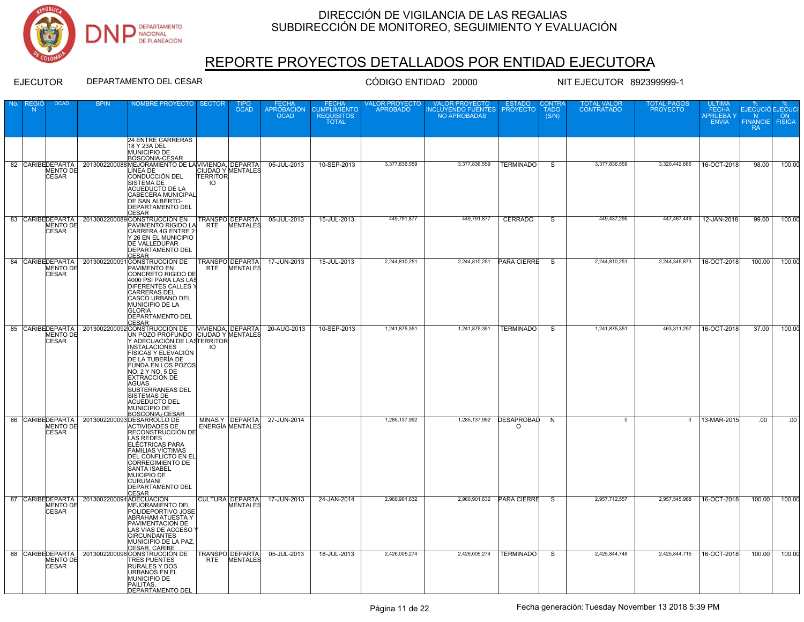

# REPORTE PROYECTOS DETALLADOS POR ENTIDAD EJECUTORA

| No. | <b>REGIO</b><br>N | <b>OCAD</b>                     | <b>BPIN</b>                              | NOMBRE PROYECTO   SECTOR                                                                                                                                                                                                                                                                                                                                                                         |                       | TIPO<br><b>OCAD</b>                        | FECHA<br>APROBACIÓN<br><b>OCAD</b> | FECHA<br><b>CUMPLIMIENTO</b><br><b>REQUISITOS</b><br><b>TOTAL</b> | <b>VALOR PROYECTO</b><br><b>APROBADO</b> | <b>VALOR PROYECTO</b><br>INCLUYENDO FUENTES PROYECTO<br>NO APROBADAS | <b>ESTADO</b>                 | CONTRA<br><b>TADO</b><br>(S/N) | <b>TOTAL VALOR</b><br><b>CONTRATADO</b> | <b>TOTAL PAGOS</b><br><b>PROYECTO</b> | <b>ULTIMA</b><br>FECHA<br>APRUEBA Y<br><b>ENVIA</b> | <b>EJECUCIÓ EJECUCI</b><br>N ÓN<br>FINANCIE FISICA<br><b>RA</b> |                  |
|-----|-------------------|---------------------------------|------------------------------------------|--------------------------------------------------------------------------------------------------------------------------------------------------------------------------------------------------------------------------------------------------------------------------------------------------------------------------------------------------------------------------------------------------|-----------------------|--------------------------------------------|------------------------------------|-------------------------------------------------------------------|------------------------------------------|----------------------------------------------------------------------|-------------------------------|--------------------------------|-----------------------------------------|---------------------------------------|-----------------------------------------------------|-----------------------------------------------------------------|------------------|
|     |                   |                                 |                                          | 24 ENTRE CARRERAS<br>18 Y 23A DEL<br>MUNICIPIO DE<br>BOSCONIA-CESAR                                                                                                                                                                                                                                                                                                                              |                       |                                            |                                    |                                                                   |                                          |                                                                      |                               |                                |                                         |                                       |                                                     |                                                                 |                  |
|     |                   | <b>MENTO DE</b><br>CESAR        |                                          | 82 CARIBEDEPARTA   2013002200088 MEJORAMIENTO DE LA VIVIENDA, DEPARTA  <br>LÌNEA DE<br>CONDUCCIÓN DEL<br>SISTEMA DE<br><b>ACUEDUCTO DE LA</b><br>CABECERA MUNICIPAL<br>DE SAN ALBERTO-<br><b>DEPARTAMENTO DEL</b><br>CESAR                                                                                                                                                                       | <b>TERRITOR</b><br>IO | CIUDAD Y MENTALES                          | 05-JUL-2013                        | 10-SEP-2013                                                       | 3,377,836,559                            | 3,377,836,559                                                        | <b>TERMINADO</b>              | S.                             | 3,377,836,559                           | 3,320,442,685                         | 16-OCT-2018                                         | 98.00                                                           | 100.00           |
|     |                   | CESAR                           |                                          | 83 CARIBEDEPARTA 2013002200089CONSTRUCCIÓN EN TRANSPO DEPARTA 05-JUL-2013<br>CARRERA 4G ENTRE 2<br>Y 26 EN EL MUNICIPIO<br><b>DE VALLEDUPAR</b><br><b>DEPARTAMENTO DEL</b><br>CESAR                                                                                                                                                                                                              |                       |                                            |                                    | 15-JUL-2013                                                       | 449,791,877                              | 449,791,877                                                          | <b>CERRADO</b>                | $\overline{s}$                 | 449,437,295                             | 447,467,449                           | 12-JAN-2018                                         | 99.00                                                           | 100.00           |
|     |                   | <b>MENTO DE</b><br><b>CESAR</b> |                                          | 84 CARIBEDEPARTA   2013002200091 CONSTRUCCIÓN DE<br>PAVIMENTO EN<br>CONCRETO RIGIDO DE<br>4000 PSI PARA LAS LAS<br><b>DIFERENTES CALLES Y</b><br><b>CARRERAS DEL</b><br>CASCO URBANO DEL<br>MUNICIPIO DE LA<br><b>GLORIA</b><br><b>DEPARTAMENTO DEL</b><br><b>CESAR</b>                                                                                                                          | RTE                   | <b>TRANSPO DEPARTA</b><br>MENTALES         | 17-JUN-2013                        | 15-JUL-2013                                                       | 2,244,810,251                            | 2,244,810,251                                                        | <b>PARA CIERRE</b>            | $\overline{s}$                 | 2,244,810,251                           | 2,244,345,873                         | 16-OCT-2018                                         | 100.00                                                          | 100.00           |
|     |                   |                                 |                                          | 85 CARIBEDEPARTA 20130022000920009200091000 DE VIVIENDA DEPARTA<br>MENTO DE UN POZO PROFUNDO CIUDAD Y MENTALES<br>CESAR MENTOR MADECUACIÓN DE LASTERRITOR<br><b>INSTALACIONES</b><br>FÍSICAS Y ELEVACIÓN<br>DE LA TUBERÍA DE<br><b>FUNDA EN LOS POZOS</b><br>NO. 2 Y NO. 5 DE<br><b>EXTRACCIÓN DE</b><br>AGUAS<br>SUBTERRANEAS DEL<br>SISTEMAS DE<br><b>ACUEDUCTO DEL</b><br><b>MUNICIPIO DE</b> | IO.                   |                                            | 20-AUG-2013                        | 10-SEP-2013                                                       | 1,241,875,351                            | 1,241,875,351                                                        | <b>TERMINADO</b>              | S.                             | 1,241,875,351                           | 463,311,297                           | 16-OCT-2018                                         | 37.00                                                           | 100.00           |
|     |                   | MENTO DE<br><b>CESAR</b>        |                                          | 60 CARIBEDEPARTA 2013002200093 DESARROLLO DE<br><b>ACTIVIDADES DE</b><br>RECONSTRUCCIÓN DE<br><b>LAS REDES</b><br><b>ELÉCTRICAS PARA</b><br><b>FAMILIAS VÍCTIMAS</b><br>DEL CONFLICTO EN EL<br>CORREGIMIENTO DE<br><b>SANTA ISABEL</b><br>MUICIPIO DE<br><b>CURUMANI</b><br><b>DEPARTAMENTO DEL</b><br>CESAR                                                                                     |                       | MINAS Y DEPARTA<br><b>ENERGÍA MENTALES</b> | 27-JUN-2014                        |                                                                   | 1,285,137,992                            | 1,285,137,992                                                        | <b>DESAPROBAD</b><br>$\Omega$ | $\overline{N}$                 | $\overline{0}$                          | $\overline{0}$                        | 13-MAR-2015                                         | .00                                                             | $\overline{.00}$ |
|     |                   | <b>MENTO DE</b><br><b>CESAR</b> | 87 CARIBEDEPARTA 2013002200094ADECUACIÓN | <b>MEJORAMIENTO DEL</b><br>POLIDEPORTIVO JOSE<br><b>ABRAHAM ATUESTA Y</b><br><b>PAVIMENTACION DE</b><br>LAS VIAS DE ACCESO '<br><b>CIRCUNDANTES</b><br>MUNICIPIO DE LA PAZ,<br>88 CARIBEDEPARTA 2013002200096CONSTRUCCION DE                                                                                                                                                                     |                       | CULTURA DEPARTA<br>MENTALES                | 17-JUN-2013                        | 24-JAN-2014                                                       | 2.960.901.632                            |                                                                      | 2,960,901,632 PARA CIERRE     | S                              | 2.957.712.557                           | 2.957.545.968                         | 16-OCT-2018                                         | 100.00                                                          | 100.00           |
|     |                   | MENTO DE<br><b>CESAR</b>        |                                          | TRES PUENTES<br><b>RURALES Y DOS</b><br><b>URBANOS EN EL</b><br><b>MUNICIPIO DE</b><br>PAILITAS,<br><b>DEPARTAMENTO DEL</b>                                                                                                                                                                                                                                                                      | RTE                   | <b>TRANSPO DEPARTA</b><br><b>MENTALES</b>  | 05-JUL-2013                        | 18-JUL-2013                                                       | 2,426,005,274                            | 2,426,005,274                                                        | TERMINADO                     | $\overline{s}$                 | 2,425,844,748                           | 2,425,844,715   16-OCT-2018           |                                                     | 100.00                                                          | 100.00           |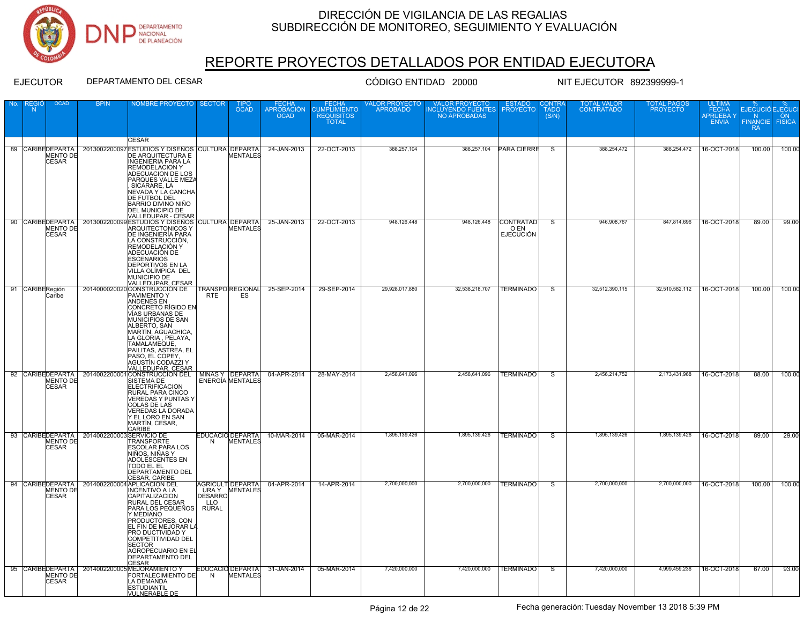

# REPORTE PROYECTOS DETALLADOS POR ENTIDAD EJECUTORA

| No.             | N               | <b>OCAD</b>                     |                                           | <b>NOMBRE PROYECTO SECTOR</b>                                                                                                                                                                                                                                                                                          |                                       | <b>OCAD</b>                         | <b>APROBACIÓN</b><br><b>OCAD</b> | <b>CUMPLIMIENTO</b><br><b>REQUISITOS</b><br><b>TOTAL</b> | VALOR PROYE <u>CTO_</u><br><b>APROBADO</b> | <b>VALOR PROYECTO</b><br><b>INCLUYENDO FUENTES PROYECTO</b><br>NO APROBADAS |                                       | <b>TADO</b><br>(S/N)    | <b>CONTRATADO</b> | <b>PROYECTO</b> | <b>FECHA</b><br><b>APRUEBAY</b><br><b>ENVIA</b> | EJECUCIÓ EJECUCI<br>N<br><b>FINANCIE FISICA</b><br><b>RA</b> | ON .   |
|-----------------|-----------------|---------------------------------|-------------------------------------------|------------------------------------------------------------------------------------------------------------------------------------------------------------------------------------------------------------------------------------------------------------------------------------------------------------------------|---------------------------------------|-------------------------------------|----------------------------------|----------------------------------------------------------|--------------------------------------------|-----------------------------------------------------------------------------|---------------------------------------|-------------------------|-------------------|-----------------|-------------------------------------------------|--------------------------------------------------------------|--------|
|                 |                 |                                 |                                           | <b>CESAR</b>                                                                                                                                                                                                                                                                                                           |                                       |                                     |                                  |                                                          |                                            |                                                                             |                                       |                         |                   |                 |                                                 |                                                              |        |
|                 |                 | <b>CESAR</b>                    |                                           | 69 CARIBEDEPARTA 2013002200097ESTUDIOS Y DISEÑOS CULTURA DEPARTA<br>DE ARQUITECTURA E MENTALES<br>INGENIERIA PARA LA<br>REMODELACION Y<br>ADECUACION DE LOS<br>PARQUES VALLE MEZA<br>SICARARE, LA<br>NEVADA Y LA CANCHA<br>DE FUTBOL DEL<br>BARRIO DIVINO NIÑO<br><b>DEL MUNICIPIO DE</b><br><b>VALLEDUPAR - CESAR</b> |                                       |                                     | 24-JAN-2013                      | 22-OCT-2013                                              | 388,257,104                                | 388,257,104                                                                 | <b>PARA CIERRE</b>                    | $\overline{s}$          | 388,254,472       | 388,254,472     | 16-OCT-2018                                     | 100.00                                                       | 100.00 |
|                 |                 | MENTO DE<br><b>CESAR</b>        |                                           | 90 CARIBEDEPARTA   2013002200099 ESTUDIOS Y DISEÑOS CULTURA DEPARTA<br><b>ARQUITECTONICOS Y</b><br>DE INGENIERÍA PARA<br>LA CONSTRUCCIÓN,<br>REMODELACIÓN Y<br>ADECUACIÓN DE<br><b>ESCENARIOS</b><br><b>DEPORTIVOS EN LA</b><br><b>VILLA OLÍMPICA DEL</b><br>MUNICIPIO DE<br>VALLEDUPAR, CESAR                         |                                       | <b>MENTALES</b>                     | 25-JAN-2013                      | 22-OCT-2013                                              | 948.126.448                                | 948.126.448                                                                 | CONTRATAD<br>O EN<br><b>EJECUCIÓN</b> | ड                       | 946.908.767       | 847,814,696     | 16-OCT-2018                                     | 89.00                                                        | 99.00  |
|                 | 91 CARIBERegión | Caribe                          |                                           | 2014000020020 CONSTRUCCIÓN DE<br>PAVIMENTO Y<br><b>ANDENES EN</b><br>CONCRETO RÍGIDO EN<br><b>VÍAS URBANAS DE</b><br>MUNICIPIOS DE SAN<br>ALBERTO, SAN<br>MARTÍN, AGUACHICA,<br>LA GLORIA, PELAYA,<br>TAMALAMEQUE.<br>PAILITAS, ASTREA, EL<br>PASO, EL COPEY,<br>AGUSTÍN CODAZZI Y<br>VALLEDUPAR, CESAR                | <b>RTE</b>                            | ES                                  | TRANSPOREGIONAL 25-SEP-2014      | 29-SEP-2014                                              | 29,928,017,880                             | 32,538,218,707                                                              | <b>TERMINADO</b>                      | s                       | 32,512,390,115    | 32,510,582,112  | 16-OCT-2018                                     | 100.00                                                       | 100.00 |
|                 |                 | <b>MENTO DE</b><br><b>CESAR</b> |                                           | 92 CARIBEDEPARTA 2014002200001 CONSTRUCCIÓN DEL MINAS Y DEPARTA<br>SISTEMA DE<br><b>ELECTRIFICACION</b><br>RURAL PARA CINCO<br>VEREDAS Y PUNTAS Y<br><b>COLAS DE LAS</b><br>VEREDAS LA DORADA<br>Y EL LORO EN SAN<br>MARTÍN, CESAR,<br>CARIBE                                                                          |                                       | <b>ENERGÍA MENTALES</b>             | 04-APR-2014                      | 28-MAY-2014                                              | 2,458,641,096                              | 2,458,641,096                                                               | <b>TERMINADO</b>                      | s                       | 2,456,214,752     | 2,173,431,968   | 16-OCT-2018                                     | 88.00                                                        | 100.00 |
|                 |                 | <b>MENTO DE</b><br><b>CESAR</b> | 93 CARIBEDEPARTA 2014002200003SERVICIO DE | <b>TRANSPORTE</b><br><b>ESCOLAR PARA LOS</b><br>NIÑOS, NIÑAS Y<br><b>ADOLESCENTES EN</b><br>todo el el<br><b>DEPARTAMENTO DEL</b><br><b>CESAR, CARIBI</b>                                                                                                                                                              | N                                     | EDUCACIÓ DEPARTA<br><b>MENTALES</b> | 10-MAR-2014                      | 05-MAR-2014                                              | 1,895,139,426                              | 1,895,139,426                                                               | <b>TERMINADO</b>                      | s                       | 1,895,139,426     | 1,895,139,426   | 16-OCT-2018                                     | 89.00                                                        | 29.00  |
| $\overline{94}$ |                 | MENTO DE<br><b>CESAR</b>        |                                           | CARIBEDEPARTA 2014002200004 APLICACIÓN DEL<br><b>INCENTIVO A LA</b><br><b>CAPITALIZACION</b><br><b>RURAL DEL CESAR</b><br>PARA LOS PEQUEÑOS<br>Y MEDIANO<br>PRODUCTORES, CON<br>EL FIN DE MEJORAR LA<br><b>PRO DUCTIVIDAD Y</b><br>COMPETITIVIDAD DEL<br><b>SECTOR</b><br>AGROPECUARIO EN EL<br><b>CESAR</b>           | <b>DESARRO</b><br>LLO<br><b>RURAL</b> | AGRICULT DEPARTA<br>URA Y MENTALES  | 04-APR-2014                      | 14-APR-2014                                              | 2,700,000,000                              | 2,700,000,000                                                               | TERMINADO                             | $\overline{\mathbf{s}}$ | 2,700,000,000     | 2,700,000,000   | 16-OCT-2018                                     | 100.00                                                       | 100.00 |
|                 |                 | <b>MENTO DE</b><br><b>CESAR</b> |                                           | 95 CARIBEDEPARTA   2014002200005 MEJORAMIENTO Y<br>FORTALECIMIENTO DE<br>LA DEMANDA<br><b>ESTUDIANTIL</b><br><b><i>NULNERABLE DE</i></b>                                                                                                                                                                               | N                                     | EDUCACIÓ DEPARTA<br>MENTALES        | 31-JAN-2014                      | 05-MAR-2014                                              | 7,420,000,000                              | 7,420,000,000                                                               | <b>TERMINADO</b>                      | $\overline{s}$          | 7,420,000,000     | 4,999,459,236   | 16-OCT-2018                                     | 67.00                                                        | 93.00  |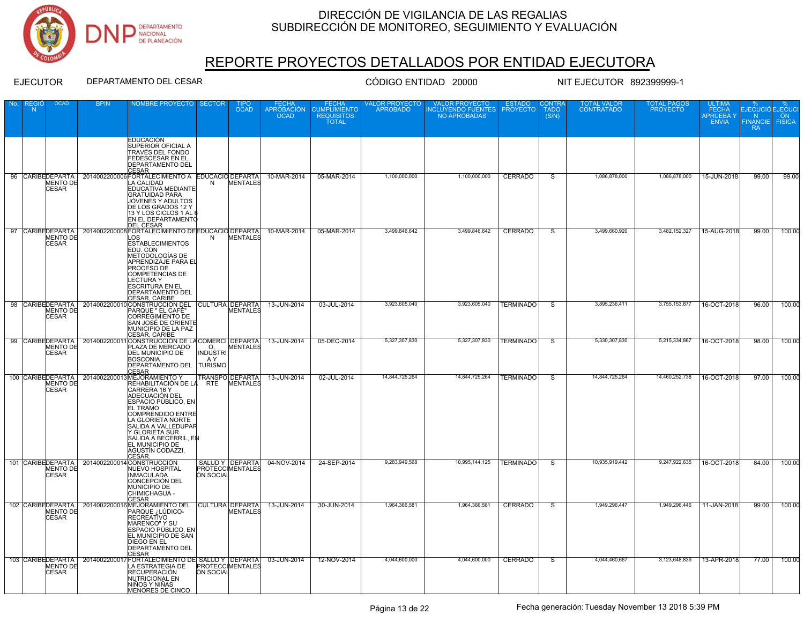

## REPORTE PROYECTOS DETALLADOS POR ENTIDAD EJECUTORA

| No. | REGI<br>- N | <b>OCAD</b>                     | <b>BPIN</b> | NOMBRE PROYECTO                                                                                                                                                                                                                                                                                                                | <b>SECTOR</b>               | TIPO<br><b>OCAD</b>                 | <b>FECHA</b><br><b>APROBACIÓN</b><br><b>OCAD</b> | <b>FECHA</b><br><b>CUMPLIMIENTO</b><br>REQUISITOS | VALOR PROYECTO<br><b>APROBADO</b> | VALOR PROYECTO<br>NCLUYENDO FUENTES | <b>ESTADO</b><br><b>PROYECTO</b> | :ONTR.<br><b>TADO</b><br>(S/N) | TOTAL<br><b>VALOR</b><br><b>CONTRATADO</b> | TOTAL PAGOS<br><b>PROYECTO</b> | <b>ULTIMA</b><br>FECHA<br>APRUEBA Y<br><b>ENVIA</b> | <b>EJECUCIÓ EJECUC</b><br>N ÓN<br>FINANCIE FISICA<br><b>RA</b> |        |
|-----|-------------|---------------------------------|-------------|--------------------------------------------------------------------------------------------------------------------------------------------------------------------------------------------------------------------------------------------------------------------------------------------------------------------------------|-----------------------------|-------------------------------------|--------------------------------------------------|---------------------------------------------------|-----------------------------------|-------------------------------------|----------------------------------|--------------------------------|--------------------------------------------|--------------------------------|-----------------------------------------------------|----------------------------------------------------------------|--------|
|     |             |                                 |             | <b>EDUCACIÓN</b><br>SUPERIOR OFICIAL A<br>ITRAVÉS DEL FONDO<br><b>FEDESCESAR EN EL</b><br><b>DEPARTAMENTO DEL</b><br><b>CESAR</b>                                                                                                                                                                                              |                             |                                     |                                                  |                                                   |                                   |                                     |                                  |                                |                                            |                                |                                                     |                                                                |        |
| 96  |             | <b>MENTO DE</b><br><b>CESAR</b> |             | CARIBEDEPARTA   2014002200006 FORTALECIMIENTO A EDUCACIÓ DEPARTA<br>LA CALIDAD<br>EDUCATIVA MEDIANTE<br><b>GRATUIDAD PARA</b><br>JÓVENES Y ADULTOS<br>DE LOS GRADOS 12 Y<br>13 Y LOS CICLOS 1 AL 6<br>EN EL DEPARTAMENTO<br><b>DEL CESAR</b>                                                                                   | N                           | <b>MENTALES</b>                     | 10-MAR-2014                                      | 05-MAR-2014                                       | 1,100,000,000                     | 1,100,000,000                       | <b>CERRADO</b>                   | S                              | 1,086,878,000                              | 1,086,878,000                  | 15-JUN-2018                                         | 99.00                                                          | 99.00  |
| 97  |             | <b>MENTO DE</b><br><b>CESAR</b> |             | CARIBEDEPARTA   2014002200008 FORTALECIMIENTO DE EDUCACIÓ DEPARTA   10-MAR-2014<br>LOS<br><b>ESTABLECIMIENTOS</b><br>EDU. CON<br>METODOLOGÍAS DE<br>APRENDIZAJE PARA EL<br>PROCESO DE<br>COMPETENCIAS DE<br><b>LECTURA Y</b><br><b>ESCRITURA EN EL</b><br><b>DEPARTAMENTO DEL</b><br>CESAR, CARIBE                             | N                           | <b>MENTALES</b>                     |                                                  | 05-MAR-2014                                       | 3,499,846,642                     | 3,499,846,642                       | CERRADO                          | $\overline{s}$                 | 3,499,660,920                              | 3,482,152,327                  | 15-AUG-2018                                         | 99.00                                                          | 100.00 |
| 98  |             | <b>MENTO DE</b><br>CESAR        |             | CARIBEDEPARTA   2014002200010 CONSTRUCCIÓN DEL<br>PARQUE " EL CAFÉ"<br>CORREGIMIENTO DE<br>SAN JOSÉ DE ORIENTE<br>MUNICIPIO DE LA PAZ<br>CESAR, CARIBE                                                                                                                                                                         |                             | CULTURA DEPARTA<br>MENTALES         | 13-JUN-2014                                      | 03-JUL-2014                                       | 3,923,605,040                     | 3,923,605,040                       | <b>TERMINADO</b>                 | <sub>S</sub>                   | 3,895,236,411                              | 3,755,153,877                  | 16-OCT-2018                                         | 96.00                                                          | 100.00 |
|     |             | <b>MENTO DE</b><br><b>CESAR</b> |             | 99 CARIBEDEPARTA   2014002200011 CONSTRUCCIÓN DE LA COMERCI DEPARTA<br>PLAZA DE MERCADO<br>DEL MUNICIPIO DE<br><b>BOSCONIA,</b><br>DEPARTAMENTO DEL TURISMO<br><b>CESAR</b>                                                                                                                                                    | O.<br><b>INDUSTRI</b><br>AY | <b>MENTALES</b>                     | 13-JUN-2014                                      | 05-DEC-2014                                       | 5.327.307.830                     | 5.327.307.830                       | <b>TERMINADO</b>                 | s                              | 5.330.307.830                              | 5.215.334.867                  | 16-OCT-2018                                         | 98.00                                                          | 100.00 |
|     |             | MENTO DE<br><b>CESAR</b>        |             | 100 CARIBEDEPARTA   2014002200013 MEJORAMIENTO Y<br>FREHABILITACIÓN DE LA TRITE<br>CARRERA 16 Y<br>ADECUACIÓN DEL<br>ESPACIO PÚBLICO, EN<br><b>EL TRAMO</b><br><b>COMPRENDIDO ENTRE</b><br>LA GLORIETA NORTE<br>SALIDA A VALLEDUPAR<br>Y GLORIETA SUR<br>SALIDA A BECERRIL, EN<br>EL MUNICIPIO DE<br>AGUSTÍN CODAZZI<br>CESAR. |                             | <b>TRANSPO DEPARTA</b><br>MENTALES  | 13-JUN-2014                                      | 02-JUL-2014                                       | 14,844,725,264                    | 14,844,725,264                      | <b>TERMINADO</b>                 | <sub>S</sub>                   | 14,844,725,264                             | 14,460,252,738                 | 16-OCT-2018                                         | 97.00                                                          | 100.00 |
|     |             | CESAR                           |             | 101 CARIBEDEPARTA 2014002200014 CONSTRUCCIÓN<br>MENTO DE NUEVO HOSPITAL<br><b>INMACULADA</b><br>CONCEPCIÓN DEL<br>MUNICIPIO DE<br>CHIMICHAGUA -<br>CESAR                                                                                                                                                                       | ON SOCIAL                   | SALUD Y DEPARTA<br>PROTECCIMENTALES | 04-NOV-2014                                      | 24-SEP-2014                                       | 9,283,949,568                     | 10,995,144,125                      | <b>TERMINADO</b>                 | $\overline{s}$                 | 10,935,919,442                             | 9,247,922,635                  | 16-OCT-2018                                         | 84.00                                                          | 100.00 |
|     |             | <b>CESAR</b>                    |             | 102 CARIBEDEPARTA 2014002200016MEJORAMIENTO DEL CULTURA DEPARTA<br>MENTO DE PARQUE ¿LÚDICO- MENTALES<br><b>RECREATIVO</b><br><b>MARENCO" Y SU</b><br>ESPACIO PÚBLICO. EN<br>EL MUNICIPIO DE SAN<br><b>DIEGO EN EL</b><br><b>DEPARTAMENTO DEL</b><br><b>CESAR</b>                                                               |                             |                                     | 13-JUN-2014                                      | 30-JUN-2014                                       | 1,964,366,581                     | 1,964,366,581                       | <b>CERRADO</b>                   | $\overline{s}$                 | 1,949,296,447                              | 1,949,296,446                  | 11-JAN-2018                                         | 99.00                                                          | 100.00 |
|     |             | <b>MENTO DE</b><br><b>CESAR</b> |             | 103 CARIBEDEPARTA   2014002200017 FORTALECIMIENTO DE SALUD Y DEPARTA<br>LA ESTRATEGIA DE<br>RECUPERACIÓN<br><b>NUTRICIONAL EN</b><br>NIÑOS Y NIÑAS<br>MENORES DE CINCO                                                                                                                                                         | ÓN SOCIAL                   | <b>PROTECCIMENTALES</b>             | 03-JUN-2014                                      | 12-NOV-2014                                       | 4.044.600.000                     | 4.044.600.000                       | CERRADO                          | $\overline{s}$                 | 4.044.460.667                              | 3,123,648,839                  | 13-APR-2018                                         | 77.00                                                          | 100.00 |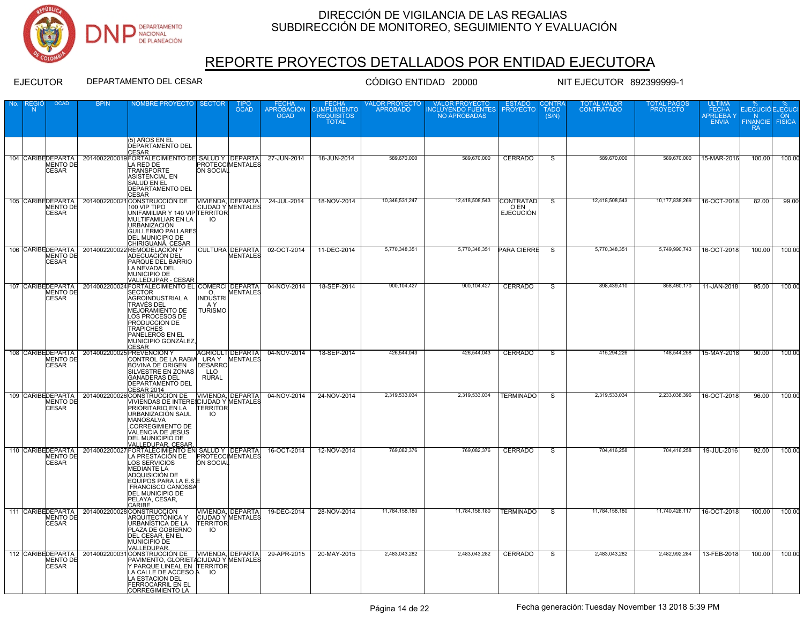

# REPORTE PROYECTOS DETALLADOS POR ENTIDAD EJECUTORA

| No. | N | <b>OCAD</b>              |                                                | NOMBRE PROYECTO SECTOR                                                                                                                                                                                                                                                                                                             |                                              | <b>OCAD</b>                                   | <b>APROBACIÓN</b><br><b>OCAD</b> | <b>CUMPLIMIENTO</b><br><b>REQUISITOS</b><br><b>TOTAL</b> | LOR PROYECTO<br>APROBADO | <b>VALOR PROYECTO</b><br>INCLUYENDO FUENTES PROYECTO<br><b>NO APROBADAS</b> |                                              | <b>TADO</b><br>(S/N) | <b>CONTRATADO</b> | <b>PROYECTO</b> | <b>FECHA</b><br><b>APRUEBAY</b><br><b>ENVIA</b> | <b>EJECUCIÓ EJECUCI</b><br>N<br><b>FINANCIE FISICA</b><br>-RA | ON .   |
|-----|---|--------------------------|------------------------------------------------|------------------------------------------------------------------------------------------------------------------------------------------------------------------------------------------------------------------------------------------------------------------------------------------------------------------------------------|----------------------------------------------|-----------------------------------------------|----------------------------------|----------------------------------------------------------|--------------------------|-----------------------------------------------------------------------------|----------------------------------------------|----------------------|-------------------|-----------------|-------------------------------------------------|---------------------------------------------------------------|--------|
|     |   |                          |                                                | (5) AÑOS EN EL<br><b>DÉPARTAMENTO DEL</b><br>CESAR                                                                                                                                                                                                                                                                                 |                                              |                                               |                                  |                                                          |                          |                                                                             |                                              |                      |                   |                 |                                                 |                                                               |        |
|     |   | MENTO DE<br><b>CESAR</b> |                                                | 104 CARIBEDEPARTA   2014002200019 FORTALECIMIENTO DE SALUD Y DEPARTA<br>LA RED DE<br>TRANSPORTE<br>ASISTENCIAL EN<br><b>SALUD EN EL</b><br><b>DEPARTAMENTO DEL</b><br>CESAR                                                                                                                                                        | ÓN SOCIAL                                    | PROTECCIMENTALES                              | 27-JUN-2014                      | 18-JUN-2014                                              | 589,670,000              | 589,670,000                                                                 | <b>CERRADO</b>                               | $\overline{s}$       | 589,670,000       | 589,670,000     | 15-MAR-2016                                     | 100.00                                                        | 100.00 |
|     |   | MENTO DE<br><b>CESAR</b> |                                                | 105 CARIBEDEPARTA   2014002200021 CONSTRUCCIÓN DE<br>100 VIP TIPO<br>UNIFAMILIAR Y 140 VIP TERRITOR<br>MULTIFAMILIAR EN LA<br>URBANIZACIÓN<br><b>GUILLERMO PALLARES</b><br><b>DEL MUNICIPIO DE</b><br>CHIRIGUANÁ, CESAR<br>106 CARIBEDEPARTA 2014002200022 REMODELACIÓN Y                                                          | IO.                                          | VIVIENDA. DEPARTA<br>CIUDAD Y MENTALES        | 24-JUL-2014                      | 18-NOV-2014                                              | 10,346,531,247           | 12,418,508,543                                                              | <b>CONTRATAD</b><br>O EN<br><b>EJECUCIÓN</b> | $\overline{s}$       | 12,418,508,543    | 10,177,838,269  | 16-OCT-2018                                     | 82.00                                                         | 99.00  |
|     |   | MENTO DE<br><b>CESAR</b> |                                                | ADECUACIÓN DEL<br><b>PARQUE DEL BARRIO</b><br>LA NEVADA DEL<br><b>MUNICIPIO DE</b><br>VALLEDUPAR - CESAR                                                                                                                                                                                                                           |                                              | CULTURA DEPARTA<br><b>MENTALES</b>            | 02-OCT-2014                      | 11-DEC-2014                                              | 5,770,348,351            | 5,770,348,351                                                               | <b>PARA CIERRE</b>                           | -S                   | 5,770,348,351     | 5,749,990,743   | 16-OCT-2018                                     | 100.00                                                        | 100.00 |
|     |   | MENTO DE<br><b>CESAR</b> |                                                | 107 CARIBEDEPARTA   2014002200024 FORTALECIMIENTO EL COMERCI DEPARTA<br>SECTOR<br>AGROINDUSTRIAL A<br><b>TRAVÉS DEL</b><br><b>MEJORAMIENTO DE</b><br>LOS PROCESOS DE<br><b>PRODUCCION DE</b><br>TRAPICHES<br>PANELEROS EN EL<br>MUNICIPIO GONZÁLEZ,<br><b>CESAR</b>                                                                | О.<br>INDUSTRI<br>A Y<br><b>TURISMO</b>      | MENTALES                                      | 04-NOV-2014                      | 18-SEP-2014                                              | 900, 104, 427            | 900,104,427                                                                 | CERRADO                                      | S                    | 898,439,410       | 858,460,170     | 11-JAN-2018                                     | 95.00                                                         | 100.00 |
|     |   | MENTO DE<br><b>CESAR</b> | 108 CARIBEDEPARTA   2014002200025 PREVENCIÓN Y | CONTROL DE LA RABIA URA Y MENTALES<br><b>BOVINA DE ORIGEN</b><br>SILVESTRE EN ZONAS<br><b>GANADERAS DEL</b><br><b>DEPARTAMENTO DEL</b><br><b>CESAR 2014</b>                                                                                                                                                                        | <b>DESARRO</b><br><b>LLO</b><br><b>RURAL</b> | AGRICULT DEPARTA                              | 04-NOV-2014                      | 18-SEP-2014                                              | 426.544.043              | 426.544.043                                                                 | <b>CERRADO</b>                               | S                    | 415.294.226       | 148.544.258     | 15-MAY-2018                                     | 90.00                                                         | 100.00 |
|     |   | MENTO DE<br><b>CESAR</b> |                                                | 109 CARIBEDEPARTA   2014002200026 CONSTRUCCIÓN DE VIVIENDA, DEPARTA<br>VIVIENDAS DE INTERESCIUDAD Y MENTALES<br>PRIORITARIO EN LA<br>URBANIZACIÓN SAUL<br><b>MANOSALVA</b><br>CORREGIMIENTO DE<br>VALENCIA DE JESUS<br>DEL MUNICIPIO DE<br>VALLEDUPAR, CESAR.<br>110 CARIBEDEPARTA 2014002200027FORTALECIMIENTO EN SALUD Y DEPARTA | <b>TERRITOR</b><br>$\overline{10}$           |                                               | 04-NOV-2014                      | 24-NOV-2014                                              | 2,319,533,034            | 2,319,533,034                                                               | <b>TERMINADO</b>                             | S,                   | 2,319,533,034     | 2,233,038,396   | 16-OCT-2018                                     | 96.00                                                         | 100.00 |
|     |   | MENTO DE<br><b>CESAR</b> |                                                | LA PRESTACIÓN DE<br>LOS SERVICIOS<br><b>MEDIANTE LA</b><br>ADQUISICIÓN DE<br>EQUIPOS PARA LA E.S.E<br><b>FRANCISCO CANOSSA</b><br>DEL MUNICIPIO DE<br>PELAYA, CESAR,<br>CARIBE                                                                                                                                                     | <b>ÓN SOCIAL</b>                             | PROTECCIMENTALES                              | 16-OCT-2014                      | 12-NOV-2014                                              | 769,082,376              | 769,082,376                                                                 | <b>CERRADO</b>                               | S.                   | 704,416,258       | 704,416,258     | 19-JUL-2016                                     | 92.00                                                         | 100.00 |
|     |   | MENTO DE<br><b>CESAR</b> |                                                | 111 CARIBEDEPARTA 2014002200028 CONSTRUCCIÓN<br>ARQUITECTÓNICA Y<br>URBANÍSTICA DE LA<br>PLAZA DE GOBIERNO<br>DEL CESAR, EN EL<br>MUNICIPIO DE<br>VALLEDUPAR.                                                                                                                                                                      | <b>TERRITOR</b><br>IO                        | VIVIENDA, DEPARTA<br><b>CIUDAD Y MENTALES</b> | 19-DEC-2014                      | 28-NOV-2014                                              | 11,784,158,180           | 11,784,158,180                                                              | <b>TERMINADO</b>                             | S.                   | 11,784,158,180    | 11,740,428,117  | 16-OCT-2018                                     | 100.00                                                        | 100.00 |
|     |   | <b>CESAR</b>             |                                                | 112 CARIBEDEPARTA 2014002200031CONSTRUCCIÓN DE VIVIENDA, DEPARTA<br>MENTO DE PAVIMENTO, GLORIETACIUDAD Y MENTALES<br>Y PARQUE LINEAL EN TERRITOR<br>LA CALLE DE ACCESO À IO<br>LA ESTACION DEL<br><b>FERROCARRIL EN EL</b><br><b>CORREGIMIENTO LA</b>                                                                              |                                              |                                               | 29-APR-2015                      | 20-MAY-2015                                              | 2.483.043.282            | 2,483,043,282                                                               | <b>CERRADO</b>                               | ड                    | 2,483,043,282     | 2,482,992,284   | 13-FEB-2018                                     | 100.00                                                        | 100.00 |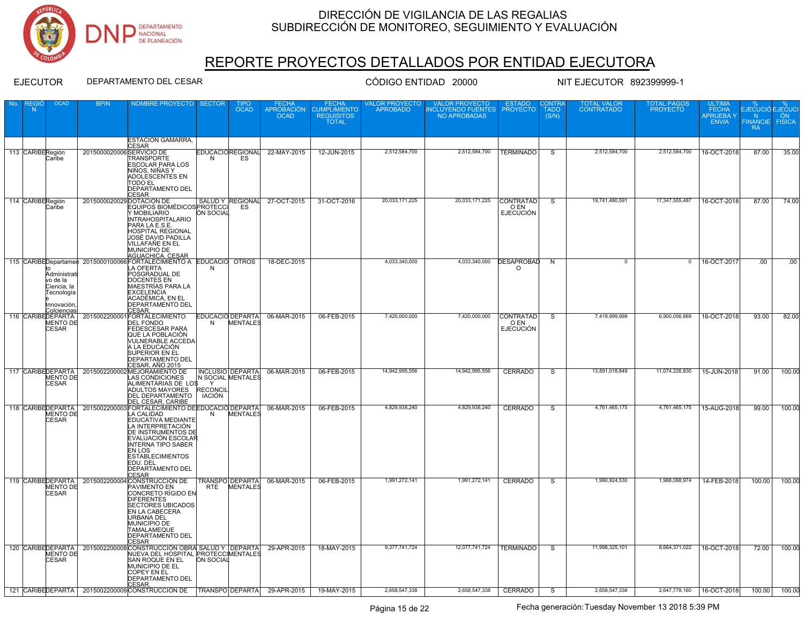

# REPORTE PROYECTOS DETALLADOS POR ENTIDAD EJECUTORA

| No. | N                | <b>OCAD</b>                                                                                |                           | NOMBRE PROYECTO SECTOR                                                                                                                                                                                                                                                                                       |                  | <b>OCAD</b>                         | <b>APROBACIÓN</b><br><b>OCAD</b> | <b>CUMPLIMIENTO</b><br><b>REQUISITOS</b><br><b>TOTAL</b> | <b>APROBADO</b> | <b>INCLUYENDO FUENTES</b><br>NO APROBADAS | <b>PROYECTO</b>                              | TADO<br>(S/N)  | <b>CONTRATADO</b> | <b>PROYECTO</b> | <b>FECHA</b><br><b>APRUEBAY</b><br><b>ENVIA</b> | EJECUCIÓ EJECUCI<br><b>N</b><br><b>FINANCIE FISICA</b><br><b>RA</b> | ON .   |
|-----|------------------|--------------------------------------------------------------------------------------------|---------------------------|--------------------------------------------------------------------------------------------------------------------------------------------------------------------------------------------------------------------------------------------------------------------------------------------------------------|------------------|-------------------------------------|----------------------------------|----------------------------------------------------------|-----------------|-------------------------------------------|----------------------------------------------|----------------|-------------------|-----------------|-------------------------------------------------|---------------------------------------------------------------------|--------|
|     |                  |                                                                                            |                           | <b>ESTACION GAMARRA,</b>                                                                                                                                                                                                                                                                                     |                  |                                     |                                  |                                                          |                 |                                           |                                              |                |                   |                 |                                                 |                                                                     |        |
|     | 113 CARIBERegión | Caribe                                                                                     | 2015000020006 SERVICIO DE | <b>CESAR</b><br><b>TRANSPORTE</b><br><b>ESCOLAR PARA LOS</b><br>NIÑOS, NIÑAS Y<br>ADOLESCENTES EN<br>TODO EL<br><b>DEPARTAMENTO DEL</b><br>CESAR                                                                                                                                                             | N                | <b>EDUCACIÓREGIONAL</b><br>ES       | 22-MAY-2015                      | 12-JUN-2015                                              | 2,512,584,700   | 2,512,584,700                             | <b>TERMINADO</b>                             | $\overline{s}$ | 2,512,584,700     | 2,512,584,700   | 16-OCT-2018                                     | 87.00                                                               | 35.00  |
|     | 114 CARIBERegión | Caribe                                                                                     |                           | 2015000020029 DOTACIÓN DE<br>EQUIPOS BIOMÉDICOS PROTECCI<br>Y MOBILIARIO<br><b>INTRAHOSPITALARIO</b><br>PARA LA E.S.E.<br><b>HOSPITAL REGIONAL</b><br>VOSÉ DAVID PADILLA<br>VILLAFAÑE EN EL<br><b>MUNICIPIO DE</b><br>THE CARIBE Departament 2015000100066 FORTALECIMIENTO A EDUCACIO OTROS                  | <b>ON SOCIAL</b> | ES                                  | SALUD Y REGIONAL 27-OCT-2015     | 31-OCT-2016                                              | 20,033,171,225  | 20,033,171,225                            | <b>CONTRATAD</b><br>O EN<br><b>EJECUCIÓN</b> | S.             | 19,741,480,591    | 17,347,555,487  | 16-OCT-2018                                     | 87.00                                                               | 74.00  |
|     |                  | Administrati<br>vo de la<br>Ciencia, la<br>Tecnología<br>Innovación,<br><u>Colciencias</u> |                           | LA OFERTA<br>POSGRADUAL DE<br>DOCENTES EN<br>MAESTRÍAS PARA LA<br><b>EXCELENCIA</b><br>ACADÉMICA, EN EL<br><b>DEPARTAMENTO DEL</b><br>CESAR                                                                                                                                                                  | N                |                                     | 18-DEC-2015                      |                                                          | 4.033.340.000   | 4.033.340.000                             | <b>DESAPROBAD</b><br>$\circ$                 | $\overline{N}$ | $\overline{0}$    | $\overline{0}$  | 16-OCT-2017                                     | .00                                                                 | .00    |
|     |                  | 116 CARIBEDEPARTA<br>MENTO DE<br><b>CESAR</b>                                              |                           | 2015002200001 FORTALECIMIENTO<br><b>DEL FONDO</b><br><b>FEDESCESAR PARA</b><br>QUE LA POBLACIÓN<br><b>VULNERABLE ACCEDA</b><br>A LA EDUCACIÓN<br>SUPERIOR EN EL<br><b>DEPARTAMENTO DEL</b><br>CESAR, AÑO 2015                                                                                                | N                | EDUCACIÓ DEPARTA<br><b>MENTALES</b> | 06-MAR-2015                      | 06-FEB-2015                                              | 7,420,000,000   | 7,420,000,000                             | <b>CONTRATAD</b><br>O EN<br><b>EJECUCIÓN</b> | <sub>S</sub>   | 7,419,999,999     | 6,900,056,869   | 16-OCT-2018                                     | 93.00                                                               | 82.00  |
|     |                  | <b>MENTO DE</b><br><b>CESAR</b>                                                            |                           | 117 CARIBEDEPARTA   2015002200002 MEJORAMIENTO DE<br><b>LAS CONDICIONES</b><br>ALIMENTARIAS DE LO\$<br>ADULTOS MAYORES RECONCIL<br>DEL DEPARTAMENTO<br>DEL CESAR, CARIBE                                                                                                                                     | Y<br>IACIÓN      | N SOCIAL MENTALES                   | INCLUSIO DEPARTA 06-MAR-2015     | 06-FEB-2015                                              | 14.942.995.556  | 14,942,995,556                            | <b>CERRADO</b>                               | S              | 13,891,018,849    | 11,074,226,830  | 15-JUN-2018                                     | 91.00                                                               | 100.00 |
|     |                  | <b>MENTO DE</b><br><b>CESAR</b>                                                            |                           | 118 CARIBEDEPARTA   2015002200003 FORTALECIMIENTO DE EDUCACIÓ DEPARTA  <br>LA CALIDAD<br>EDUCATIVA MEDIANTE<br>LA INTERPRETACIÓN<br>DE INSTRUMENTOS DE<br>EVALUACIÓN ESCOLAR<br><b>INTERNA TIPO SABER</b><br><b>EN LOS</b><br><b>ESTABLECIMIENTOS</b><br>EDU. DEL<br><b>DEPARTAMENTO DEL</b><br><b>CESAR</b> | N                | <b>MENTALES</b>                     | 06-MAR-2015                      | 06-FEB-2015                                              | 4,829,938,240   | 4,829,938,240                             | <b>CERRADO</b>                               | S              | 4,761,465,175     | 4,761,465,175   | 15-AUG-2018                                     | 99.00                                                               | 100.00 |
|     |                  | <b>MENTO DE</b><br><b>CESAR</b>                                                            |                           | 119 CARIBEDEPARTA   2015002200004 CONSTRUCCIÓN DE<br>PAVIMENTO EN<br>CONCRETO RÍGIDO EN<br><b>DIFERENTES</b><br><b>SECTORES UBICADOS</b><br>EN LA CABECERA<br>URBANA DEL<br>MUNICIPIO DE<br>TAMALAMEQUE<br><b>DEPARTAMENTO DEL</b><br>CESAR                                                                  | <b>RTE</b>       | <b>MENTALES</b>                     | TRANSPO DEPARTA 06-MAR-2015      | 06-FEB-2015                                              | 1,991,272,141   | 1,991,272,141                             | <b>CERRADO</b>                               | S              | 1,990,924,530     | 1,988,088,974   | 14-FEB-2018                                     | 100.00                                                              | 100.00 |
|     |                  |                                                                                            |                           | 120 CARIBEDEPARTA 201500220000800060007 TORRA SALUD Y DEPARTA<br>MENTO DE HOSPITAL PROTECOMENTALES<br>CESAR SAN ROQUE EN EL DIN SOCIAL<br>MUNICIPIO DE EL<br><b>COPEY EN EL</b><br><b>DEPARTAMENTO DEL</b><br>CESAR.                                                                                         |                  |                                     | 29-APR-2015                      | 18-MAY-2015                                              | 9,377,741,724   | 12,077,741,724                            | <b>TERMINADO</b>                             | S              | 11,998,325,101    | 8,664,371,022   | 16-OCT-2018                                     | 72.00                                                               | 100.00 |
|     |                  |                                                                                            |                           | 121 CARIBEDEPARTA   2015002200009 CONSTRUCCIÓN DE                                                                                                                                                                                                                                                            |                  |                                     | TRANSPO DEPARTA 29-APR-2015      | 19-MAY-2015                                              | 2,658,547,338   | 2,658,547,338                             | <b>CERRADO</b>                               | S              | 2,658,547,338     |                 | 2,647,778,160   16-OCT-2018                     | 100.00                                                              | 100.00 |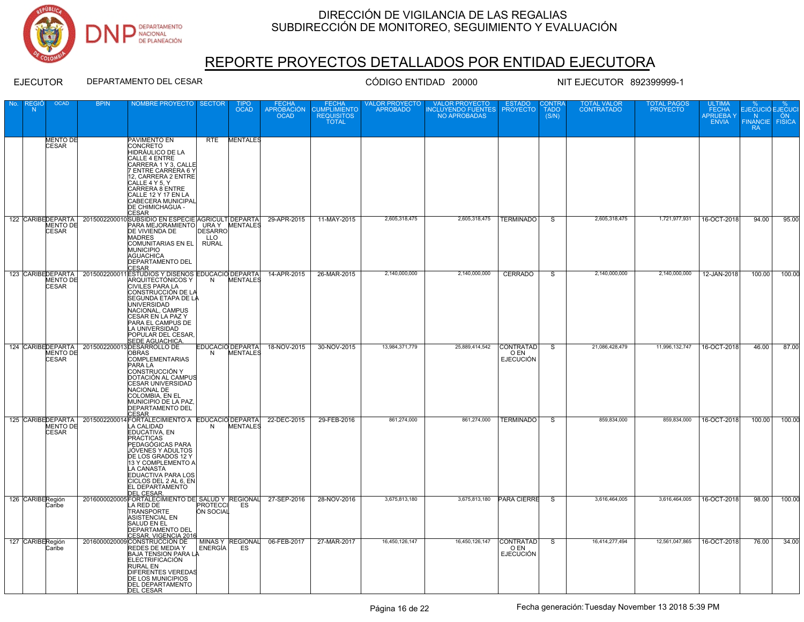

# REPORTE PROYECTOS DETALLADOS POR ENTIDAD EJECUTORA

| No. | N                | <b>OCAD</b>                     | NOMBRE PROYECTO SECTOR                                                                                                                                                                                                                                                                                                                                         |                                              | <b>OCAD</b>                  | ECHA<br>APROBACIÓN<br><b>OCAD</b> | <b>CUMPLIMIENTO</b><br><b>REQUISITOS</b><br><b>TOTAL</b> | VALOR PROYECTO<br><b>APROBADO</b> | <b>VALOR PROYECTO</b><br>INCLUYENDO FUENTES PROYECTO<br>NO APROBADAS |                                              | <b>TADO</b><br>(S/N) | <b>CONTRATADO</b> | <b>FOTAL PAC</b><br><b>PROYECTO</b> | <b>FECHA</b><br><b>APRUEBAY</b><br><b>ENVIA</b> | EJECUCIÓ EJECUCI<br>N<br>FINANCIE FISICA<br><b>RA</b> | ON .   |
|-----|------------------|---------------------------------|----------------------------------------------------------------------------------------------------------------------------------------------------------------------------------------------------------------------------------------------------------------------------------------------------------------------------------------------------------------|----------------------------------------------|------------------------------|-----------------------------------|----------------------------------------------------------|-----------------------------------|----------------------------------------------------------------------|----------------------------------------------|----------------------|-------------------|-------------------------------------|-------------------------------------------------|-------------------------------------------------------|--------|
|     |                  | <b>MENTO DE</b><br><b>CESAR</b> | <b>PAVIMENTO EN</b><br>CONCRETO<br><b>HIDRÁULICO DE LA</b><br>CALLE 4 ENTRE<br>CARRERA 1 Y 3, CALLE<br>7 ENTRE CARRERA 6 Y<br>12, CARRERA 2 ENTRE<br>CALLE 4 Y 5, Y<br>CARRERA 8 ENTRE<br>CALLE 12 Y 17 EN LA<br>CABECERA MUNICIPAL<br>DE CHIMICHAGUA -<br><b>CESAR</b>                                                                                        |                                              | RTE MENTALES                 |                                   |                                                          |                                   |                                                                      |                                              |                      |                   |                                     |                                                 |                                                       |        |
|     |                  | <b>CESAR</b>                    | 122 CARIBEDEPARTA 2015002200010SUBSIDIO EN ESPECIE AGRICULT DEPARTA<br>MENTO DE PARA MEJORAMIENTO URA Y MENTALES<br>DE VIVIENDA DE<br><b>MADRES</b><br>COMUNITARIAS EN EL<br><b>MUNICIPIO</b><br><b>AGUACHICA</b><br><b>DEPARTAMENTO DEL</b><br><b>CESAR</b>                                                                                                   | <b>DESARRO</b><br><b>LLO</b><br><b>RURAL</b> |                              | 29-APR-2015                       | 11-MAY-2015                                              | 2,605,318,475                     | 2,605,318,475                                                        | <b>TERMINADO</b>                             | S                    | 2,605,318,475     | 1,721,977,931                       | 16-OCT-2018                                     | 94.00                                                 | 95.00  |
|     |                  | MENTO DE<br><b>CESAR</b>        | 123 CARIBEDEPARTA 2015002200011 ESTUDIOS Y DISEÑOS EDUCACIÓ DEPARTA<br>ARQUITECTÓNICOS Y<br><b>CIVILES PARA LA</b><br>CONSTRUCCIÓN DE LA<br>SEGUNDA ETAPA DE LA<br><b>UNIVERSIDAD</b><br>NACIONAL, CAMPUS<br>CESAR EN LA PAZ Y<br>PARA EL CAMPUS DE<br>LA UNIVERSIDAD<br>FOPULAR DEL CESAR,<br>SEDE AGUACHICA.<br>124 CARIBEDEPARTA 2015002200013DESARROLLO DE | N                                            | <b>MENTALES</b>              | 14-APR-2015                       | 26-MAR-2015                                              | 2.140.000.000                     | 2.140.000.000                                                        | CERRADO                                      | $\overline{s}$       | 2.140.000.000     | 2,140,000,000                       | 12-JAN-2018                                     | 100.00                                                | 100.00 |
|     |                  | <b>MENTO DE</b><br><b>CESAR</b> | <b>OBRAS</b><br><b>COMPLEMENTARIAS</b><br>PARA LA<br>CONSTRUCCIÓN Y<br>DOTACIÓN AL CAMPUS<br>CESAR UNIVERSIDAD<br>NACIONAL DE<br>COLOMBIA, EN EL<br>MUNICIPIO DE LA PAZ,<br><b>DEPARTAMENTO DEL</b><br>CESAR                                                                                                                                                   | N                                            | EDUCACIÓ DEPARTA<br>MENTALES | 18-NOV-2015                       | 30-NOV-2015                                              | 13,984,371,779                    | 25,889,414,542                                                       | <b>CONTRATAD</b><br>O EN<br><b>EJECUCIÓN</b> | $\overline{s}$       | 21,086,428,479    | 11,996,132,747                      | 16-OCT-2018                                     | 46.00                                                 | 87.00  |
|     |                  | <b>MENTO DE</b><br><b>CESAR</b> | 125 CARIBEDEPARTA 2015002200014 FORTALECIMIENTO A EDUCACIO DEPARTA<br>LA CALIDAD<br>EDUCATIVA, EN<br><b>PRACTICAS</b><br>PEDAGÓGICAS PARA<br>JÓVENES Y ADULTOS<br>DE LOS GRADOS 12 Y<br>13 Y COMPLEMENTO A<br>LA CANASTA<br>EDUACTIVA PARA LOS<br>CICLOS DEL 2 AL 6, EN<br>EL DEPARTAMENTO                                                                     | N                                            | <b>MENTALES</b>              | 22-DEC-2015                       | 29-FEB-2016                                              | 861,274,000                       | 861,274,000                                                          | <b>TERMINADO</b>                             | S.                   | 859,834,000       | 859,834,000                         | 16-OCT-2018                                     | 100.00                                                | 100.00 |
|     | 126 CARIBERegión | Caribe                          | EL DE CESAR<br>DEL CESAR (CESAR DE SALUD Y REGIONAL 27-SEP-2016<br>1 A RED DE PROTECCI ES<br><b>TRANSPORTE</b><br>ASISTENCIAL EN<br>SALUD EN EL<br><b>DEPARTAMENTO DEL</b>                                                                                                                                                                                     | ÓN SOCIAL                                    |                              |                                   | 28-NOV-2016                                              | 3,675,813,180                     |                                                                      | 3,675,813,180 PARA CIERRE                    | S                    | 3,616,464,005     | 3,616,464,005                       | 16-OCT-2018                                     | 98.00                                                 | 100.00 |
|     | 127 CARIBERegión | Caribe                          | CESAR, VIGENCIA 2016<br>2016000020009CONSTRUCCIÓN DE<br>REDES DE MEDIA Y<br><b>BAJA TENSION PARA LA</b><br><b>ELECTRIFICACIÓN</b><br><b>RURAL EN</b><br><b>DIFERENTES VEREDAS</b><br>DE LOS MUNICIPIOS<br><b>DEL DEPARTAMENTO</b><br><b>DEL CESAR</b>                                                                                                          | l ENERGÍA l                                  | ES                           | MINAS Y REGIONAL 06-FEB-2017      | 27-MAR-2017                                              | 16,450,126,147                    | 16,450,126,147                                                       | CONTRATAD<br>O EN<br><b>EJECUCIÓN</b>        | $\overline{s}$       | 16,414,277,494    | 12,561,047,865                      | 16-OCT-2018                                     | 76.00                                                 | 34.00  |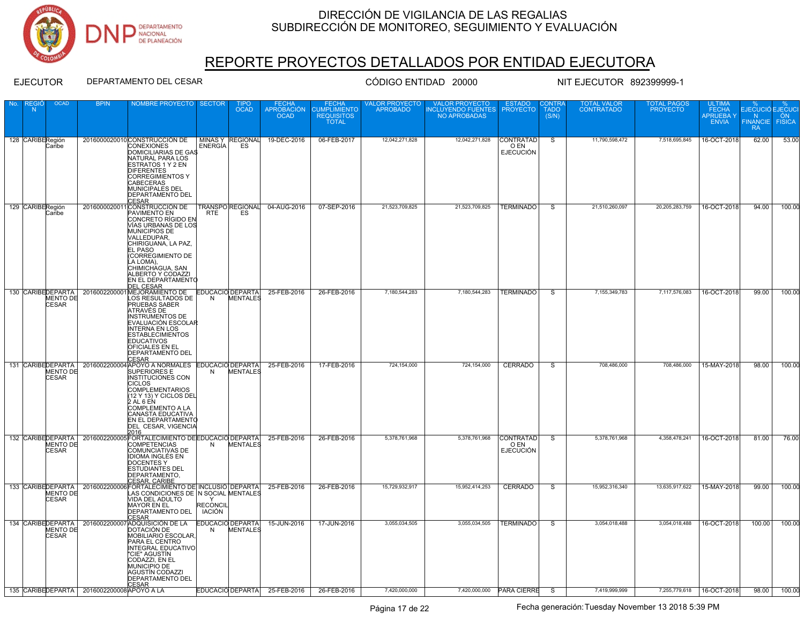

# REPORTE PROYECTOS DETALLADOS POR ENTIDAD EJECUTORA

| No. | N                | <b>OCAD</b>                     |                                              | NOMBRE PROYECTO SECTOR                                                                                                                                                                                                                                                                                            |                                  | <b>OCAD</b>                         | <b>APROBACIÓN</b><br><b>OCAD</b> | <b>CUMPLIMIENTO</b><br><b>REQUISITOS</b><br><b>TOTAL</b> | OR PROYECTO.<br><b>APROBADO</b> | <b>VALOR PROYECTO</b><br><b>INCLUYENDO FUENTES</b><br><b>NO APROBADAS</b> | <b>PROYECTO</b>                              | <b>TADO</b><br>(S/N) | <b>CONTRATADO</b> | <b>PROYECTO</b> | <b>FECHA</b><br><b>APRUEBAY</b><br><b>ENVIA</b> | EJECUCIÓ EJECUCI<br>N<br><b>FINANCIE FISICA</b><br>-RA | ON .   |
|-----|------------------|---------------------------------|----------------------------------------------|-------------------------------------------------------------------------------------------------------------------------------------------------------------------------------------------------------------------------------------------------------------------------------------------------------------------|----------------------------------|-------------------------------------|----------------------------------|----------------------------------------------------------|---------------------------------|---------------------------------------------------------------------------|----------------------------------------------|----------------------|-------------------|-----------------|-------------------------------------------------|--------------------------------------------------------|--------|
|     | 128 CARIBERegión | Caribe                          |                                              | 2016000020010 CONSTRUCCIÓN DE<br><b>CONEXIONES</b><br><b>DOMICILIARIAS DE GAS</b><br>NATURAL PARA LOS<br>ESTRATOS 1 Y 2 EN<br><b>DIFERENTES</b><br><b>CORREGIMIENTOS Y</b><br><b>CABECERAS</b><br>MUNICIPALES DEL<br><b>DEPARTAMENTO DEL</b><br>CESAR                                                             | ENERGÍA                          | MINAS Y REGIONAL<br>ES              | 19-DEC-2016                      | 06-FEB-2017                                              | 12,042,271,828                  | 12,042,271,828                                                            | <b>CONTRATAD</b><br>O EN<br><b>EJECUCIÓN</b> | - S                  | 11,790,598,472    | 7,518,695,845   | 16-OCT-2018                                     | 62.00                                                  | 53.00  |
|     | 129 CARIBERegión | Caribe                          |                                              | 2016000020011 CONSTRUCCIÓN DE<br>PAVIMENTO EN<br>CONCRETO RÍGIDO EN<br><b>VÍAS URBANAS DE LOS</b><br>MUNICIPIOS DE<br>VALLEDUPAR.<br>CHIRIGUANA, LA PAZ,<br><b>EL PASO</b><br><b>(CORREGIMIENTO DE</b><br>LA LOMA).<br>CHIMICHÁGUA, SAN<br>ALBERTO Y CODAZZI<br>EN EL DEPARTAMENTO<br><b>DEL CESAR</b>            | <b>RTE</b>                       | <b>TRANSPO REGIONAL</b><br>FS.      | 04-AUG-2016                      | 07-SEP-2016                                              | 21,523,709,825                  | 21,523,709,825                                                            | <b>TERMINADO</b>                             | $\overline{s}$       | 21,510,260,097    | 20,205,283,759  | 16-OCT-2018                                     | 94.00                                                  | 100.00 |
|     |                  | MENTO DE<br><b>CESAR</b>        |                                              | 130 CARIBEDEPARTA   2016002200001 MEJORAMIENTO DE<br>LOS RESULTADOS DE<br><b>PRUEBAS SABER</b><br>ATRAVÉS DE<br><b>INSTRUMENTOS DE</b><br><b>EVALUACIÓN ESCOLAR</b><br><b>INTERNA EN LOS</b><br><b>ESTABLECIMIENTOS</b><br><b>EDUCATIVOS</b><br><b>OFICIALES EN EL</b><br><b>DEPARTAMENTO DEL</b><br><b>CESAR</b> | N                                | EDUCACIÓ DEPARTA<br><b>MENTALES</b> | 25-FEB-2016                      | 26-FEB-2016                                              | 7,180,544,283                   | 7,180,544,283                                                             | <b>TERMINADO</b>                             | S                    | 7,155,349,783     | 7,117,576,083   | 16-OCT-2018                                     | 99.00                                                  | 100.00 |
|     |                  | MENTO DE<br><b>CESAR</b>        |                                              | 131 CARIBEDEPARTA 2016002200004APOYO A NORMALES EDUCACIÓ DEPARTA<br><b>SUPERIORES E</b><br><b>INSTITUCIONES CON</b><br><b>CICLOS</b><br><b>COMPLEMENTARIOS</b><br>(12 Y 13) Y CICLOS DEL<br>$2$ AL 6 EN<br>COMPLEMENTO A LA<br><b>CANASTA EDUCATIVA</b><br>EN EL DEPARTAMENTO<br>DEL CESAR, VIGENCIA<br>2016      | N                                | MENTALES                            | 25-FEB-2016                      | 17-FEB-2016                                              | 724.154.000                     | 724.154.000                                                               | <b>CERRADO</b>                               | S                    | 708.486.000       | 708,486,000     | 15-MAY-2018                                     | 98.00                                                  | 100.00 |
|     |                  | MENTO DE<br><b>CESAR</b>        |                                              | 132 CARIBEDEPARTA   2016002200005 FORTALECIMIENTO DE EDUCACIÓ DEPARTA<br><b>COMPETENCIAS</b><br>COMUNCIATIVAS DE<br>IDIOMA INGLÉS EN<br><b>DOCENTES Y</b><br><b>ESTUDIANTES DEL</b><br>DEPARTAMENTO.<br>CESAR, CARIBE                                                                                             | N                                | MENTALES                            | 25-FEB-2016                      | 26-FEB-2016                                              | 5,378,761,968                   | 5,378,761,968                                                             | CONTRATAD<br>O EN<br><b>EJECUCIÓN</b>        | <sub>S</sub>         | 5,378,761,968     | 4,358,478,241   | 16-OCT-2018                                     | 81.00                                                  | 76.00  |
|     |                  | <b>MENTO DE</b><br><b>CESAR</b> |                                              | 133 CARIBEDEPARTA   2016002200006 FORTALECIMIENTO DE INCLUSIÓ DEPARTA<br>LAS CONDICIONES DE ∣N SOCIAL MENTALES<br><b>VIDA DEL ADULTO</b><br><b>MAYOR EN EL</b><br><b>DEPARTAMENTO DEL</b><br>CESAR                                                                                                                | <b>RECONCIL</b><br><b>IACIÓN</b> |                                     | 25-FEB-2016                      | 26-FEB-2016                                              | 15.729.932.917                  | 15.952.414.253                                                            | <b>CERRADO</b>                               | S                    | 15.952.316.340    | 13.635.917.622  | 15-MAY-2018                                     | 99.00                                                  | 100.00 |
|     |                  | MENTO DE<br><b>CESAR</b>        |                                              | 134 CARIBEDEPARTA   2016002200007 ADQUISICIÓN DE LA<br>DOTACIÓN DE<br><b>MOBILIARIO ESCOLAR.</b><br>PARA EL CENTRO<br>INTEGRAL EDUCATIVO<br>"CIE" AGUSTÍN<br>CODAZZI, EN EL<br><b>MUNICIPIO DE</b><br>AGUSTÍN CODAZZI<br><b>DEPARTAMENTO DEL</b><br><b>CESAR</b>                                                  | N                                | EDUCACIÓ DEPARTA<br><b>MENTALES</b> | 15-JUN-2016                      | 17-JUN-2016                                              | 3,055,034,505                   | 3,055,034,505                                                             | <b>TERMINADO</b>                             | S                    | 3,054,018,488     | 3,054,018,488   | 16-OCT-2018                                     | 100.00                                                 | 100.00 |
|     |                  |                                 | 135 CARIBEDEPARTA   2016002200008 APOYO A LA |                                                                                                                                                                                                                                                                                                                   |                                  |                                     | EDUCACIÓ DEPARTA   25-FEB-2016   | 26-FEB-2016                                              | 7,420,000,000                   |                                                                           | 7,420,000,000 PARA CIERRE                    | $\overline{s}$       | 7,419,999,999     |                 | 7,255,779,618   16-OCT-2018                     | 98.00                                                  | 100.00 |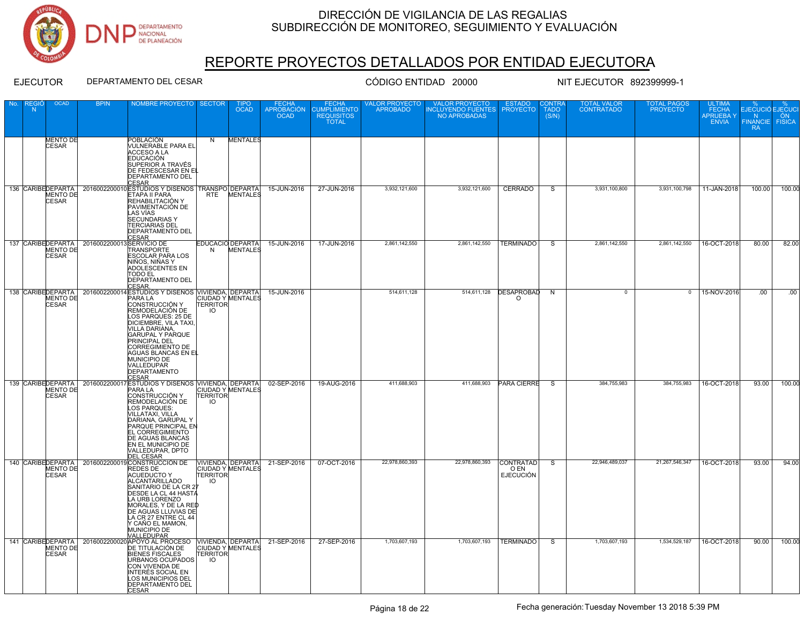

# REPORTE PROYECTOS DETALLADOS POR ENTIDAD EJECUTORA

| No. | <b>REGK</b><br>N | <b>OCAD</b>                     | <b>BPIN</b>                                 | NOMBRE PROYECTO   SECTOR                                                                                                                                                                                                                                                                                                                     |                       | TIPO<br>OCAD                        | FECHA<br>APROBACIÓN<br><b>OCAD</b> | FECHA<br>CUMPLIMIENTO<br>REQUISITOS<br><b>TOTAL</b> | <b>VALOR PROYECTO</b><br><b>APROBADO</b> | <b>VALOR PROYECTO</b><br>NCLUYENDO FUENTES | <b>ESTADO</b><br><b>PROYECTO</b>             | CONTR/<br><b>TADO</b><br>(S/N) | TOTAL VALOR<br><b>CONTRATADO</b> | TOTAL PAGOS<br><b>PROYECTO</b> | <b>ULTIMA</b><br>FECHA<br>APRUEBA Y<br><b>ENVIA</b> | EJECUCIÓ EJECUCI<br>FINANCIE FISICA<br><b>RA</b> |        |
|-----|------------------|---------------------------------|---------------------------------------------|----------------------------------------------------------------------------------------------------------------------------------------------------------------------------------------------------------------------------------------------------------------------------------------------------------------------------------------------|-----------------------|-------------------------------------|------------------------------------|-----------------------------------------------------|------------------------------------------|--------------------------------------------|----------------------------------------------|--------------------------------|----------------------------------|--------------------------------|-----------------------------------------------------|--------------------------------------------------|--------|
|     |                  | <b>MENTO DE</b><br><b>CESAR</b> |                                             | POBLACIÓN<br>VULNERABLE PARA EL<br>ACCESO A LA<br><b>EDUCACIÓN</b><br>SUPERIOR A TRAVÉS<br>DE FEDESCESAR EN EL<br><b>DEPARTAMENTO DEL</b><br><b>ESAR</b>                                                                                                                                                                                     | N                     | <b>MENTALES</b>                     |                                    |                                                     |                                          |                                            |                                              |                                |                                  |                                |                                                     |                                                  |        |
|     |                  | <b>CESAR</b>                    |                                             | 136 CARIBEDEPARTA 2016002200010ESTUDIOS Y DISEÑOS TRANSPO DEPARTA<br>MENTO DE ETAPA II PARA INARA PRTE MENTALES<br>REHABILITACIÓN Y<br>PAVIMENTACIÓN DE<br>LAS VÍAS<br><b>SECUNDARIAS Y</b><br><b>TERCIARIAS DEL</b><br><b>DEPARTAMENTO DEL</b><br><b>CESAR</b>                                                                              |                       | MENTALES                            | 15-JUN-2016                        | 27-JUN-2016                                         | 3,932,121,600                            | 3,932,121,600                              | <b>CERRADO</b>                               | $\overline{s}$                 | 3,931,100,800                    | 3,931,100,798                  | 11-JAN-2018                                         | 100.00                                           | 100.00 |
|     |                  | <b>MENTO DE</b><br><b>CESAR</b> | 137 CARIBEDEPARTA 2016002200013 SERVICIO DE | TRANSPORTE<br><b>ESCOLAR PARA LOS</b><br>NIÑOS, NIÑAS Y<br>ADOLESCENTES EN<br>TODO EL<br><b>DEPARTAMENTO DEL</b><br>CESAR.                                                                                                                                                                                                                   | N                     | EDUCACIÓ DEPARTA<br><b>MENTALES</b> | 15-JUN-2016                        | 17-JUN-2016                                         | 2.861.142.550                            | 2.861.142.550                              | <b>TERMINADO</b>                             | $\overline{s}$                 | 2.861.142.550                    | 2,861,142,550                  | 16-OCT-2018                                         | 80.00                                            | 82.00  |
|     |                  | MENTO DE<br><b>CESAR</b>        |                                             | 138 CARIBEDEPARTA   2016002200014 ESTUDIOS Y DISEÑOS VIVIENDA, DEPARTA<br>PARA LA<br>CONSTRUCCIÓN Y<br>REMODELACIÓN DE<br>LOS PARQUES: 25 DE<br>DICIEMBRE, VILA TAXI,<br>VILLA DARIANA.<br>GARUPAL Y PARQUE<br>PRINCIPAL DEL<br><b>CORREGIMIENTO DE</b><br>AGUAS BLANCAS EN EL<br>MUNICIPIO DE<br>VALLEDUPAR<br><b>DEPARTAMENTO</b><br>CESAR | <b>TERRITOR</b><br>IO | CIUDAD Y MENTALES                   | 15-JUN-2016                        |                                                     | 514,611,128                              | 514,611,128                                | <b>DESAPROBAD</b><br>∩                       | $\overline{N}$                 | $\overline{0}$                   | $\overline{0}$                 | 15-NOV-2016                                         | .00 <sub>1</sub>                                 | .00    |
|     |                  | <b>MENTO DE</b><br><b>CESAR</b> |                                             | 139 CARIBEDEPARTA 2016002200017 ESTUDIOS Y DISEÑOS VIVIENDA, DEPARTA<br><b>PARA LA</b><br>CONSTRUCCIÓN Y<br>REMODELACIÓN DE<br>LOS PARQUES:<br>VILLATAXI, VILLA<br>DARIANA, GARUPAL Y<br>PARQUE PRINCIPAL EN<br>EL CORREGIMIENTO<br><b>DE AGUAS BLANCAS</b><br>EN EL MUNICIPIO DE<br>VALLEDUPAR, DPTO<br><b>DEL CESAR</b>                    | <b>TERRITOR</b><br>IO | CIUDAD Y MENTALES                   | 02-SEP-2016                        | 19-AUG-2016                                         | 411,688,903                              |                                            | 411,688,903 PARA CIERRE                      | s.                             | 384,755,983                      | 384,755,983                    | 16-OCT-2018                                         | 93.00                                            | 100.00 |
|     |                  | <b>MENTO DE</b><br><b>CESAR</b> |                                             | 140 CARIBEDEPARTA 2016002200019 CONSTRUCCIÓN DE<br><b>REDES DE</b><br><b>ACUEDUCTO Y</b><br>ALCANTARILLADO<br>SANITARIO DE LA CR 27<br><b>DESDE LA CL 44 HASTA</b><br>LA URB LORENZO<br>MORALES, Y DE LA RED<br>DE AGUAS LLUVIAS DE<br>LA CR 27 ENTRE CL 44<br>Y CAÑO EL MAMON.<br><b>MUNICIPIO DE</b><br>VALLEDUPAR                         | <b>TERRITOR</b><br>IO | VIVIENDA, DEPARTA                   | 21-SEP-2016                        | 07-OCT-2016                                         | 22,978,860,393                           | 22,978,860,393                             | <b>CONTRATAD</b><br>O EN<br><b>EJECUCIÓN</b> | $\overline{s}$                 | 22,946,489,037                   | 21,267,546,347                 | 16-OCT-2018                                         | 93.00                                            | 94.00  |
|     |                  | <b>CESAR</b>                    |                                             | 141 CARIBEDEPARTA 2016002200020APOYO AL PROCESO VIVIENDA, DEPARTA<br>MENTO DE CIUDAD Y MENTALES<br><b>BIENES FISCALES</b><br>URBANOS OCUPADOS<br>CON VIVENDA DE<br>INTERÉS SOCIAL EN<br>LOS MUNICIPIOS DEL<br><b>DEPARTAMENTO DEL</b><br><b>CESAR</b>                                                                                        | <b>TERRITOR</b><br>IO |                                     | 21-SEP-2016                        | 27-SEP-2016                                         | 1,703,607,193                            | 1,703,607,193                              | <b>TERMINADO</b>                             | $\overline{s}$                 | 1,703,607,193                    | 1,534,529,187                  | 16-OCT-2018                                         | 90.00                                            | 100.00 |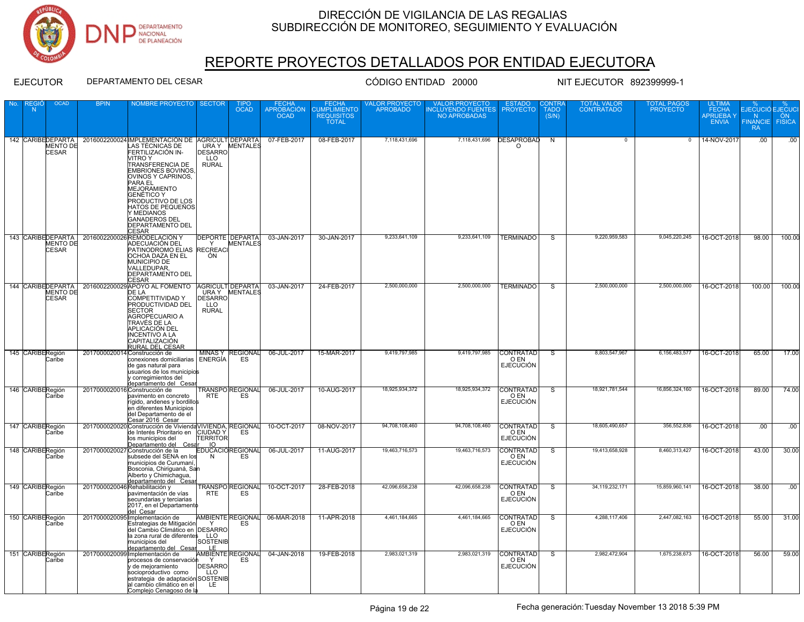

# REPORTE PROYECTOS DETALLADOS POR ENTIDAD EJECUTORA

| No. | N | <b>OCAD</b>                | <b>BPIN</b> | NOMBRE PROYECTO SECTOR                                                                                                                                                                                                                                                                                                                                                                                                   |                                              | <b>OCAD</b>                   | <b>APROBACIÓN</b><br><b>OCAD</b> | <b>CUMPLIMIENTO</b><br><b>REQUISITOS</b><br><b>TOTAL</b> | ROYECTO<br><b>APROBADO</b> | ALOR PROYECTO<br><b>INCLUYENDO FUENTES</b><br><b>NO APROBADAS</b> | <b>PROYECTO</b>                              | <b>TADO</b><br>(S/N) | <b>CONTRATADO</b> | <b>PROYECTO</b> | <b>FECHA</b><br><b>APRUEBAY</b><br><b>ENVIA</b> | EJECUCIÓ EJECUCI<br>N<br><b>FINANCIE FISICA</b><br><b>RA</b> | ON .             |
|-----|---|----------------------------|-------------|--------------------------------------------------------------------------------------------------------------------------------------------------------------------------------------------------------------------------------------------------------------------------------------------------------------------------------------------------------------------------------------------------------------------------|----------------------------------------------|-------------------------------|----------------------------------|----------------------------------------------------------|----------------------------|-------------------------------------------------------------------|----------------------------------------------|----------------------|-------------------|-----------------|-------------------------------------------------|--------------------------------------------------------------|------------------|
|     |   | <b>CESAR</b>               |             | 142 CARIBEDEPARTA   2016002200024 MPLEMENTACIÓN DE AGRICULT DEPARTA<br>MENTO DE   LAS TÉCNICAS DE   URA Y MENTALES<br>FERTILIZACIÓN IN-<br><b>NITRO Y</b><br><b>TRANSFERENCIA DE</b><br><b>EMBRIONES BOVINOS</b><br>OVINOS Y CAPRINOS,<br><b>PARA EL</b><br>MEJORAMIENTO<br><b>GENÉTICO Y</b><br>PRODUCTIVO DE LOS<br>HATOS DE PEQUEÑOS<br>Y MEDIANOS<br><b>GANADEROS DEL</b><br><b>DEPARTAMENTO DEL</b><br><b>CESAR</b> | <b>DESARRO</b><br><b>LLO</b><br><b>RURAL</b> |                               | 07-FEB-2017                      | 08-FEB-2017                                              | 7,118,431,696              |                                                                   | 7,118,431,696   DESAPROBAD<br>$\Omega$       | N                    |                   | 0               | 14-NOV-2017                                     | .00                                                          | .00              |
|     |   | MENTO DE<br><b>CESAR</b>   |             | 143 CARIBEDEPARTA   2016002200026 REMODELACIÓN Y<br>ADECUACIÓN DEL<br>PATINODROMO ELIAS RECREACI<br>OCHOA DAZA EN EL<br>MUNICIPIO DE<br>VALLEDUPAR,<br><b>DEPARTAMENTO DEL</b><br><b>CESAR</b>                                                                                                                                                                                                                           | Y<br>ÓN                                      | DEPORTE DEPARTA<br>MENTALES   | 03-JAN-2017                      | 30-JAN-2017                                              | 9,233,641,109              | 9,233,641,109                                                     | <b>TERMINADO</b>                             | <sub>S</sub>         | 9,220,959,583     | 9,045,220,245   | 16-OCT-2018                                     | 98.00                                                        | 100.00           |
|     |   | MENTO DE<br><b>CESAR</b>   |             | 144 CARIBEDEPARTA 2016002200029APOYO AL FOMENTO AGRICULT DEPARTA<br>DE LA<br>COMPETITIVIDAD Y<br>PRODUCTIVIDAD DEL<br><b>SECTOR</b><br>AGROPECUARIO A<br>TRAVÉS DE LA<br><b>APLICACIÓN DEL</b><br><b>INCENTIVO A LA</b><br>CAPITALIZACIÓN<br>RURAL DEL CESAR                                                                                                                                                             | <b>DESARRO</b><br>LLO<br><b>RURAL</b>        | URAY MENTALES                 | 03-JAN-2017                      | 24-FEB-2017                                              | 2.500.000.000              | 2,500,000,000                                                     | <b>TERMINADO</b>                             | - S                  | 2.500.000.000     | 2,500,000,000   | 16-OCT-2018                                     | 100.00                                                       | 100.00           |
|     |   | 145 CARIBERegión<br>Caribe |             | 2017000020014 Construcción de<br>conexiones domiciliarias   ENERGIA  <br>de gas natural para<br>usuarios de los municipios<br>v corregimientos del<br>departamento del Cesar                                                                                                                                                                                                                                             |                                              | <b>MINAS Y REGIONAL</b><br>ES | 06-JUL-2017                      | 15-MAR-2017                                              | 9,419,797,985              | 9,419,797,985                                                     | <b>CONTRATAD</b><br>O EN<br><b>EJECUCIÓN</b> | <sub>S</sub>         | 8,803,547,967     | 6,156,483,577   | 16-OCT-2018                                     | 65.00                                                        | 17.00            |
|     |   | 146 CARIBERegión<br>Caribe |             | 2017000020016 Construcción de<br>pavimento en concreto<br>rígido, andenes y bordillos<br>en diferentes Municipios<br>del Departamento de el<br>Cesar 2016 Cesar                                                                                                                                                                                                                                                          | RTE                                          | TRANSPO REGIONAL<br>ES        | 06-JUL-2017                      | 10-AUG-2017                                              | 18,925,934,372             | 18,925,934,372                                                    | <b>CONTRATAD</b><br>O EN<br><b>EJECUCIÓN</b> | S,                   | 18,921,781,544    | 16,856,324,160  | 16-OCT-2018                                     | 89.00                                                        | 74.00            |
|     |   | 147 CARIBERegión<br>Caribe |             | 2017000020020 Construcción de Vivienda VIVIENDA, REGIONAL 10-OCT-2017<br>de Interés Prioritario en CIUDAD Y<br>los municipios del<br>Departamento del<br>Cesar                                                                                                                                                                                                                                                           | <b>TERRITOR</b><br>10                        | ES                            |                                  | 08-NOV-2017                                              | 94,708,108,460             | 94,708,108,460                                                    | <b>CONTRATAD</b><br>O EN<br><b>EJECUCIÓN</b> | S,                   | 18,605,490,657    | 356,552,836     | 16-OCT-2018                                     | $\overline{.00}$                                             | $\overline{.00}$ |
|     |   | 148 CARIBERegión<br>Caribe |             | 2017000020027 Construcción de la<br>subsede del SENA en los<br>municipios de Curumaní,<br>Bosconia, Chiriguaná, San<br>Alberto y Chimichagua,<br>departamento del Cesar                                                                                                                                                                                                                                                  | N                                            | <b>EDUCACIOREGIONAL</b><br>ES | 06-JUL-2017                      | 11-AUG-2017                                              | 19,463,716,573             | 19,463,716,573                                                    | CONTRATAD<br>O EN<br><b>EJECUCIÓN</b>        | <sub>S</sub>         | 19,413,658,928    | 8,460,313,427   | 16-OCT-2018                                     | 43.00                                                        | 30.00            |
|     |   | 149 CARIBERegión<br>Caribe |             | 2017000020046 Rehabilitación y<br>pavimentación de vías<br>secundarias y terciarias<br>2017, en el Departamento                                                                                                                                                                                                                                                                                                          | <b>RTE</b>                                   | ES                            | TRANSPOREGIONAL 10-OCT-2017      | 28-FEB-2018                                              | 42,096,658,238             | 42,096,658,238                                                    | <b>CONTRATAD</b><br>O EN<br><b>EJECUCIÓN</b> | - S                  | 34, 119, 232, 171 | 15,859,960,141  | 16-OCT-2018                                     | 38.00                                                        | $\overline{.00}$ |
|     |   | 150 CARIBERegión<br>Caribe |             | del Cesar<br>2017000020095 Implementación de<br>Estrategias de Mitigación<br>del Cambio Climático en DESARRO<br>la zona rural de diferentes LLO<br>municipios del<br>departamento del Cesar                                                                                                                                                                                                                              | <b>SOSTENIB</b><br>$\overline{1}$            | ES                            | AMBIENTE REGIONAL 06-MAR-2018    | 11-APR-2018                                              | 4,461,184,665              | 4,461,184,665                                                     | <b>CONTRATAD</b><br>O EN<br><b>EJECUCIÓN</b> | <sub>S</sub>         | 4,288,117,406     | 2,447,082,163   | 16-OCT-2018                                     | 55.00                                                        | 31.00            |
|     |   | 151 CARIBERegión<br>Caribe |             | 2017000020099 Implementación de<br>procesos de conservación<br>y de mejoramiento<br>socioproductivo como<br>estrategia de adaptación SOSTENIB<br>al cambio climático en el<br>Complejo Cenagoso de la                                                                                                                                                                                                                    | Y<br><b>DESARRO</b><br>LLO<br>LE.            | AMBIENTE REGIONAL<br>ES       | 04-JAN-2018                      | 19-FEB-2018                                              | 2,983,021,319              | 2,983,021,319                                                     | <b>CONTRATAD</b><br>O EN<br><b>EJECUCIÓN</b> | $\overline{s}$       | 2,982,472,904     | 1,675,238,673   | 16-OCT-2018                                     | 56.00                                                        | 59.00            |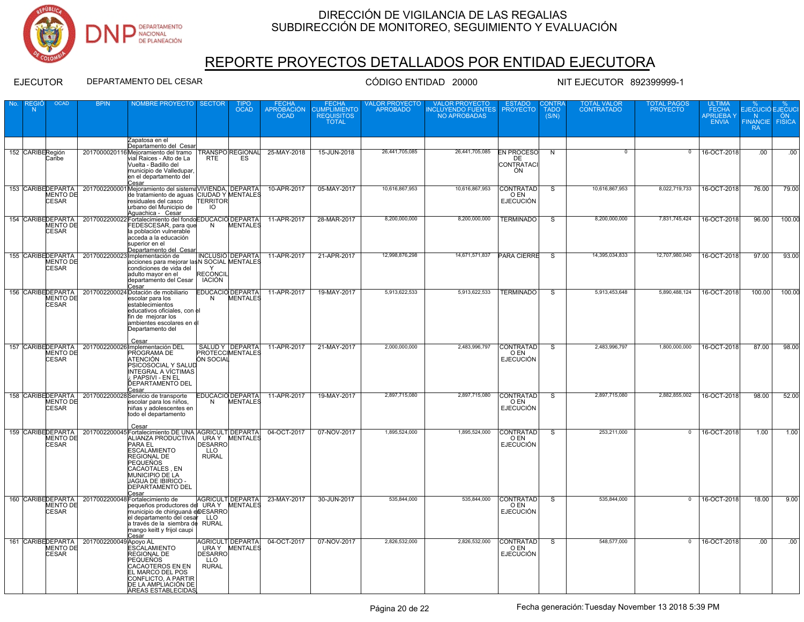

# REPORTE PROYECTOS DETALLADOS POR ENTIDAD EJECUTORA

| No. | N                | <b>OCAD</b>              |                                            | NOMBRE PROYECTO SECTOR                                                                                                                                                                                                                                                                                    |                                       | <b>OCAD</b>                                | <b>APROBACIÓN</b><br><b>OCAD</b> | <b>CUMPLIMIENTO</b><br><b>REQUISITOS</b><br><b>TOTAL</b> | <b>DYECTO</b><br><b>APROBADO</b> | <b>INCLUYENDO FUENTES</b><br><b>NO APROBADAS</b> | <b>PROYECTO</b>                                    | <b>TADO</b><br>(S/N)    | <b>CONTRATADO</b> | <b>PROYECTO</b> | <b>FECHA</b><br><b>APRUEBAY</b><br><b>ENVIA</b> | EJECUCIÓ EJECUCI<br>N<br><b>FINANCIE FISICA</b><br>- RA | ON .             |
|-----|------------------|--------------------------|--------------------------------------------|-----------------------------------------------------------------------------------------------------------------------------------------------------------------------------------------------------------------------------------------------------------------------------------------------------------|---------------------------------------|--------------------------------------------|----------------------------------|----------------------------------------------------------|----------------------------------|--------------------------------------------------|----------------------------------------------------|-------------------------|-------------------|-----------------|-------------------------------------------------|---------------------------------------------------------|------------------|
|     |                  |                          |                                            | Zapatosa en el                                                                                                                                                                                                                                                                                            |                                       |                                            |                                  |                                                          |                                  |                                                  |                                                    |                         |                   |                 |                                                 |                                                         |                  |
|     | 152 CARIBERegión | Caribe                   |                                            | Departamento del Cesar<br>2017000020116 Mejoramiento del tramo   TRANSPO REGIONAL 25-MAY-2018<br>viaĺ Raices - Alto de La<br>Vuelta - Badillo del<br>municipio de Valledupar,<br>en el departamento del<br>Cesar                                                                                          | <b>RTE</b>                            | ES                                         |                                  | 15-JUN-2018                                              | 26,441,705,085                   | 26,441,705,085                                   | <b>EN PROCESO</b><br><b>DE</b><br>CONTRATACI<br>ÓN | $\overline{N}$          |                   | $\overline{0}$  | 16-OCT-2018                                     | .00                                                     | .00              |
|     |                  | MENTO DE<br>CESAR        |                                            | 153 CARIBEDEPARTA   2017002200001 Mejoramiento del sistema VIVIENDA, DEPARTA<br>de tratamiento de aquas CIUDAD Y MENTALES<br>residuales del casco<br>urbano del Municipio de<br>Aquachica - Cesar                                                                                                         | <b>TERRITOR</b><br>IO.                |                                            | 10-APR-2017                      | 05-MAY-2017                                              | 10,616,867,953                   | 10,616,867,953                                   | CONTRATAD<br>O EN<br><b>EJECUCIÓN</b>              | $\overline{s}$          | 10,616,867,953    | 8,022,719,733   | 16-OCT-2018                                     | 76.00                                                   | 79.00            |
|     |                  | MENTO DE<br><b>CESAR</b> |                                            | 154  CARIBEDEPARTA   2017002200022 Fortalecimiento del fondo EDUCACIÓ DEPARTA<br>FEDESCESAR, para que<br>la población vulnerable<br>acceda a la educación<br>superior en el<br>Departamento del Cesar                                                                                                     | N                                     | <b>MENTALES</b>                            | 11-APR-2017                      | 28-MAR-2017                                              | 8,200,000,000                    | 8,200,000,000                                    | <b>TERMINADO</b>                                   | <sub>S</sub>            | 8,200,000,000     | 7,831,745,424   | 16-OCT-2018                                     | 96.00                                                   | 100.00           |
|     |                  | MENTO DE<br><b>CESAR</b> |                                            | 155 CARIBEDEPARTA   2017002200023 mplementación de<br>acciones para mejorar lasN SOCIAL MENTALES<br>condiciones de vida del<br>adulto mayor en el<br>departamento del Cesar<br>Cesar                                                                                                                      | <b>RECONCIL</b><br>IACIÓN             | INCLUSIÓ DEPARTA                           | 11-APR-2017                      | 21-APR-2017                                              | 12,998,876,298                   |                                                  |                                                    | $\overline{\mathbf{s}}$ | 14,395,034,833    | 12,707,980,040  | 16-OCT-2018                                     | 97.00                                                   | 93.00            |
|     |                  | MENTO DE<br><b>CESAR</b> |                                            | 156 CARIBEDEPARTA   2017002200024 Dotación de mobiliario<br>escolar para los<br>establecimientos<br>educativos oficiales, con el<br>fin de mejorar los<br>ambientes escolares en el<br>Departamento del                                                                                                   | N                                     | EDUCACIÓ DEPARTA<br><b>MENTALES</b>        | 11-APR-2017                      | 19-MAY-2017                                              | 5,913,622,533                    | 5,913,622,533                                    | <b>TERMINADO</b>                                   | - S                     | 5,913,453,648     | 5,890,488,124   | 16-OCT-2018                                     | 100.00                                                  | 100.00           |
|     |                  | MENTO DE<br><b>CESAR</b> |                                            | Cesar<br>157 CARIBEDEPARTA   2017002200026 Implementación DEL<br>PROGRAMA DE<br>ATENCIÓN<br>PSICOSOCIAL Y SALUD<br>INTEGRAL A VÍCTIMAS<br>PAPSIVI - EN EL<br><b>DEPARTAMENTO DEL</b><br>Cesar                                                                                                             | <b>ON SOCIAL</b>                      | SALUD Y DEPARTA<br><b>PROTECCIMENTALES</b> | 11-APR-2017                      | 21-MAY-2017                                              | 2,000,000,000                    | 2,483,996,797                                    | <b>CONTRATAD</b><br>O EN<br><b>EJECUCIÓN</b>       | $\overline{\mathbf{s}}$ | 2,483,996,797     | 1,800,000,000   | 16-OCT-2018                                     | 87.00                                                   | 98.00            |
|     |                  | MENTO DE<br><b>CESAR</b> |                                            | 158 CARIBEDEPARTA   2017002200028 Servicio de transporte<br>escolar para los niños,<br>niñas y adolescentes en<br>todo el departamento                                                                                                                                                                    | N                                     | EDUCACIÓ DEPARTA<br><b>MENTALES</b>        | 11-APR-2017                      | 19-MAY-2017                                              | 2,897,715,080                    | 2,897,715,080                                    | <b>CONTRATAD</b><br>O EN<br><b>EJECUCIÓN</b>       | -S                      | 2,897,715,080     | 2,882,855,002   | 16-OCT-2018                                     | 98.00                                                   | 52.00            |
|     |                  | MENTO DE<br><b>CESAR</b> |                                            | Cesar<br>159 CARIBEDEPARTA   2017002200045 Fortalecimiento DE UNA AGRICULT DEPARTA<br>ALIANZA PRODUCTIVA│ URA Y MENTALES<br><b>PARA EL</b><br><b>ESCALAMIENTO</b><br>REGIONAL DE<br>PEQUEÑOS<br>CACAOTALES, EN<br>MUNICIPIO DE LA<br><b>JAGUA DE IBIRICO -</b><br><b>DEPARTAMENTO DEL</b><br><u>Cesar</u> | <b>DESARRO</b><br>LLO<br><b>RURAL</b> |                                            | 04-OCT-2017                      | 07-NOV-2017                                              | 1,895,524,000                    | 1,895,524,000                                    | <b>CONTRATAD</b><br>O EN<br><b>EJECUCIÓN</b>       | S,                      | 253,211,000       | $^{\circ}$      | 16-OCT-2018                                     | 1.00                                                    | 1.00             |
|     |                  | MENTO DE<br><b>CESAR</b> |                                            | 160 CARIBEDEPARTA   2017002200048 Fortalecimiento de<br>pequeños productores del URA Y MENTALES<br>municipio de chiriquaná e DESARRO<br>el departamento del cesar LLO<br>la través de la siembra de RURAL<br>mango keitt y frijol caupi<br><u>Cesar</u>                                                   |                                       | AGRICULT DEPARTA                           | 23-MAY-2017                      | 30-JUN-2017                                              | 535,844,000                      | 535,844,000                                      | CONTRATAD<br>O EN<br><b>EJECUCIÓN</b>              | -S                      | 535,844,000       | $^{\circ}$      | 16-OCT-2018                                     | 18.00                                                   | 9.00             |
|     |                  | MENTO DE<br><b>CESAR</b> | 161 CARIBEDEPARTA   2017002200049 Apoyo AL | <b>ESCALAMIENTO</b><br><b>REGIONAL DE</b><br><b>PEQUEÑOS</b><br>CACAOTEROS EN EN<br>EL MARCO DEL POS<br>CONFLICTO, A PARTIR<br>DE LA AMPLIACIÓN DE<br>ÁREAS ESTABLECIDAS                                                                                                                                  | <b>DESARRO</b><br>LLO<br><b>RURAL</b> | AGRICULT DEPARTA                           | 04-OCT-2017                      | 07-NOV-2017                                              | 2,826,532,000                    | 2,826,532,000                                    | <b>CONTRATAD</b><br>O EN<br><b>EJECUCIÓN</b>       | -S                      | 548,577,000       | $\overline{0}$  | 16-OCT-2018                                     | $\overline{.00}$                                        | $\overline{.00}$ |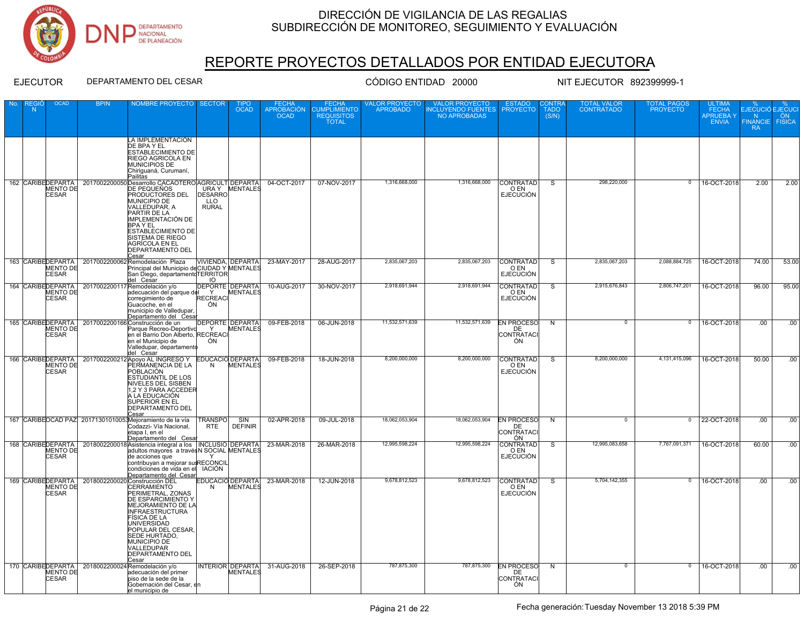

# REPORTE PROYECTOS DETALLADOS POR ENTIDAD EJECUTORA

| No. | N | <b>OCAD</b>                     | <b>BPIN</b> | NOMBRE PROYECTO                                                                                                                                                                                                                                                                                                         | SECTOR                                       | TIPO<br>OCAD                                           | FECHA<br>APROBACIÓN<br><b>OCAD</b> | <b>FECHA</b><br><b>CUMPLIMIENTO</b><br><b>REQUISITOS</b><br><b>TOTAL</b> | <b>VALOR PROYECTO</b><br><b>APROBADO</b> | VALOR PROYECTO<br><b>NCLUYENDO FUENTES</b><br><b>NO APROBADAS</b> | <b>ESTADC</b><br><b>PROYECTO</b>             | :ONTR<br><b>TADO</b><br>(S/N) | TOTAL VALOR<br><b>CONTRATADO</b> | <b>FOTAL PAGOS</b><br><b>PROYECTO</b> | ULTIMA<br>FECHA<br>APRUEBA Y<br><b>ENVIA</b> | <b>JECUCIÓF</b><br>N ÓN<br>FINANCIE FISICA<br><b>RA</b> | EIFCHCI          |
|-----|---|---------------------------------|-------------|-------------------------------------------------------------------------------------------------------------------------------------------------------------------------------------------------------------------------------------------------------------------------------------------------------------------------|----------------------------------------------|--------------------------------------------------------|------------------------------------|--------------------------------------------------------------------------|------------------------------------------|-------------------------------------------------------------------|----------------------------------------------|-------------------------------|----------------------------------|---------------------------------------|----------------------------------------------|---------------------------------------------------------|------------------|
|     |   |                                 |             | LA IMPLEMENTACIÓN<br>DE BPA Y EL<br>ESTABLECIMIENTO DE<br>RIEGO AGRICOLA EN<br>MUNICIPIOS DE<br>Chiriguaná, Curumaní,<br>Pailitas                                                                                                                                                                                       |                                              |                                                        |                                    |                                                                          |                                          |                                                                   |                                              |                               |                                  |                                       |                                              |                                                         |                  |
|     |   | <b>CESAR</b>                    |             | 162 CARIBEDEPARTA 2017002200050 Desarrollo CACAOTERO AGRICULT DEPARTA<br>MENTO DE PEQUEÑOS __ URA Y MENTALES<br><b>PRODUCTORES DEL</b><br><b>MUNICIPIO DE</b><br>VALLEDUPAR, A<br>PARTIR DE LA<br><b>IMPLEMENTACIÓN DE</b><br><b>BPAYEL</b><br>ESTABLECIMIENTO DE<br>AGRÍCOLA EN EL<br><b>DEPARTAMENTO DEL</b><br>Cesar | <b>DESARRO</b><br><b>LLO</b><br><b>RURAL</b> |                                                        | 04-OCT-2017                        | 07-NOV-2017                                                              | 1,316,668,000                            | 1,316,668,000                                                     | <b>CONTRATAD</b><br>O EN<br><b>EJECUCIÓN</b> | ड                             | 298,220,000                      | $\Omega$                              | 16-OCT-2018                                  | 2.00                                                    | 2.00             |
|     |   | <b>MENTO DE</b><br><b>CESAR</b> |             | 163 CARIBEDEPARTA 2017002200062 Remodelación Plaza<br>Principal del Municipio deCIUDAD Y MENTALES<br>San Diego, departamentoTERRITOR<br>del Cesar                                                                                                                                                                       |                                              | VIVIENDA, DEPARTA                                      | 23-MAY-2017                        | 28-AUG-2017                                                              | 2,835,067,203                            | 2.835.067.203                                                     | <b>CONTRATAD</b><br>O EN<br><b>EJECUCIÓN</b> | $\overline{s}$                | 2,835,067,203                    | 2.088.884.725                         | 16-OCT-2018                                  | 74.00                                                   | 53.00            |
|     |   | <b>CESAR</b>                    |             | 164 CARIBEDEPARTA 2017002200117 Remodelación y/o<br>MENTO DE adecuación del par<br>adecuación del parque del Y<br>corregimiento de<br>Guacoche, en el<br>municipio de Valledupar,<br>Departamento del Cesa                                                                                                              | <b>RECREACI</b><br>ÓN                        | <u>  IO    </u><br> DEPORTE DEPARTA<br><b>MENTALES</b> | 10-AUG-2017                        | 30-NOV-2017                                                              | 2.918.691.944                            | 2.918.691.944                                                     | <b>CONTRATAD</b><br>O EN<br><b>EJECUCIÓN</b> | s                             | 2.915.676.843                    | 2,806,747,201                         | 16-OCT-2018                                  | 96.00                                                   | 95.00            |
|     |   | MENTO DE<br>CESAR               |             | 165 CARIBEDEPARTA   2017002200166 Construcción de un<br>Parque Recreo-Deportivo<br>en el Barrio Don Alberto, RECREACI<br>en el Municipio de<br>Valledupar, departamento<br>del Cesar                                                                                                                                    | ÓN                                           | <b>DEPORTE DEPARTA</b><br>MENTALES                     | 09-FEB-2018                        | 06-JUN-2018                                                              | 11,532,571,639                           | 11,532,571,639                                                    | <b>EN PROCESO</b><br>DE<br>CONTRATACI<br>ÓN  | N                             | $\overline{0}$                   | $\overline{0}$                        | 16-OCT-2018                                  | .00.                                                    | .00              |
|     |   | <b>MENTO DE</b><br><b>CESAR</b> |             | 166 CARIBEDEPARTA   2017002200212 Apoyo AL INGRESO Y EDUCACIÓ DEPARTA<br>PERMANENCIA DE LA<br><b>POBLACIÓN</b><br>ESTUDIANTIL DE LOS<br>NIVELES DEL SISBEN<br>1,2 Y 3 PARA ACCEDER<br>A LA EDUCACIÓN<br>SUPERIOR EN EL<br>DEPARTAMENTO DEL<br>Cesar                                                                     | N                                            | <b>MENTALES</b>                                        | 09-FEB-2018                        | 18-JUN-2018                                                              | 8,200,000,000                            | 8,200,000,000                                                     | <b>CONTRATAD</b><br>O EN<br><b>EJECUCIÓN</b> | S                             | 8,200,000,000                    | 4,131,415,096                         | 16-OCT-2018                                  | 50.00                                                   | .00              |
|     |   |                                 |             | 167 CARIBEOCAD PAZ 20171301010053Mejoramiento de la vía<br>Codazzi- Vía Nacional.<br>etapa I, en el<br>Departamento del Cesa                                                                                                                                                                                            | <b>TRANSPO</b><br><b>RTE</b>                 | SIN<br><b>DEFINIR</b>                                  | 02-APR-2018                        | 09-JUL-2018                                                              | 18.062.053.904                           | 18,062,053,904                                                    | <b>EN PROCESO</b><br>DE<br>CONTRATAC<br>ÓN   | N                             | $\overline{0}$                   | $^{\circ}$                            | $\sqrt{22-OCT-2018}$                         | .00                                                     | $\overline{.00}$ |
|     |   | MENTO DE<br><b>CESAR</b>        |             | 168 CARIBEDEPARTA 2018002200018 Asistencia integral a los INCLUSIO DEPARTA<br>adultos mayores a travésN SOCIAL MENTALES<br>de acciones que<br>contribuyan a mejorar susRECONCIL<br>condiciones de vida en el IACIÓN<br>Departamento del Cesar                                                                           |                                              |                                                        | 23-MAR-2018                        | 26-MAR-2018                                                              | 12,995,598,224                           | 12,995,598,224                                                    | <b>CONTRATAD</b><br>O EN<br><b>EJECUCIÓN</b> | S                             | 12,995,083,658                   | 7,767,091,371                         | 16-OCT-2018                                  | 60.00                                                   | .00              |
|     |   | <b>MENTO DE</b><br><b>CESAR</b> |             | 169 CARIBEDEPARTA 2018002200020 Construcción DEL<br><b>CERRAMIENTO</b><br>PERIMETRAL, ZONAS<br><b>DE ESPARCIMIENTO Y</b><br>MEJORAMIENTO DE LA<br>INFRAESTRUCTURA<br>FÍSICA DE LA<br><b>UNIVERSIDAD</b><br>POPULAR DEL CESAR,<br>SEDE HURTADO,<br>MUNICIPIO DE<br>VALLEDUPAR<br><b>DEPARTAMENTO DEL</b><br><u>Cesar</u> | N                                            | EDUCACIÓ DEPARTA<br><b>MENTALES</b>                    | 23-MAR-2018                        | 12-JUN-2018                                                              | 9.678.812.523                            | 9,678,812,523                                                     | <b>CONTRATAD</b><br>O EN<br><b>EJECUCIÓN</b> | ड                             | 5,704,142,355                    | $\overline{0}$                        | 16-OCT-2018                                  | .00                                                     | $\overline{.00}$ |
|     |   | <b>MENTO DE</b><br><b>CESAR</b> |             | 170 CARIBEDEPARTA   2018002200024 Remodelación y/o<br>adecuación del primer<br>piso de la sede de la<br>Gobernación del Cesar, en<br>el municipio de                                                                                                                                                                    |                                              | <b>INTERIOR DEPARTAL</b><br>MENTALES                   | 31-AUG-2018                        | 26-SEP-2018                                                              | 787,875,300                              | 787,875,300                                                       | <b>EN PROCESO</b><br>DE<br>CONTRATACI<br>ÓN  | $\overline{\phantom{a}}$      | $\overline{0}$                   | $\overline{0}$                        | $ 16-OCT-2018 $                              | $\overline{.00}$                                        | $\overline{.00}$ |